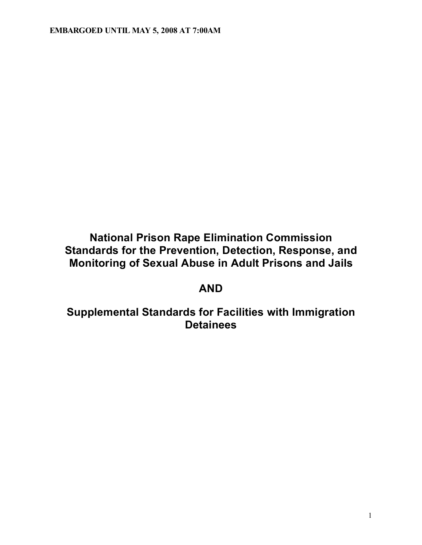# **National Prison Rape Elimination Commission Standards for the Prevention, Detection, Response, and Monitoring of Sexual Abuse in Adult Prisons and Jails**

# **AND**

# **Supplemental Standards for Facilities with Immigration Detainees**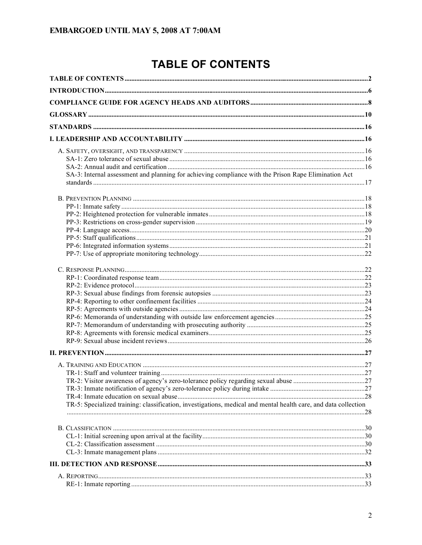# **TABLE OF CONTENTS**

| SA-3: Internal assessment and planning for achieving compliance with the Prison Rape Elimination Act            |  |
|-----------------------------------------------------------------------------------------------------------------|--|
|                                                                                                                 |  |
|                                                                                                                 |  |
|                                                                                                                 |  |
|                                                                                                                 |  |
|                                                                                                                 |  |
|                                                                                                                 |  |
|                                                                                                                 |  |
|                                                                                                                 |  |
|                                                                                                                 |  |
|                                                                                                                 |  |
|                                                                                                                 |  |
|                                                                                                                 |  |
|                                                                                                                 |  |
|                                                                                                                 |  |
|                                                                                                                 |  |
|                                                                                                                 |  |
|                                                                                                                 |  |
|                                                                                                                 |  |
|                                                                                                                 |  |
|                                                                                                                 |  |
|                                                                                                                 |  |
|                                                                                                                 |  |
|                                                                                                                 |  |
| TR-5: Specialized training: classification, investigations, medical and mental health care, and data collection |  |
|                                                                                                                 |  |
|                                                                                                                 |  |
|                                                                                                                 |  |
|                                                                                                                 |  |
|                                                                                                                 |  |
|                                                                                                                 |  |
|                                                                                                                 |  |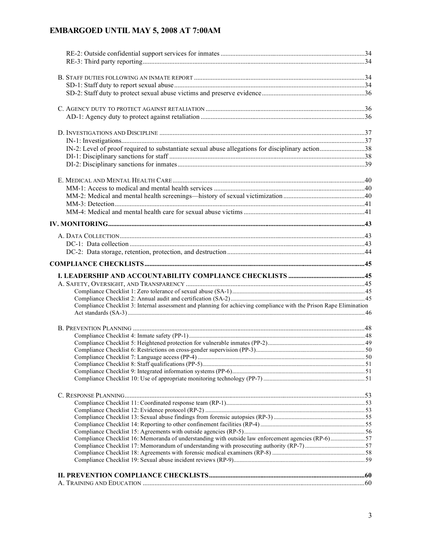| Compliance Checklist 3: Internal assessment and planning for achieving compliance with the Prison Rape Elimination |  |
|--------------------------------------------------------------------------------------------------------------------|--|
|                                                                                                                    |  |
|                                                                                                                    |  |
|                                                                                                                    |  |
|                                                                                                                    |  |
|                                                                                                                    |  |
|                                                                                                                    |  |
|                                                                                                                    |  |
|                                                                                                                    |  |
|                                                                                                                    |  |
|                                                                                                                    |  |
|                                                                                                                    |  |
|                                                                                                                    |  |
|                                                                                                                    |  |
| Compliance Checklist 16: Memoranda of understanding with outside law enforcement agencies (RP-6)57                 |  |
|                                                                                                                    |  |
|                                                                                                                    |  |
|                                                                                                                    |  |
|                                                                                                                    |  |
|                                                                                                                    |  |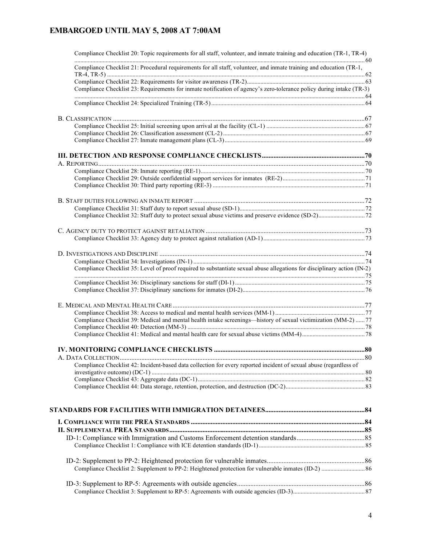| Compliance Checklist 20: Topic requirements for all staff, volunteer, and inmate training and education (TR-1, TR-4)     |  |
|--------------------------------------------------------------------------------------------------------------------------|--|
| Compliance Checklist 21: Procedural requirements for all staff, volunteer, and inmate training and education (TR-1,      |  |
|                                                                                                                          |  |
| Compliance Checklist 23: Requirements for inmate notification of agency's zero-tolerance policy during intake (TR-3)     |  |
|                                                                                                                          |  |
|                                                                                                                          |  |
|                                                                                                                          |  |
|                                                                                                                          |  |
|                                                                                                                          |  |
|                                                                                                                          |  |
|                                                                                                                          |  |
|                                                                                                                          |  |
|                                                                                                                          |  |
|                                                                                                                          |  |
|                                                                                                                          |  |
|                                                                                                                          |  |
|                                                                                                                          |  |
|                                                                                                                          |  |
|                                                                                                                          |  |
|                                                                                                                          |  |
|                                                                                                                          |  |
| Compliance Checklist 35: Level of proof required to substantiate sexual abuse allegations for disciplinary action (IN-2) |  |
|                                                                                                                          |  |
|                                                                                                                          |  |
|                                                                                                                          |  |
|                                                                                                                          |  |
| Compliance Checklist 39: Medical and mental health intake screenings—history of sexual victimization (MM-2)  77          |  |
|                                                                                                                          |  |
|                                                                                                                          |  |
|                                                                                                                          |  |
|                                                                                                                          |  |
| Compliance Checklist 42: Incident-based data collection for every reported incident of sexual abuse (regardless of       |  |
|                                                                                                                          |  |
|                                                                                                                          |  |
|                                                                                                                          |  |
|                                                                                                                          |  |
|                                                                                                                          |  |
|                                                                                                                          |  |
|                                                                                                                          |  |
|                                                                                                                          |  |
|                                                                                                                          |  |
|                                                                                                                          |  |
|                                                                                                                          |  |
|                                                                                                                          |  |
|                                                                                                                          |  |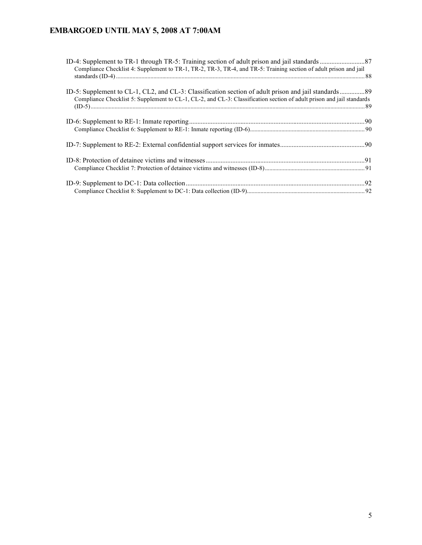| Compliance Checklist 4: Supplement to TR-1, TR-2, TR-3, TR-4, and TR-5: Training section of adult prison and jail     |  |
|-----------------------------------------------------------------------------------------------------------------------|--|
|                                                                                                                       |  |
|                                                                                                                       |  |
| Compliance Checklist 5: Supplement to CL-1, CL-2, and CL-3: Classification section of adult prison and jail standards |  |
|                                                                                                                       |  |
|                                                                                                                       |  |
|                                                                                                                       |  |
|                                                                                                                       |  |
|                                                                                                                       |  |
|                                                                                                                       |  |
|                                                                                                                       |  |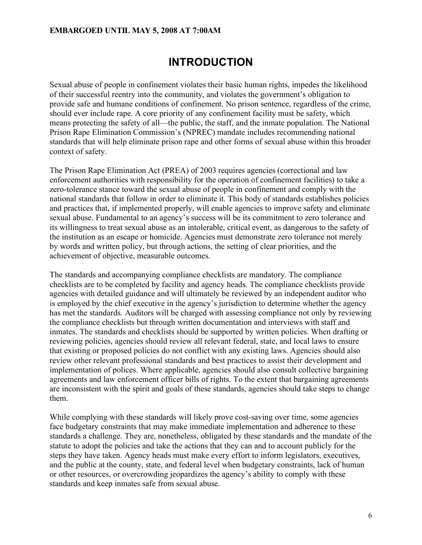# **INTRODUCTION**

Sexual abuse of people in confinement violates their basic human rights, impedes the likelihood of their successful reentry into the community, and violates the government's obligation to provide safe and humane conditions of confinement. No prison sentence, regardless of the crime, should ever include rape. A core priority of any confinement facility must be safety, which means protecting the safety of all—the public, the staff, and the inmate population. The National Prison Rape Elimination Commission's (NPREC) mandate includes recommending national standards that will help eliminate prison rape and other forms of sexual abuse within this broader context of safety.

The Prison Rape Elimination Act (PREA) of 2003 requires agencies (correctional and law enforcement authorities with responsibility for the operation of confinement facilities) to take a zero-tolerance stance toward the sexual abuse of people in confinement and comply with the national standards that follow in order to eliminate it. This body of standards establishes policies and practices that, if implemented properly, will enable agencies to improve safety and eliminate sexual abuse. Fundamental to an agency's success will be its commitment to zero tolerance and its willingness to treat sexual abuse as an intolerable, critical event, as dangerous to the safety of the institution as an escape or homicide. Agencies must demonstrate zero tolerance not merely by words and written policy, but through actions, the setting of clear priorities, and the achievement of objective, measurable outcomes.

The standards and accompanying compliance checklists are mandatory. The compliance checklists are to be completed by facility and agency heads. The compliance checklists provide agencies with detailed guidance and will ultimately be reviewed by an independent auditor who is employed by the chief executive in the agency's jurisdiction to determine whether the agency has met the standards. Auditors will be charged with assessing compliance not only by reviewing the compliance checklists but through written documentation and interviews with staff and inmates. The standards and checklists should be supported by written policies. When drafting or reviewing policies, agencies should review all relevant federal, state, and local laws to ensure that existing or proposed policies do not conflict with any existing laws. Agencies should also review other relevant professional standards and best practices to assist their development and implementation of polices. Where applicable, agencies should also consult collective bargaining agreements and law enforcement officer bills of rights. To the extent that bargaining agreements are inconsistent with the spirit and goals of these standards, agencies should take steps to change them.

While complying with these standards will likely prove cost-saving over time, some agencies face budgetary constraints that may make immediate implementation and adherence to these standards a challenge. They are, nonetheless, obligated by these standards and the mandate of the statute to adopt the policies and take the actions that they can and to account publicly for the steps they have taken. Agency heads must make every effort to inform legislators, executives, and the public at the county, state, and federal level when budgetary constraints, lack of human or other resources, or overcrowding jeopardizes the agency's ability to comply with these standards and keep inmates safe from sexual abuse.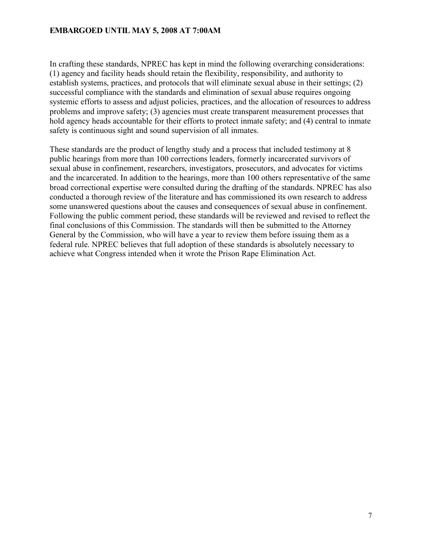In crafting these standards, NPREC has kept in mind the following overarching considerations: (1) agency and facility heads should retain the flexibility, responsibility, and authority to establish systems, practices, and protocols that will eliminate sexual abuse in their settings; (2) successful compliance with the standards and elimination of sexual abuse requires ongoing systemic efforts to assess and adjust policies, practices, and the allocation of resources to address problems and improve safety; (3) agencies must create transparent measurement processes that hold agency heads accountable for their efforts to protect inmate safety; and (4) central to inmate safety is continuous sight and sound supervision of all inmates.

These standards are the product of lengthy study and a process that included testimony at 8 public hearings from more than 100 corrections leaders, formerly incarcerated survivors of sexual abuse in confinement, researchers, investigators, prosecutors, and advocates for victims and the incarcerated. In addition to the hearings, more than 100 others representative of the same broad correctional expertise were consulted during the drafting of the standards. NPREC has also conducted a thorough review of the literature and has commissioned its own research to address some unanswered questions about the causes and consequences of sexual abuse in confinement. Following the public comment period, these standards will be reviewed and revised to reflect the final conclusions of this Commission. The standards will then be submitted to the Attorney General by the Commission, who will have a year to review them before issuing them as a federal rule. NPREC believes that full adoption of these standards is absolutely necessary to achieve what Congress intended when it wrote the Prison Rape Elimination Act.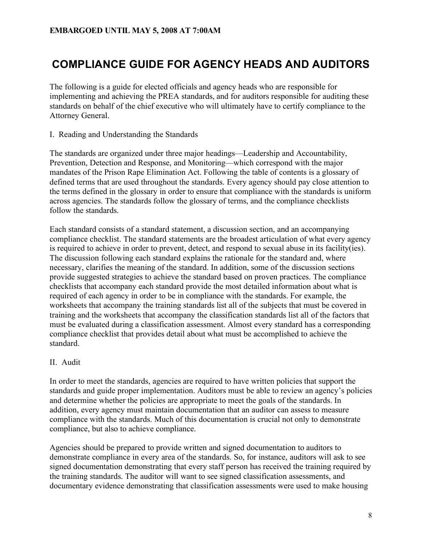# **COMPLIANCE GUIDE FOR AGENCY HEADS AND AUDITORS**

The following is a guide for elected officials and agency heads who are responsible for implementing and achieving the PREA standards, and for auditors responsible for auditing these standards on behalf of the chief executive who will ultimately have to certify compliance to the Attorney General.

I. Reading and Understanding the Standards

The standards are organized under three major headings—Leadership and Accountability, Prevention, Detection and Response, and Monitoring—which correspond with the major mandates of the Prison Rape Elimination Act. Following the table of contents is a glossary of defined terms that are used throughout the standards. Every agency should pay close attention to the terms defined in the glossary in order to ensure that compliance with the standards is uniform across agencies. The standards follow the glossary of terms, and the compliance checklists follow the standards.

Each standard consists of a standard statement, a discussion section, and an accompanying compliance checklist. The standard statements are the broadest articulation of what every agency is required to achieve in order to prevent, detect, and respond to sexual abuse in its facility(ies). The discussion following each standard explains the rationale for the standard and, where necessary, clarifies the meaning of the standard. In addition, some of the discussion sections provide suggested strategies to achieve the standard based on proven practices. The compliance checklists that accompany each standard provide the most detailed information about what is required of each agency in order to be in compliance with the standards. For example, the worksheets that accompany the training standards list all of the subjects that must be covered in training and the worksheets that accompany the classification standards list all of the factors that must be evaluated during a classification assessment. Almost every standard has a corresponding compliance checklist that provides detail about what must be accomplished to achieve the standard.

#### II. Audit

In order to meet the standards, agencies are required to have written policies that support the standards and guide proper implementation. Auditors must be able to review an agency's policies and determine whether the policies are appropriate to meet the goals of the standards. In addition, every agency must maintain documentation that an auditor can assess to measure compliance with the standards. Much of this documentation is crucial not only to demonstrate compliance, but also to achieve compliance.

Agencies should be prepared to provide written and signed documentation to auditors to demonstrate compliance in every area of the standards. So, for instance, auditors will ask to see signed documentation demonstrating that every staff person has received the training required by the training standards. The auditor will want to see signed classification assessments, and documentary evidence demonstrating that classification assessments were used to make housing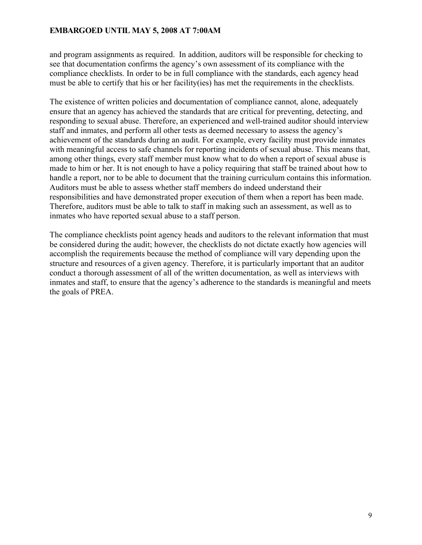and program assignments as required. In addition, auditors will be responsible for checking to see that documentation confirms the agency's own assessment of its compliance with the compliance checklists. In order to be in full compliance with the standards, each agency head must be able to certify that his or her facility(ies) has met the requirements in the checklists.

The existence of written policies and documentation of compliance cannot, alone, adequately ensure that an agency has achieved the standards that are critical for preventing, detecting, and responding to sexual abuse. Therefore, an experienced and well-trained auditor should interview staff and inmates, and perform all other tests as deemed necessary to assess the agency's achievement of the standards during an audit. For example, every facility must provide inmates with meaningful access to safe channels for reporting incidents of sexual abuse. This means that, among other things, every staff member must know what to do when a report of sexual abuse is made to him or her. It is not enough to have a policy requiring that staff be trained about how to handle a report, nor to be able to document that the training curriculum contains this information. Auditors must be able to assess whether staff members do indeed understand their responsibilities and have demonstrated proper execution of them when a report has been made. Therefore, auditors must be able to talk to staff in making such an assessment, as well as to inmates who have reported sexual abuse to a staff person.

The compliance checklists point agency heads and auditors to the relevant information that must be considered during the audit; however, the checklists do not dictate exactly how agencies will accomplish the requirements because the method of compliance will vary depending upon the structure and resources of a given agency. Therefore, it is particularly important that an auditor conduct a thorough assessment of all of the written documentation, as well as interviews with inmates and staff, to ensure that the agency's adherence to the standards is meaningful and meets the goals of PREA.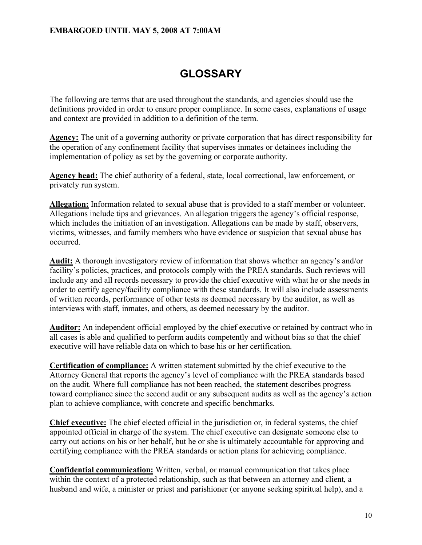# **GLOSSARY**

The following are terms that are used throughout the standards, and agencies should use the definitions provided in order to ensure proper compliance. In some cases, explanations of usage and context are provided in addition to a definition of the term.

**Agency:** The unit of a governing authority or private corporation that has direct responsibility for the operation of any confinement facility that supervises inmates or detainees including the implementation of policy as set by the governing or corporate authority.

**Agency head:** The chief authority of a federal, state, local correctional, law enforcement, or privately run system.

**Allegation:** Information related to sexual abuse that is provided to a staff member or volunteer. Allegations include tips and grievances. An allegation triggers the agency's official response, which includes the initiation of an investigation. Allegations can be made by staff, observers, victims, witnesses, and family members who have evidence or suspicion that sexual abuse has occurred.

**Audit:** A thorough investigatory review of information that shows whether an agency's and/or facility's policies, practices, and protocols comply with the PREA standards. Such reviews will include any and all records necessary to provide the chief executive with what he or she needs in order to certify agency/facility compliance with these standards. It will also include assessments of written records, performance of other tests as deemed necessary by the auditor, as well as interviews with staff, inmates, and others, as deemed necessary by the auditor.

**Auditor:** An independent official employed by the chief executive or retained by contract who in all cases is able and qualified to perform audits competently and without bias so that the chief executive will have reliable data on which to base his or her certification.

**Certification of compliance:** A written statement submitted by the chief executive to the Attorney General that reports the agency's level of compliance with the PREA standards based on the audit. Where full compliance has not been reached, the statement describes progress toward compliance since the second audit or any subsequent audits as well as the agency's action plan to achieve compliance, with concrete and specific benchmarks.

**Chief executive:** The chief elected official in the jurisdiction or, in federal systems, the chief appointed official in charge of the system. The chief executive can designate someone else to carry out actions on his or her behalf, but he or she is ultimately accountable for approving and certifying compliance with the PREA standards or action plans for achieving compliance.

**Confidential communication:** Written, verbal, or manual communication that takes place within the context of a protected relationship, such as that between an attorney and client, a husband and wife, a minister or priest and parishioner (or anyone seeking spiritual help), and a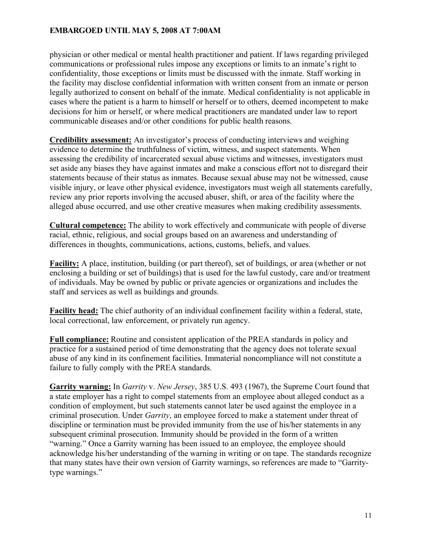physician or other medical or mental health practitioner and patient. If laws regarding privileged communications or professional rules impose any exceptions or limits to an inmate's right to confidentiality, those exceptions or limits must be discussed with the inmate. Staff working in the facility may disclose confidential information with written consent from an inmate or person legally authorized to consent on behalf of the inmate. Medical confidentiality is not applicable in cases where the patient is a harm to himself or herself or to others, deemed incompetent to make decisions for him or herself, or where medical practitioners are mandated under law to report communicable diseases and/or other conditions for public health reasons.

**Credibility assessment:** An investigator's process of conducting interviews and weighing evidence to determine the truthfulness of victim, witness, and suspect statements. When assessing the credibility of incarcerated sexual abuse victims and witnesses, investigators must set aside any biases they have against inmates and make a conscious effort not to disregard their statements because of their status as inmates. Because sexual abuse may not be witnessed, cause visible injury, or leave other physical evidence, investigators must weigh all statements carefully, review any prior reports involving the accused abuser, shift, or area of the facility where the alleged abuse occurred, and use other creative measures when making credibility assessments.

**Cultural competence:** The ability to work effectively and communicate with people of diverse racial, ethnic, religious, and social groups based on an awareness and understanding of differences in thoughts, communications, actions, customs, beliefs, and values.

**Facility:** A place, institution, building (or part thereof), set of buildings, or area (whether or not enclosing a building or set of buildings) that is used for the lawful custody, care and/or treatment of individuals. May be owned by public or private agencies or organizations and includes the staff and services as well as buildings and grounds.

**Facility head:** The chief authority of an individual confinement facility within a federal, state, local correctional, law enforcement, or privately run agency.

**Full compliance:** Routine and consistent application of the PREA standards in policy and practice for a sustained period of time demonstrating that the agency does not tolerate sexual abuse of any kind in its confinement facilities. Immaterial noncompliance will not constitute a failure to fully comply with the PREA standards.

**Garrity warning:** In *Garrity* v. *New Jersey*, 385 U.S. 493 (1967), the Supreme Court found that a state employer has a right to compel statements from an employee about alleged conduct as a condition of employment, but such statements cannot later be used against the employee in a criminal prosecution. Under *Garrity*, an employee forced to make a statement under threat of discipline or termination must be provided immunity from the use of his/her statements in any subsequent criminal prosecution. Immunity should be provided in the form of a written "warning." Once a Garrity warning has been issued to an employee, the employee should acknowledge his/her understanding of the warning in writing or on tape. The standards recognize that many states have their own version of Garrity warnings, so references are made to "Garritytype warnings."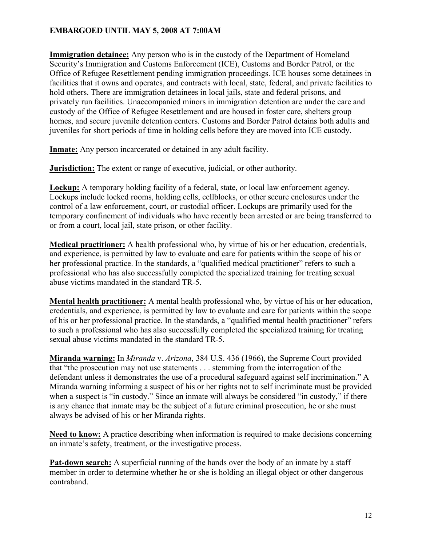**Immigration detainee:** Any person who is in the custody of the Department of Homeland Security's Immigration and Customs Enforcement (ICE), Customs and Border Patrol, or the Office of Refugee Resettlement pending immigration proceedings. ICE houses some detainees in facilities that it owns and operates, and contracts with local, state, federal, and private facilities to hold others. There are immigration detainees in local jails, state and federal prisons, and privately run facilities. Unaccompanied minors in immigration detention are under the care and custody of the Office of Refugee Resettlement and are housed in foster care, shelters group homes, and secure juvenile detention centers. Customs and Border Patrol detains both adults and juveniles for short periods of time in holding cells before they are moved into ICE custody.

**Inmate:** Any person incarcerated or detained in any adult facility.

**Jurisdiction:** The extent or range of executive, judicial, or other authority.

**Lockup:** A temporary holding facility of a federal, state, or local law enforcement agency. Lockups include locked rooms, holding cells, cellblocks, or other secure enclosures under the control of a law enforcement, court, or custodial officer. Lockups are primarily used for the temporary confinement of individuals who have recently been arrested or are being transferred to or from a court, local jail, state prison, or other facility.

**Medical practitioner:** A health professional who, by virtue of his or her education, credentials, and experience, is permitted by law to evaluate and care for patients within the scope of his or her professional practice. In the standards, a "qualified medical practitioner" refers to such a professional who has also successfully completed the specialized training for treating sexual abuse victims mandated in the standard TR-5.

**Mental health practitioner:** A mental health professional who, by virtue of his or her education, credentials, and experience, is permitted by law to evaluate and care for patients within the scope of his or her professional practice. In the standards, a "qualified mental health practitioner" refers to such a professional who has also successfully completed the specialized training for treating sexual abuse victims mandated in the standard TR-5.

**Miranda warning:** In *Miranda* v. *Arizona*, 384 U.S. 436 (1966), the Supreme Court provided that "the prosecution may not use statements . . . stemming from the interrogation of the defendant unless it demonstrates the use of a procedural safeguard against self incrimination." A Miranda warning informing a suspect of his or her rights not to self incriminate must be provided when a suspect is "in custody." Since an inmate will always be considered "in custody," if there is any chance that inmate may be the subject of a future criminal prosecution, he or she must always be advised of his or her Miranda rights.

**Need to know:** A practice describing when information is required to make decisions concerning an inmate's safety, treatment, or the investigative process.

**Pat-down search:** A superficial running of the hands over the body of an inmate by a staff member in order to determine whether he or she is holding an illegal object or other dangerous contraband.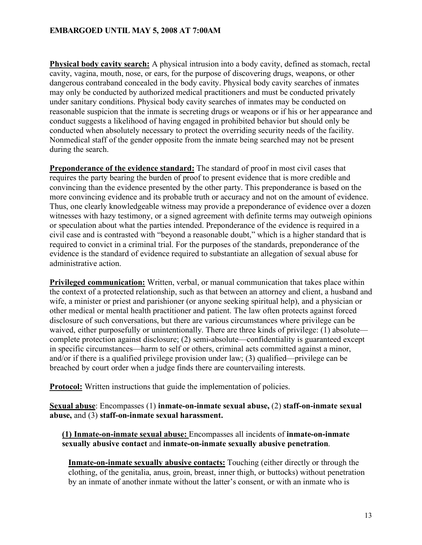**Physical body cavity search:** A physical intrusion into a body cavity, defined as stomach, rectal cavity, vagina, mouth, nose, or ears, for the purpose of discovering drugs, weapons, or other dangerous contraband concealed in the body cavity. Physical body cavity searches of inmates may only be conducted by authorized medical practitioners and must be conducted privately under sanitary conditions. Physical body cavity searches of inmates may be conducted on reasonable suspicion that the inmate is secreting drugs or weapons or if his or her appearance and conduct suggests a likelihood of having engaged in prohibited behavior but should only be conducted when absolutely necessary to protect the overriding security needs of the facility. Nonmedical staff of the gender opposite from the inmate being searched may not be present during the search.

**Preponderance of the evidence standard:** The standard of proof in most civil cases that requires the party bearing the burden of proof to present evidence that is more credible and convincing than the evidence presented by the other party. This preponderance is based on the more convincing evidence and its probable truth or accuracy and not on the amount of evidence. Thus, one clearly knowledgeable witness may provide a preponderance of evidence over a dozen witnesses with hazy testimony, or a signed agreement with definite terms may outweigh opinions or speculation about what the parties intended. Preponderance of the evidence is required in a civil case and is contrasted with "beyond a reasonable doubt," which is a higher standard that is required to convict in a criminal trial. For the purposes of the standards, preponderance of the evidence is the standard of evidence required to substantiate an allegation of sexual abuse for administrative action.

**Privileged communication:** Written, verbal, or manual communication that takes place within the context of a protected relationship, such as that between an attorney and client, a husband and wife, a minister or priest and parishioner (or anyone seeking spiritual help), and a physician or other medical or mental health practitioner and patient. The law often protects against forced disclosure of such conversations, but there are various circumstances where privilege can be waived, either purposefully or unintentionally. There are three kinds of privilege: (1) absolute complete protection against disclosure; (2) semi-absolute—confidentiality is guaranteed except in specific circumstances—harm to self or others, criminal acts committed against a minor, and/or if there is a qualified privilege provision under law; (3) qualified—privilege can be breached by court order when a judge finds there are countervailing interests.

**Protocol:** Written instructions that guide the implementation of policies.

**Sexual abuse**: Encompasses (1) **inmate-on-inmate sexual abuse,** (2) **staff-on-inmate sexual abuse,** and (3) **staff-on-inmate sexual harassment.**

**(1) Inmate-on-inmate sexual abuse:** Encompasses all incidents of **inmate-on-inmate sexually abusive contact** and **inmate-on-inmate sexually abusive penetration**.

**Inmate-on-inmate sexually abusive contacts:** Touching (either directly or through the clothing, of the genitalia, anus, groin, breast, inner thigh, or buttocks) without penetration by an inmate of another inmate without the latter's consent, or with an inmate who is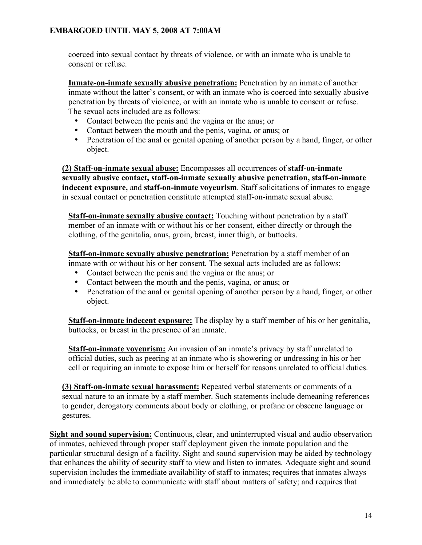coerced into sexual contact by threats of violence, or with an inmate who is unable to consent or refuse.

**Inmate-on-inmate sexually abusive penetration:** Penetration by an inmate of another inmate without the latter's consent, or with an inmate who is coerced into sexually abusive penetration by threats of violence, or with an inmate who is unable to consent or refuse. The sexual acts included are as follows:

- Contact between the penis and the vagina or the anus; or
- Contact between the mouth and the penis, vagina, or anus; or
- Penetration of the anal or genital opening of another person by a hand, finger, or other object.

**(2) Staff-on-inmate sexual abuse:** Encompasses all occurrences of **staff-on-inmate sexually abusive contact, staff-on-inmate sexually abusive penetration, staff-on-inmate indecent exposure,** and **staff-on-inmate voyeurism**. Staff solicitations of inmates to engage in sexual contact or penetration constitute attempted staff-on-inmate sexual abuse.

**Staff-on-inmate sexually abusive contact:** Touching without penetration by a staff member of an inmate with or without his or her consent, either directly or through the clothing, of the genitalia, anus, groin, breast, inner thigh, or buttocks.

**Staff-on-inmate sexually abusive penetration:** Penetration by a staff member of an inmate with or without his or her consent. The sexual acts included are as follows:

- Contact between the penis and the vagina or the anus; or
- Contact between the mouth and the penis, vagina, or anus; or
- Penetration of the anal or genital opening of another person by a hand, finger, or other object.

**Staff-on-inmate indecent exposure:** The display by a staff member of his or her genitalia, buttocks, or breast in the presence of an inmate.

**Staff-on-inmate voyeurism:** An invasion of an inmate's privacy by staff unrelated to official duties, such as peering at an inmate who is showering or undressing in his or her cell or requiring an inmate to expose him or herself for reasons unrelated to official duties.

**(3) Staff-on-inmate sexual harassment:** Repeated verbal statements or comments of a sexual nature to an inmate by a staff member. Such statements include demeaning references to gender, derogatory comments about body or clothing, or profane or obscene language or gestures.

**Sight and sound supervision:** Continuous, clear, and uninterrupted visual and audio observation of inmates, achieved through proper staff deployment given the inmate population and the particular structural design of a facility. Sight and sound supervision may be aided by technology that enhances the ability of security staff to view and listen to inmates. Adequate sight and sound supervision includes the immediate availability of staff to inmates; requires that inmates always and immediately be able to communicate with staff about matters of safety; and requires that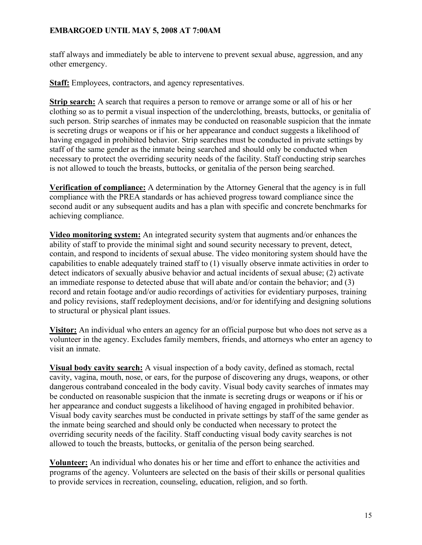staff always and immediately be able to intervene to prevent sexual abuse, aggression, and any other emergency.

**Staff:** Employees, contractors, and agency representatives.

**Strip search:** A search that requires a person to remove or arrange some or all of his or her clothing so as to permit a visual inspection of the underclothing, breasts, buttocks, or genitalia of such person. Strip searches of inmates may be conducted on reasonable suspicion that the inmate is secreting drugs or weapons or if his or her appearance and conduct suggests a likelihood of having engaged in prohibited behavior. Strip searches must be conducted in private settings by staff of the same gender as the inmate being searched and should only be conducted when necessary to protect the overriding security needs of the facility. Staff conducting strip searches is not allowed to touch the breasts, buttocks, or genitalia of the person being searched.

**Verification of compliance:** A determination by the Attorney General that the agency is in full compliance with the PREA standards or has achieved progress toward compliance since the second audit or any subsequent audits and has a plan with specific and concrete benchmarks for achieving compliance.

**Video monitoring system:** An integrated security system that augments and/or enhances the ability of staff to provide the minimal sight and sound security necessary to prevent, detect, contain, and respond to incidents of sexual abuse. The video monitoring system should have the capabilities to enable adequately trained staff to (1) visually observe inmate activities in order to detect indicators of sexually abusive behavior and actual incidents of sexual abuse; (2) activate an immediate response to detected abuse that will abate and/or contain the behavior; and (3) record and retain footage and/or audio recordings of activities for evidentiary purposes, training and policy revisions, staff redeployment decisions, and/or for identifying and designing solutions to structural or physical plant issues.

**Visitor:** An individual who enters an agency for an official purpose but who does not serve as a volunteer in the agency. Excludes family members, friends, and attorneys who enter an agency to visit an inmate.

**Visual body cavity search:** A visual inspection of a body cavity, defined as stomach, rectal cavity, vagina, mouth, nose, or ears, for the purpose of discovering any drugs, weapons, or other dangerous contraband concealed in the body cavity. Visual body cavity searches of inmates may be conducted on reasonable suspicion that the inmate is secreting drugs or weapons or if his or her appearance and conduct suggests a likelihood of having engaged in prohibited behavior. Visual body cavity searches must be conducted in private settings by staff of the same gender as the inmate being searched and should only be conducted when necessary to protect the overriding security needs of the facility. Staff conducting visual body cavity searches is not allowed to touch the breasts, buttocks, or genitalia of the person being searched.

**Volunteer:** An individual who donates his or her time and effort to enhance the activities and programs of the agency. Volunteers are selected on the basis of their skills or personal qualities to provide services in recreation, counseling, education, religion, and so forth.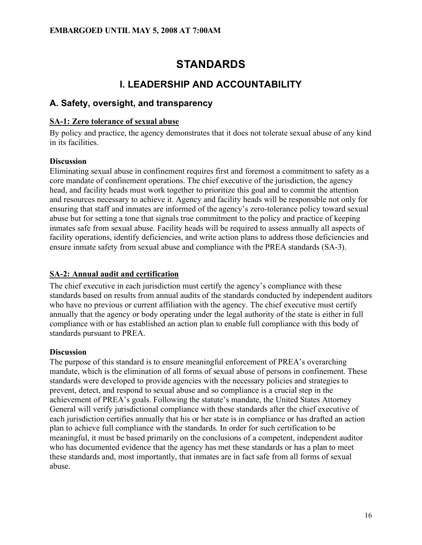# **STANDARDS**

# **I. LEADERSHIP AND ACCOUNTABILITY**

# **A. Safety, oversight, and transparency**

## **SA-1: Zero tolerance of sexual abuse**

By policy and practice, the agency demonstrates that it does not tolerate sexual abuse of any kind in its facilities.

## **Discussion**

Eliminating sexual abuse in confinement requires first and foremost a commitment to safety as a core mandate of confinement operations. The chief executive of the jurisdiction, the agency head, and facility heads must work together to prioritize this goal and to commit the attention and resources necessary to achieve it. Agency and facility heads will be responsible not only for ensuring that staff and inmates are informed of the agency's zero-tolerance policy toward sexual abuse but for setting a tone that signals true commitment to the policy and practice of keeping inmates safe from sexual abuse. Facility heads will be required to assess annually all aspects of facility operations, identify deficiencies, and write action plans to address those deficiencies and ensure inmate safety from sexual abuse and compliance with the PREA standards (SA-3).

# **SA-2: Annual audit and certification**

The chief executive in each jurisdiction must certify the agency's compliance with these standards based on results from annual audits of the standards conducted by independent auditors who have no previous or current affiliation with the agency. The chief executive must certify annually that the agency or body operating under the legal authority of the state is either in full compliance with or has established an action plan to enable full compliance with this body of standards pursuant to PREA.

# **Discussion**

The purpose of this standard is to ensure meaningful enforcement of PREA's overarching mandate, which is the elimination of all forms of sexual abuse of persons in confinement. These standards were developed to provide agencies with the necessary policies and strategies to prevent, detect, and respond to sexual abuse and so compliance is a crucial step in the achievement of PREA's goals. Following the statute's mandate, the United States Attorney General will verify jurisdictional compliance with these standards after the chief executive of each jurisdiction certifies annually that his or her state is in compliance or has drafted an action plan to achieve full compliance with the standards. In order for such certification to be meaningful, it must be based primarily on the conclusions of a competent, independent auditor who has documented evidence that the agency has met these standards or has a plan to meet these standards and, most importantly, that inmates are in fact safe from all forms of sexual abuse.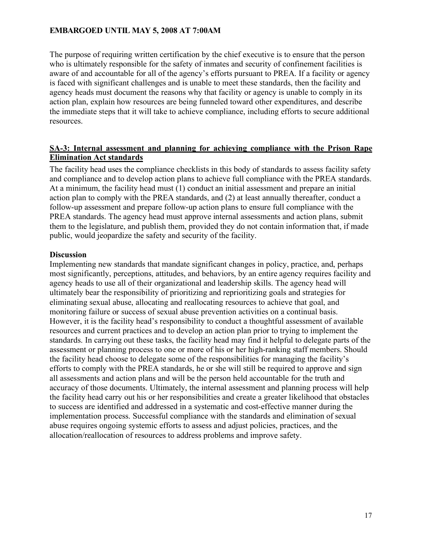The purpose of requiring written certification by the chief executive is to ensure that the person who is ultimately responsible for the safety of inmates and security of confinement facilities is aware of and accountable for all of the agency's efforts pursuant to PREA. If a facility or agency is faced with significant challenges and is unable to meet these standards, then the facility and agency heads must document the reasons why that facility or agency is unable to comply in its action plan, explain how resources are being funneled toward other expenditures, and describe the immediate steps that it will take to achieve compliance, including efforts to secure additional resources.

## **SA-3: Internal assessment and planning for achieving compliance with the Prison Rape Elimination Act standards**

The facility head uses the compliance checklists in this body of standards to assess facility safety and compliance and to develop action plans to achieve full compliance with the PREA standards. At a minimum, the facility head must (1) conduct an initial assessment and prepare an initial action plan to comply with the PREA standards, and (2) at least annually thereafter, conduct a follow-up assessment and prepare follow-up action plans to ensure full compliance with the PREA standards. The agency head must approve internal assessments and action plans, submit them to the legislature, and publish them, provided they do not contain information that, if made public, would jeopardize the safety and security of the facility.

## **Discussion**

Implementing new standards that mandate significant changes in policy, practice, and, perhaps most significantly, perceptions, attitudes, and behaviors, by an entire agency requires facility and agency heads to use all of their organizational and leadership skills. The agency head will ultimately bear the responsibility of prioritizing and reprioritizing goals and strategies for eliminating sexual abuse, allocating and reallocating resources to achieve that goal, and monitoring failure or success of sexual abuse prevention activities on a continual basis. However, it is the facility head's responsibility to conduct a thoughtful assessment of available resources and current practices and to develop an action plan prior to trying to implement the standards. In carrying out these tasks, the facility head may find it helpful to delegate parts of the assessment or planning process to one or more of his or her high-ranking staff members. Should the facility head choose to delegate some of the responsibilities for managing the facility's efforts to comply with the PREA standards, he or she will still be required to approve and sign all assessments and action plans and will be the person held accountable for the truth and accuracy of those documents. Ultimately, the internal assessment and planning process will help the facility head carry out his or her responsibilities and create a greater likelihood that obstacles to success are identified and addressed in a systematic and cost-effective manner during the implementation process. Successful compliance with the standards and elimination of sexual abuse requires ongoing systemic efforts to assess and adjust policies, practices, and the allocation/reallocation of resources to address problems and improve safety.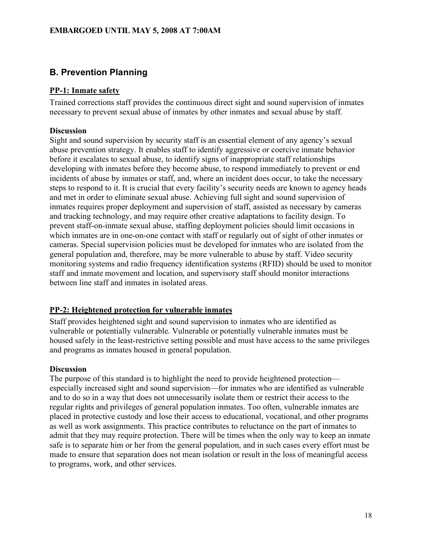# **B. Prevention Planning**

# **PP-1: Inmate safety**

Trained corrections staff provides the continuous direct sight and sound supervision of inmates necessary to prevent sexual abuse of inmates by other inmates and sexual abuse by staff.

## **Discussion**

Sight and sound supervision by security staff is an essential element of any agency's sexual abuse prevention strategy. It enables staff to identify aggressive or coercive inmate behavior before it escalates to sexual abuse, to identify signs of inappropriate staff relationships developing with inmates before they become abuse, to respond immediately to prevent or end incidents of abuse by inmates or staff, and, where an incident does occur, to take the necessary steps to respond to it. It is crucial that every facility's security needs are known to agency heads and met in order to eliminate sexual abuse. Achieving full sight and sound supervision of inmates requires proper deployment and supervision of staff, assisted as necessary by cameras and tracking technology, and may require other creative adaptations to facility design. To prevent staff-on-inmate sexual abuse, staffing deployment policies should limit occasions in which inmates are in one-on-one contact with staff or regularly out of sight of other inmates or cameras. Special supervision policies must be developed for inmates who are isolated from the general population and, therefore, may be more vulnerable to abuse by staff. Video security monitoring systems and radio frequency identification systems (RFID) should be used to monitor staff and inmate movement and location, and supervisory staff should monitor interactions between line staff and inmates in isolated areas.

# **PP-2: Heightened protection for vulnerable inmates**

Staff provides heightened sight and sound supervision to inmates who are identified as vulnerable or potentially vulnerable. Vulnerable or potentially vulnerable inmates must be housed safely in the least-restrictive setting possible and must have access to the same privileges and programs as inmates housed in general population.

# **Discussion**

The purpose of this standard is to highlight the need to provide heightened protection especially increased sight and sound supervision—for inmates who are identified as vulnerable and to do so in a way that does not unnecessarily isolate them or restrict their access to the regular rights and privileges of general population inmates. Too often, vulnerable inmates are placed in protective custody and lose their access to educational, vocational, and other programs as well as work assignments. This practice contributes to reluctance on the part of inmates to admit that they may require protection. There will be times when the only way to keep an inmate safe is to separate him or her from the general population, and in such cases every effort must be made to ensure that separation does not mean isolation or result in the loss of meaningful access to programs, work, and other services.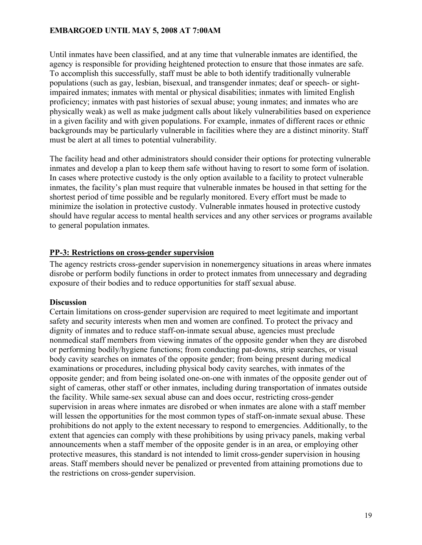Until inmates have been classified, and at any time that vulnerable inmates are identified, the agency is responsible for providing heightened protection to ensure that those inmates are safe. To accomplish this successfully, staff must be able to both identify traditionally vulnerable populations (such as gay, lesbian, bisexual, and transgender inmates; deaf or speech- or sightimpaired inmates; inmates with mental or physical disabilities; inmates with limited English proficiency; inmates with past histories of sexual abuse; young inmates; and inmates who are physically weak) as well as make judgment calls about likely vulnerabilities based on experience in a given facility and with given populations. For example, inmates of different races or ethnic backgrounds may be particularly vulnerable in facilities where they are a distinct minority. Staff must be alert at all times to potential vulnerability.

The facility head and other administrators should consider their options for protecting vulnerable inmates and develop a plan to keep them safe without having to resort to some form of isolation. In cases where protective custody is the only option available to a facility to protect vulnerable inmates, the facility's plan must require that vulnerable inmates be housed in that setting for the shortest period of time possible and be regularly monitored. Every effort must be made to minimize the isolation in protective custody. Vulnerable inmates housed in protective custody should have regular access to mental health services and any other services or programs available to general population inmates.

## **PP-3: Restrictions on cross-gender supervision**

The agency restricts cross-gender supervision in nonemergency situations in areas where inmates disrobe or perform bodily functions in order to protect inmates from unnecessary and degrading exposure of their bodies and to reduce opportunities for staff sexual abuse.

#### **Discussion**

Certain limitations on cross-gender supervision are required to meet legitimate and important safety and security interests when men and women are confined. To protect the privacy and dignity of inmates and to reduce staff-on-inmate sexual abuse, agencies must preclude nonmedical staff members from viewing inmates of the opposite gender when they are disrobed or performing bodily/hygiene functions; from conducting pat-downs, strip searches, or visual body cavity searches on inmates of the opposite gender; from being present during medical examinations or procedures, including physical body cavity searches, with inmates of the opposite gender; and from being isolated one-on-one with inmates of the opposite gender out of sight of cameras, other staff or other inmates, including during transportation of inmates outside the facility. While same-sex sexual abuse can and does occur, restricting cross-gender supervision in areas where inmates are disrobed or when inmates are alone with a staff member will lessen the opportunities for the most common types of staff-on-inmate sexual abuse. These prohibitions do not apply to the extent necessary to respond to emergencies. Additionally, to the extent that agencies can comply with these prohibitions by using privacy panels, making verbal announcements when a staff member of the opposite gender is in an area, or employing other protective measures, this standard is not intended to limit cross-gender supervision in housing areas. Staff members should never be penalized or prevented from attaining promotions due to the restrictions on cross-gender supervision.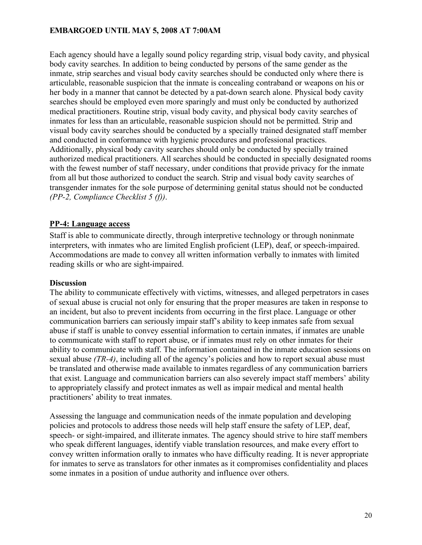Each agency should have a legally sound policy regarding strip, visual body cavity, and physical body cavity searches. In addition to being conducted by persons of the same gender as the inmate, strip searches and visual body cavity searches should be conducted only where there is articulable, reasonable suspicion that the inmate is concealing contraband or weapons on his or her body in a manner that cannot be detected by a pat-down search alone. Physical body cavity searches should be employed even more sparingly and must only be conducted by authorized medical practitioners. Routine strip, visual body cavity, and physical body cavity searches of inmates for less than an articulable, reasonable suspicion should not be permitted. Strip and visual body cavity searches should be conducted by a specially trained designated staff member and conducted in conformance with hygienic procedures and professional practices. Additionally, physical body cavity searches should only be conducted by specially trained authorized medical practitioners. All searches should be conducted in specially designated rooms with the fewest number of staff necessary, under conditions that provide privacy for the inmate from all but those authorized to conduct the search. Strip and visual body cavity searches of transgender inmates for the sole purpose of determining genital status should not be conducted *(PP-2, Compliance Checklist 5 (f))*.

## **PP-4: Language access**

Staff is able to communicate directly, through interpretive technology or through noninmate interpreters, with inmates who are limited English proficient (LEP), deaf, or speech-impaired. Accommodations are made to convey all written information verbally to inmates with limited reading skills or who are sight-impaired.

#### **Discussion**

The ability to communicate effectively with victims, witnesses, and alleged perpetrators in cases of sexual abuse is crucial not only for ensuring that the proper measures are taken in response to an incident, but also to prevent incidents from occurring in the first place. Language or other communication barriers can seriously impair staff's ability to keep inmates safe from sexual abuse if staff is unable to convey essential information to certain inmates, if inmates are unable to communicate with staff to report abuse, or if inmates must rely on other inmates for their ability to communicate with staff. The information contained in the inmate education sessions on sexual abuse *(TR-4)*, including all of the agency's policies and how to report sexual abuse must be translated and otherwise made available to inmates regardless of any communication barriers that exist. Language and communication barriers can also severely impact staff members' ability to appropriately classify and protect inmates as well as impair medical and mental health practitioners' ability to treat inmates.

Assessing the language and communication needs of the inmate population and developing policies and protocols to address those needs will help staff ensure the safety of LEP, deaf, speech- or sight-impaired, and illiterate inmates. The agency should strive to hire staff members who speak different languages, identify viable translation resources, and make every effort to convey written information orally to inmates who have difficulty reading. It is never appropriate for inmates to serve as translators for other inmates as it compromises confidentiality and places some inmates in a position of undue authority and influence over others.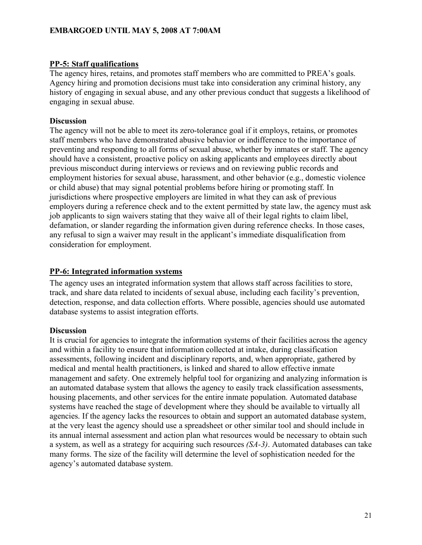#### **PP-5: Staff qualifications**

The agency hires, retains, and promotes staff members who are committed to PREA's goals. Agency hiring and promotion decisions must take into consideration any criminal history, any history of engaging in sexual abuse, and any other previous conduct that suggests a likelihood of engaging in sexual abuse.

#### **Discussion**

The agency will not be able to meet its zero-tolerance goal if it employs, retains, or promotes staff members who have demonstrated abusive behavior or indifference to the importance of preventing and responding to all forms of sexual abuse, whether by inmates or staff. The agency should have a consistent, proactive policy on asking applicants and employees directly about previous misconduct during interviews or reviews and on reviewing public records and employment histories for sexual abuse, harassment, and other behavior (e.g., domestic violence or child abuse) that may signal potential problems before hiring or promoting staff. In jurisdictions where prospective employers are limited in what they can ask of previous employers during a reference check and to the extent permitted by state law, the agency must ask job applicants to sign waivers stating that they waive all of their legal rights to claim libel, defamation, or slander regarding the information given during reference checks. In those cases, any refusal to sign a waiver may result in the applicant's immediate disqualification from consideration for employment.

#### **PP-6: Integrated information systems**

The agency uses an integrated information system that allows staff across facilities to store, track, and share data related to incidents of sexual abuse, including each facility's prevention, detection, response, and data collection efforts. Where possible, agencies should use automated database systems to assist integration efforts.

#### **Discussion**

It is crucial for agencies to integrate the information systems of their facilities across the agency and within a facility to ensure that information collected at intake, during classification assessments, following incident and disciplinary reports, and, when appropriate, gathered by medical and mental health practitioners, is linked and shared to allow effective inmate management and safety. One extremely helpful tool for organizing and analyzing information is an automated database system that allows the agency to easily track classification assessments, housing placements, and other services for the entire inmate population. Automated database systems have reached the stage of development where they should be available to virtually all agencies. If the agency lacks the resources to obtain and support an automated database system, at the very least the agency should use a spreadsheet or other similar tool and should include in its annual internal assessment and action plan what resources would be necessary to obtain such a system, as well as a strategy for acquiring such resources *(SA-3)*. Automated databases can take many forms. The size of the facility will determine the level of sophistication needed for the agency's automated database system.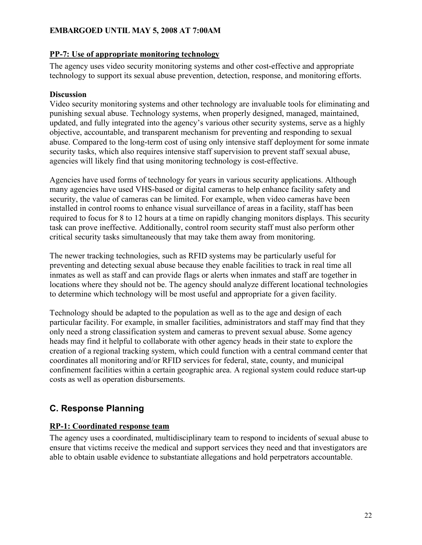## **PP-7: Use of appropriate monitoring technology**

The agency uses video security monitoring systems and other cost-effective and appropriate technology to support its sexual abuse prevention, detection, response, and monitoring efforts.

## **Discussion**

Video security monitoring systems and other technology are invaluable tools for eliminating and punishing sexual abuse. Technology systems, when properly designed, managed, maintained, updated, and fully integrated into the agency's various other security systems, serve as a highly objective, accountable, and transparent mechanism for preventing and responding to sexual abuse. Compared to the long-term cost of using only intensive staff deployment for some inmate security tasks, which also requires intensive staff supervision to prevent staff sexual abuse, agencies will likely find that using monitoring technology is cost-effective.

Agencies have used forms of technology for years in various security applications. Although many agencies have used VHS-based or digital cameras to help enhance facility safety and security, the value of cameras can be limited. For example, when video cameras have been installed in control rooms to enhance visual surveillance of areas in a facility, staff has been required to focus for 8 to 12 hours at a time on rapidly changing monitors displays. This security task can prove ineffective. Additionally, control room security staff must also perform other critical security tasks simultaneously that may take them away from monitoring.

The newer tracking technologies, such as RFID systems may be particularly useful for preventing and detecting sexual abuse because they enable facilities to track in real time all inmates as well as staff and can provide flags or alerts when inmates and staff are together in locations where they should not be. The agency should analyze different locational technologies to determine which technology will be most useful and appropriate for a given facility.

Technology should be adapted to the population as well as to the age and design of each particular facility. For example, in smaller facilities, administrators and staff may find that they only need a strong classification system and cameras to prevent sexual abuse. Some agency heads may find it helpful to collaborate with other agency heads in their state to explore the creation of a regional tracking system, which could function with a central command center that coordinates all monitoring and/or RFID services for federal, state, county, and municipal confinement facilities within a certain geographic area. A regional system could reduce start-up costs as well as operation disbursements.

# **C. Response Planning**

# **RP-1: Coordinated response team**

The agency uses a coordinated, multidisciplinary team to respond to incidents of sexual abuse to ensure that victims receive the medical and support services they need and that investigators are able to obtain usable evidence to substantiate allegations and hold perpetrators accountable.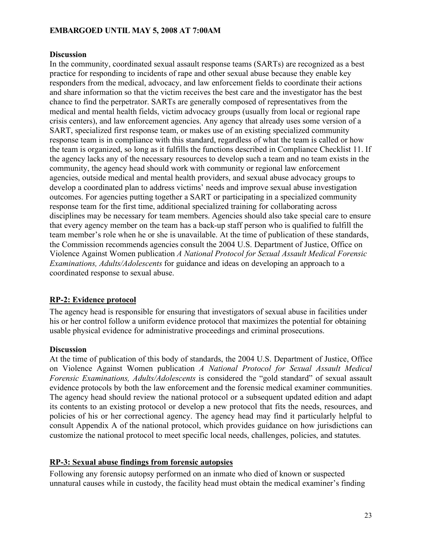#### **Discussion**

In the community, coordinated sexual assault response teams (SARTs) are recognized as a best practice for responding to incidents of rape and other sexual abuse because they enable key responders from the medical, advocacy, and law enforcement fields to coordinate their actions and share information so that the victim receives the best care and the investigator has the best chance to find the perpetrator. SARTs are generally composed of representatives from the medical and mental health fields, victim advocacy groups (usually from local or regional rape crisis centers), and law enforcement agencies. Any agency that already uses some version of a SART, specialized first response team, or makes use of an existing specialized community response team is in compliance with this standard, regardless of what the team is called or how the team is organized, so long as it fulfills the functions described in Compliance Checklist 11. If the agency lacks any of the necessary resources to develop such a team and no team exists in the community, the agency head should work with community or regional law enforcement agencies, outside medical and mental health providers, and sexual abuse advocacy groups to develop a coordinated plan to address victims' needs and improve sexual abuse investigation outcomes. For agencies putting together a SART or participating in a specialized community response team for the first time, additional specialized training for collaborating across disciplines may be necessary for team members. Agencies should also take special care to ensure that every agency member on the team has a back-up staff person who is qualified to fulfill the team member's role when he or she is unavailable. At the time of publication of these standards, the Commission recommends agencies consult the 2004 U.S. Department of Justice, Office on Violence Against Women publication *A National Protocol for Sexual Assault Medical Forensic Examinations, Adults/Adolescents* for guidance and ideas on developing an approach to a coordinated response to sexual abuse.

#### **RP-2: Evidence protocol**

The agency head is responsible for ensuring that investigators of sexual abuse in facilities under his or her control follow a uniform evidence protocol that maximizes the potential for obtaining usable physical evidence for administrative proceedings and criminal prosecutions.

#### **Discussion**

At the time of publication of this body of standards, the 2004 U.S. Department of Justice, Office on Violence Against Women publication *A National Protocol for Sexual Assault Medical Forensic Examinations, Adults/Adolescents* is considered the "gold standard" of sexual assault evidence protocols by both the law enforcement and the forensic medical examiner communities. The agency head should review the national protocol or a subsequent updated edition and adapt its contents to an existing protocol or develop a new protocol that fits the needs, resources, and policies of his or her correctional agency. The agency head may find it particularly helpful to consult Appendix A of the national protocol, which provides guidance on how jurisdictions can customize the national protocol to meet specific local needs, challenges, policies, and statutes.

#### **RP-3: Sexual abuse findings from forensic autopsies**

Following any forensic autopsy performed on an inmate who died of known or suspected unnatural causes while in custody, the facility head must obtain the medical examiner's finding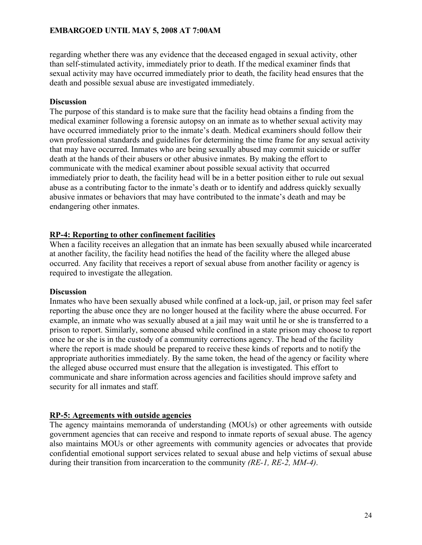regarding whether there was any evidence that the deceased engaged in sexual activity, other than self-stimulated activity, immediately prior to death. If the medical examiner finds that sexual activity may have occurred immediately prior to death, the facility head ensures that the death and possible sexual abuse are investigated immediately.

#### **Discussion**

The purpose of this standard is to make sure that the facility head obtains a finding from the medical examiner following a forensic autopsy on an inmate as to whether sexual activity may have occurred immediately prior to the inmate's death. Medical examiners should follow their own professional standards and guidelines for determining the time frame for any sexual activity that may have occurred. Inmates who are being sexually abused may commit suicide or suffer death at the hands of their abusers or other abusive inmates. By making the effort to communicate with the medical examiner about possible sexual activity that occurred immediately prior to death, the facility head will be in a better position either to rule out sexual abuse as a contributing factor to the inmate's death or to identify and address quickly sexually abusive inmates or behaviors that may have contributed to the inmate's death and may be endangering other inmates.

# **RP-4: Reporting to other confinement facilities**

When a facility receives an allegation that an inmate has been sexually abused while incarcerated at another facility, the facility head notifies the head of the facility where the alleged abuse occurred. Any facility that receives a report of sexual abuse from another facility or agency is required to investigate the allegation.

#### **Discussion**

Inmates who have been sexually abused while confined at a lock-up, jail, or prison may feel safer reporting the abuse once they are no longer housed at the facility where the abuse occurred. For example, an inmate who was sexually abused at a jail may wait until he or she is transferred to a prison to report. Similarly, someone abused while confined in a state prison may choose to report once he or she is in the custody of a community corrections agency. The head of the facility where the report is made should be prepared to receive these kinds of reports and to notify the appropriate authorities immediately. By the same token, the head of the agency or facility where the alleged abuse occurred must ensure that the allegation is investigated. This effort to communicate and share information across agencies and facilities should improve safety and security for all inmates and staff.

#### **RP-5: Agreements with outside agencies**

The agency maintains memoranda of understanding (MOUs) or other agreements with outside government agencies that can receive and respond to inmate reports of sexual abuse. The agency also maintains MOUs or other agreements with community agencies or advocates that provide confidential emotional support services related to sexual abuse and help victims of sexual abuse during their transition from incarceration to the community *(RE-1, RE-2, MM-4)*.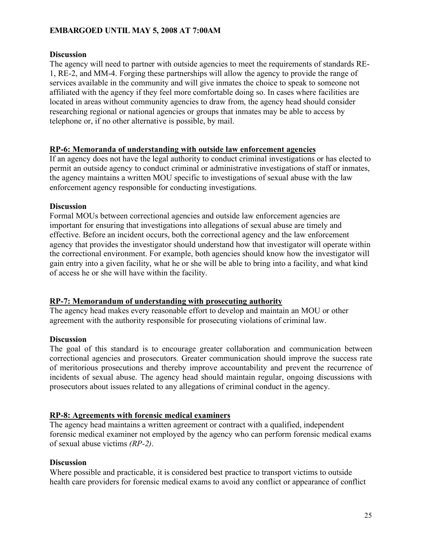#### **Discussion**

The agency will need to partner with outside agencies to meet the requirements of standards RE-1, RE-2, and MM-4. Forging these partnerships will allow the agency to provide the range of services available in the community and will give inmates the choice to speak to someone not affiliated with the agency if they feel more comfortable doing so. In cases where facilities are located in areas without community agencies to draw from, the agency head should consider researching regional or national agencies or groups that inmates may be able to access by telephone or, if no other alternative is possible, by mail.

#### **RP-6: Memoranda of understanding with outside law enforcement agencies**

If an agency does not have the legal authority to conduct criminal investigations or has elected to permit an outside agency to conduct criminal or administrative investigations of staff or inmates, the agency maintains a written MOU specific to investigations of sexual abuse with the law enforcement agency responsible for conducting investigations.

#### **Discussion**

Formal MOUs between correctional agencies and outside law enforcement agencies are important for ensuring that investigations into allegations of sexual abuse are timely and effective. Before an incident occurs, both the correctional agency and the law enforcement agency that provides the investigator should understand how that investigator will operate within the correctional environment. For example, both agencies should know how the investigator will gain entry into a given facility, what he or she will be able to bring into a facility, and what kind of access he or she will have within the facility.

#### **RP-7: Memorandum of understanding with prosecuting authority**

The agency head makes every reasonable effort to develop and maintain an MOU or other agreement with the authority responsible for prosecuting violations of criminal law.

#### **Discussion**

The goal of this standard is to encourage greater collaboration and communication between correctional agencies and prosecutors. Greater communication should improve the success rate of meritorious prosecutions and thereby improve accountability and prevent the recurrence of incidents of sexual abuse. The agency head should maintain regular, ongoing discussions with prosecutors about issues related to any allegations of criminal conduct in the agency.

#### **RP-8: Agreements with forensic medical examiners**

The agency head maintains a written agreement or contract with a qualified, independent forensic medical examiner not employed by the agency who can perform forensic medical exams of sexual abuse victims *(RP-2)*.

#### **Discussion**

Where possible and practicable, it is considered best practice to transport victims to outside health care providers for forensic medical exams to avoid any conflict or appearance of conflict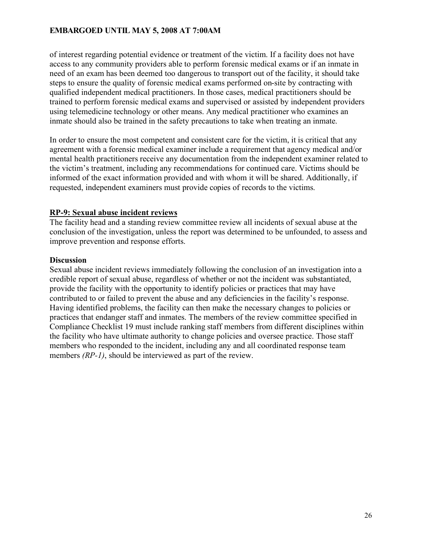of interest regarding potential evidence or treatment of the victim. If a facility does not have access to any community providers able to perform forensic medical exams or if an inmate in need of an exam has been deemed too dangerous to transport out of the facility, it should take steps to ensure the quality of forensic medical exams performed on-site by contracting with qualified independent medical practitioners. In those cases, medical practitioners should be trained to perform forensic medical exams and supervised or assisted by independent providers using telemedicine technology or other means. Any medical practitioner who examines an inmate should also be trained in the safety precautions to take when treating an inmate.

In order to ensure the most competent and consistent care for the victim, it is critical that any agreement with a forensic medical examiner include a requirement that agency medical and/or mental health practitioners receive any documentation from the independent examiner related to the victim's treatment, including any recommendations for continued care. Victims should be informed of the exact information provided and with whom it will be shared. Additionally, if requested, independent examiners must provide copies of records to the victims.

#### **RP-9: Sexual abuse incident reviews**

The facility head and a standing review committee review all incidents of sexual abuse at the conclusion of the investigation, unless the report was determined to be unfounded, to assess and improve prevention and response efforts.

#### **Discussion**

Sexual abuse incident reviews immediately following the conclusion of an investigation into a credible report of sexual abuse, regardless of whether or not the incident was substantiated, provide the facility with the opportunity to identify policies or practices that may have contributed to or failed to prevent the abuse and any deficiencies in the facility's response. Having identified problems, the facility can then make the necessary changes to policies or practices that endanger staff and inmates. The members of the review committee specified in Compliance Checklist 19 must include ranking staff members from different disciplines within the facility who have ultimate authority to change policies and oversee practice. Those staff members who responded to the incident, including any and all coordinated response team members *(RP-1)*, should be interviewed as part of the review.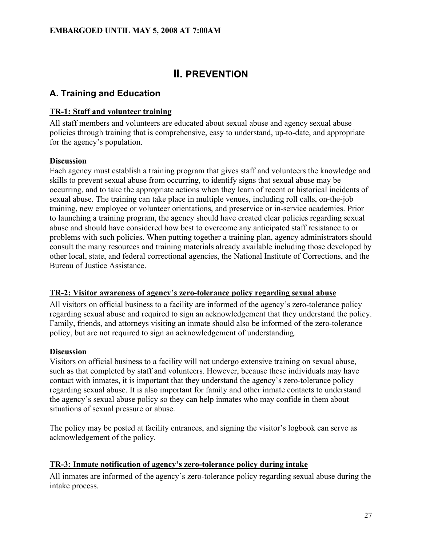# **II. PREVENTION**

# **A. Training and Education**

# **TR-1: Staff and volunteer training**

All staff members and volunteers are educated about sexual abuse and agency sexual abuse policies through training that is comprehensive, easy to understand, up-to-date, and appropriate for the agency's population.

# **Discussion**

Each agency must establish a training program that gives staff and volunteers the knowledge and skills to prevent sexual abuse from occurring, to identify signs that sexual abuse may be occurring, and to take the appropriate actions when they learn of recent or historical incidents of sexual abuse. The training can take place in multiple venues, including roll calls, on-the-job training, new employee or volunteer orientations, and preservice or in-service academies. Prior to launching a training program, the agency should have created clear policies regarding sexual abuse and should have considered how best to overcome any anticipated staff resistance to or problems with such policies. When putting together a training plan, agency administrators should consult the many resources and training materials already available including those developed by other local, state, and federal correctional agencies, the National Institute of Corrections, and the Bureau of Justice Assistance.

# **TR-2: Visitor awareness of agency's zero-tolerance policy regarding sexual abuse**

All visitors on official business to a facility are informed of the agency's zero-tolerance policy regarding sexual abuse and required to sign an acknowledgement that they understand the policy. Family, friends, and attorneys visiting an inmate should also be informed of the zero-tolerance policy, but are not required to sign an acknowledgement of understanding.

# **Discussion**

Visitors on official business to a facility will not undergo extensive training on sexual abuse, such as that completed by staff and volunteers. However, because these individuals may have contact with inmates, it is important that they understand the agency's zero-tolerance policy regarding sexual abuse. It is also important for family and other inmate contacts to understand the agency's sexual abuse policy so they can help inmates who may confide in them about situations of sexual pressure or abuse.

The policy may be posted at facility entrances, and signing the visitor's logbook can serve as acknowledgement of the policy.

# **TR-3: Inmate notification of agency's zero-tolerance policy during intake**

All inmates are informed of the agency's zero-tolerance policy regarding sexual abuse during the intake process.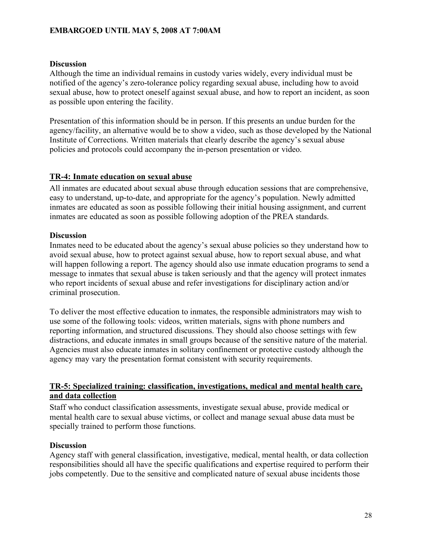#### **Discussion**

Although the time an individual remains in custody varies widely, every individual must be notified of the agency's zero-tolerance policy regarding sexual abuse, including how to avoid sexual abuse, how to protect oneself against sexual abuse, and how to report an incident, as soon as possible upon entering the facility.

Presentation of this information should be in person. If this presents an undue burden for the agency/facility, an alternative would be to show a video, such as those developed by the National Institute of Corrections. Written materials that clearly describe the agency's sexual abuse policies and protocols could accompany the in-person presentation or video.

#### **TR-4: Inmate education on sexual abuse**

All inmates are educated about sexual abuse through education sessions that are comprehensive, easy to understand, up-to-date, and appropriate for the agency's population. Newly admitted inmates are educated as soon as possible following their initial housing assignment, and current inmates are educated as soon as possible following adoption of the PREA standards.

#### **Discussion**

Inmates need to be educated about the agency's sexual abuse policies so they understand how to avoid sexual abuse, how to protect against sexual abuse, how to report sexual abuse, and what will happen following a report. The agency should also use inmate education programs to send a message to inmates that sexual abuse is taken seriously and that the agency will protect inmates who report incidents of sexual abuse and refer investigations for disciplinary action and/or criminal prosecution.

To deliver the most effective education to inmates, the responsible administrators may wish to use some of the following tools: videos, written materials, signs with phone numbers and reporting information, and structured discussions. They should also choose settings with few distractions, and educate inmates in small groups because of the sensitive nature of the material. Agencies must also educate inmates in solitary confinement or protective custody although the agency may vary the presentation format consistent with security requirements.

#### **TR-5: Specialized training: classification, investigations, medical and mental health care, and data collection**

Staff who conduct classification assessments, investigate sexual abuse, provide medical or mental health care to sexual abuse victims, or collect and manage sexual abuse data must be specially trained to perform those functions.

#### **Discussion**

Agency staff with general classification, investigative, medical, mental health, or data collection responsibilities should all have the specific qualifications and expertise required to perform their jobs competently. Due to the sensitive and complicated nature of sexual abuse incidents those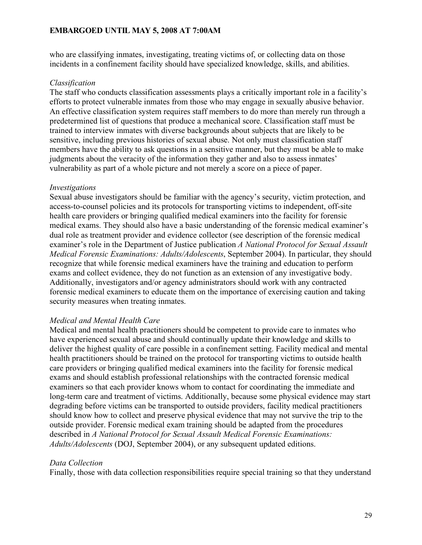who are classifying inmates, investigating, treating victims of, or collecting data on those incidents in a confinement facility should have specialized knowledge, skills, and abilities.

#### *Classification*

The staff who conducts classification assessments plays a critically important role in a facility's efforts to protect vulnerable inmates from those who may engage in sexually abusive behavior. An effective classification system requires staff members to do more than merely run through a predetermined list of questions that produce a mechanical score. Classification staff must be trained to interview inmates with diverse backgrounds about subjects that are likely to be sensitive, including previous histories of sexual abuse. Not only must classification staff members have the ability to ask questions in a sensitive manner, but they must be able to make judgments about the veracity of the information they gather and also to assess inmates' vulnerability as part of a whole picture and not merely a score on a piece of paper.

#### *Investigations*

Sexual abuse investigators should be familiar with the agency's security, victim protection, and access-to-counsel policies and its protocols for transporting victims to independent, off-site health care providers or bringing qualified medical examiners into the facility for forensic medical exams. They should also have a basic understanding of the forensic medical examiner's dual role as treatment provider and evidence collector (see description of the forensic medical examiner's role in the Department of Justice publication *A National Protocol for Sexual Assault Medical Forensic Examinations: Adults/Adolescents*, September 2004). In particular, they should recognize that while forensic medical examiners have the training and education to perform exams and collect evidence, they do not function as an extension of any investigative body. Additionally, investigators and/or agency administrators should work with any contracted forensic medical examiners to educate them on the importance of exercising caution and taking security measures when treating inmates.

#### *Medical and Mental Health Care*

Medical and mental health practitioners should be competent to provide care to inmates who have experienced sexual abuse and should continually update their knowledge and skills to deliver the highest quality of care possible in a confinement setting. Facility medical and mental health practitioners should be trained on the protocol for transporting victims to outside health care providers or bringing qualified medical examiners into the facility for forensic medical exams and should establish professional relationships with the contracted forensic medical examiners so that each provider knows whom to contact for coordinating the immediate and long-term care and treatment of victims. Additionally, because some physical evidence may start degrading before victims can be transported to outside providers, facility medical practitioners should know how to collect and preserve physical evidence that may not survive the trip to the outside provider. Forensic medical exam training should be adapted from the procedures described in *A National Protocol for Sexual Assault Medical Forensic Examinations: Adults/Adolescents* (DOJ, September 2004), or any subsequent updated editions.

#### *Data Collection*

Finally, those with data collection responsibilities require special training so that they understand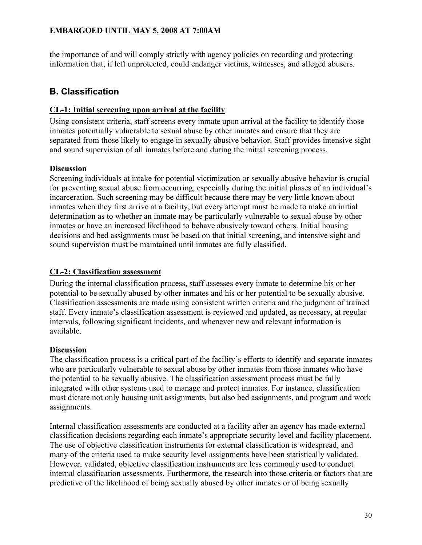the importance of and will comply strictly with agency policies on recording and protecting information that, if left unprotected, could endanger victims, witnesses, and alleged abusers.

# **B. Classification**

# **CL-1: Initial screening upon arrival at the facility**

Using consistent criteria, staff screens every inmate upon arrival at the facility to identify those inmates potentially vulnerable to sexual abuse by other inmates and ensure that they are separated from those likely to engage in sexually abusive behavior. Staff provides intensive sight and sound supervision of all inmates before and during the initial screening process.

# **Discussion**

Screening individuals at intake for potential victimization or sexually abusive behavior is crucial for preventing sexual abuse from occurring, especially during the initial phases of an individual's incarceration. Such screening may be difficult because there may be very little known about inmates when they first arrive at a facility, but every attempt must be made to make an initial determination as to whether an inmate may be particularly vulnerable to sexual abuse by other inmates or have an increased likelihood to behave abusively toward others. Initial housing decisions and bed assignments must be based on that initial screening, and intensive sight and sound supervision must be maintained until inmates are fully classified.

# **CL-2: Classification assessment**

During the internal classification process, staff assesses every inmate to determine his or her potential to be sexually abused by other inmates and his or her potential to be sexually abusive. Classification assessments are made using consistent written criteria and the judgment of trained staff. Every inmate's classification assessment is reviewed and updated, as necessary, at regular intervals, following significant incidents, and whenever new and relevant information is available.

# **Discussion**

The classification process is a critical part of the facility's efforts to identify and separate inmates who are particularly vulnerable to sexual abuse by other inmates from those inmates who have the potential to be sexually abusive. The classification assessment process must be fully integrated with other systems used to manage and protect inmates. For instance, classification must dictate not only housing unit assignments, but also bed assignments, and program and work assignments.

Internal classification assessments are conducted at a facility after an agency has made external classification decisions regarding each inmate's appropriate security level and facility placement. The use of objective classification instruments for external classification is widespread, and many of the criteria used to make security level assignments have been statistically validated. However, validated, objective classification instruments are less commonly used to conduct internal classification assessments. Furthermore, the research into those criteria or factors that are predictive of the likelihood of being sexually abused by other inmates or of being sexually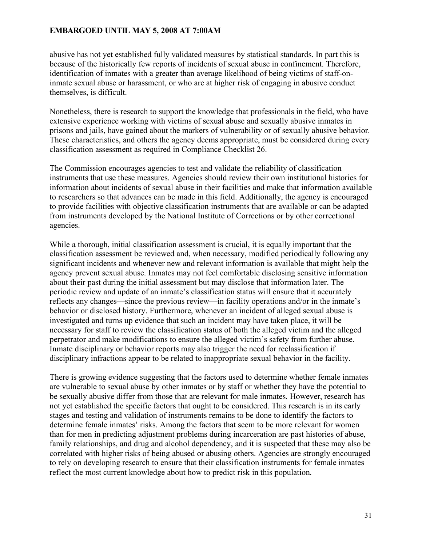abusive has not yet established fully validated measures by statistical standards. In part this is because of the historically few reports of incidents of sexual abuse in confinement. Therefore, identification of inmates with a greater than average likelihood of being victims of staff-oninmate sexual abuse or harassment, or who are at higher risk of engaging in abusive conduct themselves, is difficult.

Nonetheless, there is research to support the knowledge that professionals in the field, who have extensive experience working with victims of sexual abuse and sexually abusive inmates in prisons and jails, have gained about the markers of vulnerability or of sexually abusive behavior. These characteristics, and others the agency deems appropriate, must be considered during every classification assessment as required in Compliance Checklist 26.

The Commission encourages agencies to test and validate the reliability of classification instruments that use these measures. Agencies should review their own institutional histories for information about incidents of sexual abuse in their facilities and make that information available to researchers so that advances can be made in this field. Additionally, the agency is encouraged to provide facilities with objective classification instruments that are available or can be adapted from instruments developed by the National Institute of Corrections or by other correctional agencies.

While a thorough, initial classification assessment is crucial, it is equally important that the classification assessment be reviewed and, when necessary, modified periodically following any significant incidents and whenever new and relevant information is available that might help the agency prevent sexual abuse. Inmates may not feel comfortable disclosing sensitive information about their past during the initial assessment but may disclose that information later. The periodic review and update of an inmate's classification status will ensure that it accurately reflects any changes—since the previous review—in facility operations and/or in the inmate's behavior or disclosed history. Furthermore, whenever an incident of alleged sexual abuse is investigated and turns up evidence that such an incident may have taken place, it will be necessary for staff to review the classification status of both the alleged victim and the alleged perpetrator and make modifications to ensure the alleged victim's safety from further abuse. Inmate disciplinary or behavior reports may also trigger the need for reclassification if disciplinary infractions appear to be related to inappropriate sexual behavior in the facility.

There is growing evidence suggesting that the factors used to determine whether female inmates are vulnerable to sexual abuse by other inmates or by staff or whether they have the potential to be sexually abusive differ from those that are relevant for male inmates. However, research has not yet established the specific factors that ought to be considered. This research is in its early stages and testing and validation of instruments remains to be done to identify the factors to determine female inmates' risks. Among the factors that seem to be more relevant for women than for men in predicting adjustment problems during incarceration are past histories of abuse, family relationships, and drug and alcohol dependency, and it is suspected that these may also be correlated with higher risks of being abused or abusing others. Agencies are strongly encouraged to rely on developing research to ensure that their classification instruments for female inmates reflect the most current knowledge about how to predict risk in this population.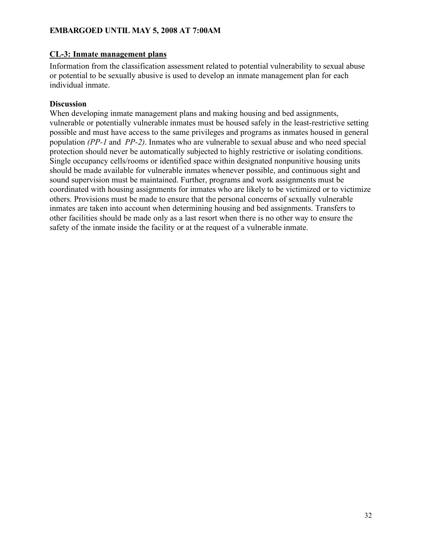#### **CL-3: Inmate management plans**

Information from the classification assessment related to potential vulnerability to sexual abuse or potential to be sexually abusive is used to develop an inmate management plan for each individual inmate.

#### **Discussion**

When developing inmate management plans and making housing and bed assignments, vulnerable or potentially vulnerable inmates must be housed safely in the least-restrictive setting possible and must have access to the same privileges and programs as inmates housed in general population *(PP-1* and *PP-2)*. Inmates who are vulnerable to sexual abuse and who need special protection should never be automatically subjected to highly restrictive or isolating conditions. Single occupancy cells/rooms or identified space within designated nonpunitive housing units should be made available for vulnerable inmates whenever possible, and continuous sight and sound supervision must be maintained. Further, programs and work assignments must be coordinated with housing assignments for inmates who are likely to be victimized or to victimize others. Provisions must be made to ensure that the personal concerns of sexually vulnerable inmates are taken into account when determining housing and bed assignments. Transfers to other facilities should be made only as a last resort when there is no other way to ensure the safety of the inmate inside the facility or at the request of a vulnerable inmate.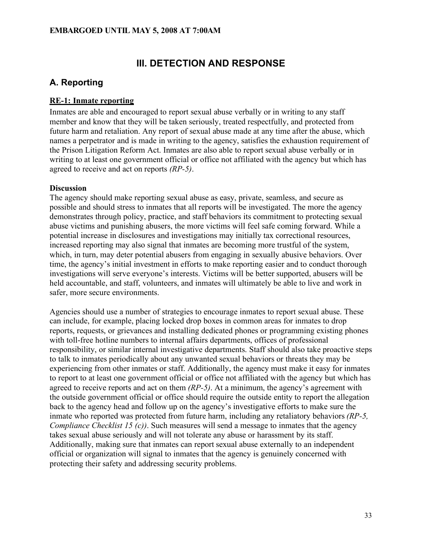# **III. DETECTION AND RESPONSE**

# **A. Reporting**

# **RE-1: Inmate reporting**

Inmates are able and encouraged to report sexual abuse verbally or in writing to any staff member and know that they will be taken seriously, treated respectfully, and protected from future harm and retaliation. Any report of sexual abuse made at any time after the abuse, which names a perpetrator and is made in writing to the agency, satisfies the exhaustion requirement of the Prison Litigation Reform Act. Inmates are also able to report sexual abuse verbally or in writing to at least one government official or office not affiliated with the agency but which has agreed to receive and act on reports *(RP-5)*.

# **Discussion**

The agency should make reporting sexual abuse as easy, private, seamless, and secure as possible and should stress to inmates that all reports will be investigated. The more the agency demonstrates through policy, practice, and staff behaviors its commitment to protecting sexual abuse victims and punishing abusers, the more victims will feel safe coming forward. While a potential increase in disclosures and investigations may initially tax correctional resources, increased reporting may also signal that inmates are becoming more trustful of the system, which, in turn, may deter potential abusers from engaging in sexually abusive behaviors. Over time, the agency's initial investment in efforts to make reporting easier and to conduct thorough investigations will serve everyone's interests. Victims will be better supported, abusers will be held accountable, and staff, volunteers, and inmates will ultimately be able to live and work in safer, more secure environments.

Agencies should use a number of strategies to encourage inmates to report sexual abuse. These can include, for example, placing locked drop boxes in common areas for inmates to drop reports, requests, or grievances and installing dedicated phones or programming existing phones with toll-free hotline numbers to internal affairs departments, offices of professional responsibility, or similar internal investigative departments. Staff should also take proactive steps to talk to inmates periodically about any unwanted sexual behaviors or threats they may be experiencing from other inmates or staff. Additionally, the agency must make it easy for inmates to report to at least one government official or office not affiliated with the agency but which has agreed to receive reports and act on them *(RP-5)*. At a minimum, the agency's agreement with the outside government official or office should require the outside entity to report the allegation back to the agency head and follow up on the agency's investigative efforts to make sure the inmate who reported was protected from future harm, including any retaliatory behaviors *(RP-5, Compliance Checklist 15 (c))*. Such measures will send a message to inmates that the agency takes sexual abuse seriously and will not tolerate any abuse or harassment by its staff. Additionally, making sure that inmates can report sexual abuse externally to an independent official or organization will signal to inmates that the agency is genuinely concerned with protecting their safety and addressing security problems.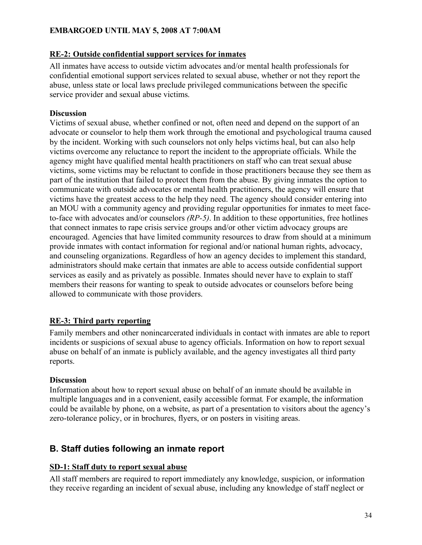## **RE-2: Outside confidential support services for inmates**

All inmates have access to outside victim advocates and/or mental health professionals for confidential emotional support services related to sexual abuse, whether or not they report the abuse, unless state or local laws preclude privileged communications between the specific service provider and sexual abuse victims.

## **Discussion**

Victims of sexual abuse, whether confined or not, often need and depend on the support of an advocate or counselor to help them work through the emotional and psychological trauma caused by the incident. Working with such counselors not only helps victims heal, but can also help victims overcome any reluctance to report the incident to the appropriate officials. While the agency might have qualified mental health practitioners on staff who can treat sexual abuse victims, some victims may be reluctant to confide in those practitioners because they see them as part of the institution that failed to protect them from the abuse. By giving inmates the option to communicate with outside advocates or mental health practitioners, the agency will ensure that victims have the greatest access to the help they need. The agency should consider entering into an MOU with a community agency and providing regular opportunities for inmates to meet faceto-face with advocates and/or counselors *(RP-5)*. In addition to these opportunities, free hotlines that connect inmates to rape crisis service groups and/or other victim advocacy groups are encouraged. Agencies that have limited community resources to draw from should at a minimum provide inmates with contact information for regional and/or national human rights, advocacy, and counseling organizations. Regardless of how an agency decides to implement this standard, administrators should make certain that inmates are able to access outside confidential support services as easily and as privately as possible. Inmates should never have to explain to staff members their reasons for wanting to speak to outside advocates or counselors before being allowed to communicate with those providers.

# **RE-3: Third party reporting**

Family members and other nonincarcerated individuals in contact with inmates are able to report incidents or suspicions of sexual abuse to agency officials. Information on how to report sexual abuse on behalf of an inmate is publicly available, and the agency investigates all third party reports.

#### **Discussion**

Information about how to report sexual abuse on behalf of an inmate should be available in multiple languages and in a convenient, easily accessible format*.* For example, the information could be available by phone, on a website, as part of a presentation to visitors about the agency's zero-tolerance policy, or in brochures, flyers, or on posters in visiting areas.

# **B. Staff duties following an inmate report**

# **SD-1: Staff duty to report sexual abuse**

All staff members are required to report immediately any knowledge, suspicion, or information they receive regarding an incident of sexual abuse, including any knowledge of staff neglect or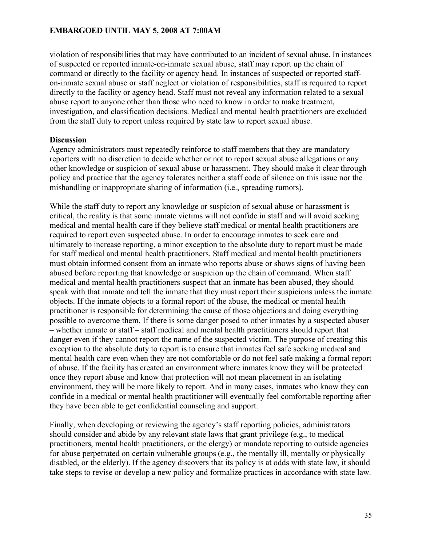violation of responsibilities that may have contributed to an incident of sexual abuse. In instances of suspected or reported inmate-on-inmate sexual abuse, staff may report up the chain of command or directly to the facility or agency head. In instances of suspected or reported staffon-inmate sexual abuse or staff neglect or violation of responsibilities, staff is required to report directly to the facility or agency head. Staff must not reveal any information related to a sexual abuse report to anyone other than those who need to know in order to make treatment, investigation, and classification decisions. Medical and mental health practitioners are excluded from the staff duty to report unless required by state law to report sexual abuse.

#### **Discussion**

Agency administrators must repeatedly reinforce to staff members that they are mandatory reporters with no discretion to decide whether or not to report sexual abuse allegations or any other knowledge or suspicion of sexual abuse or harassment. They should make it clear through policy and practice that the agency tolerates neither a staff code of silence on this issue nor the mishandling or inappropriate sharing of information (i.e., spreading rumors).

While the staff duty to report any knowledge or suspicion of sexual abuse or harassment is critical, the reality is that some inmate victims will not confide in staff and will avoid seeking medical and mental health care if they believe staff medical or mental health practitioners are required to report even suspected abuse. In order to encourage inmates to seek care and ultimately to increase reporting, a minor exception to the absolute duty to report must be made for staff medical and mental health practitioners. Staff medical and mental health practitioners must obtain informed consent from an inmate who reports abuse or shows signs of having been abused before reporting that knowledge or suspicion up the chain of command. When staff medical and mental health practitioners suspect that an inmate has been abused, they should speak with that inmate and tell the inmate that they must report their suspicions unless the inmate objects. If the inmate objects to a formal report of the abuse, the medical or mental health practitioner is responsible for determining the cause of those objections and doing everything possible to overcome them. If there is some danger posed to other inmates by a suspected abuser – whether inmate or staff – staff medical and mental health practitioners should report that danger even if they cannot report the name of the suspected victim. The purpose of creating this exception to the absolute duty to report is to ensure that inmates feel safe seeking medical and mental health care even when they are not comfortable or do not feel safe making a formal report of abuse. If the facility has created an environment where inmates know they will be protected once they report abuse and know that protection will not mean placement in an isolating environment, they will be more likely to report. And in many cases, inmates who know they can confide in a medical or mental health practitioner will eventually feel comfortable reporting after they have been able to get confidential counseling and support.

Finally, when developing or reviewing the agency's staff reporting policies, administrators should consider and abide by any relevant state laws that grant privilege (e.g., to medical practitioners, mental health practitioners, or the clergy) or mandate reporting to outside agencies for abuse perpetrated on certain vulnerable groups (e.g., the mentally ill, mentally or physically disabled, or the elderly). If the agency discovers that its policy is at odds with state law, it should take steps to revise or develop a new policy and formalize practices in accordance with state law.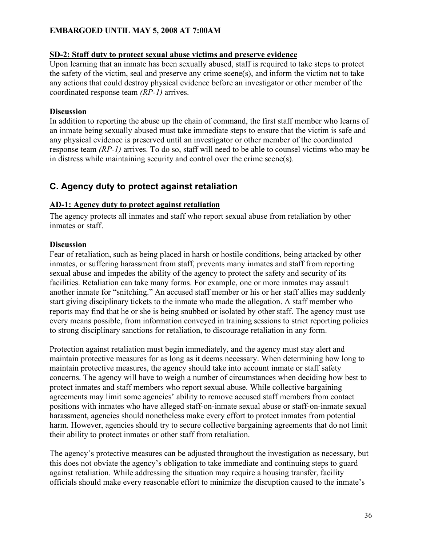#### **SD-2: Staff duty to protect sexual abuse victims and preserve evidence**

Upon learning that an inmate has been sexually abused, staff is required to take steps to protect the safety of the victim, seal and preserve any crime scene(s), and inform the victim not to take any actions that could destroy physical evidence before an investigator or other member of the coordinated response team *(RP-1)* arrives.

#### **Discussion**

In addition to reporting the abuse up the chain of command, the first staff member who learns of an inmate being sexually abused must take immediate steps to ensure that the victim is safe and any physical evidence is preserved until an investigator or other member of the coordinated response team *(RP-1)* arrives. To do so, staff will need to be able to counsel victims who may be in distress while maintaining security and control over the crime scene(s).

# **C. Agency duty to protect against retaliation**

## **AD-1: Agency duty to protect against retaliation**

The agency protects all inmates and staff who report sexual abuse from retaliation by other inmates or staff.

## **Discussion**

Fear of retaliation, such as being placed in harsh or hostile conditions, being attacked by other inmates, or suffering harassment from staff, prevents many inmates and staff from reporting sexual abuse and impedes the ability of the agency to protect the safety and security of its facilities. Retaliation can take many forms. For example, one or more inmates may assault another inmate for "snitching." An accused staff member or his or her staff allies may suddenly start giving disciplinary tickets to the inmate who made the allegation. A staff member who reports may find that he or she is being snubbed or isolated by other staff. The agency must use every means possible, from information conveyed in training sessions to strict reporting policies to strong disciplinary sanctions for retaliation, to discourage retaliation in any form.

Protection against retaliation must begin immediately, and the agency must stay alert and maintain protective measures for as long as it deems necessary. When determining how long to maintain protective measures, the agency should take into account inmate or staff safety concerns. The agency will have to weigh a number of circumstances when deciding how best to protect inmates and staff members who report sexual abuse. While collective bargaining agreements may limit some agencies' ability to remove accused staff members from contact positions with inmates who have alleged staff-on-inmate sexual abuse or staff-on-inmate sexual harassment, agencies should nonetheless make every effort to protect inmates from potential harm. However, agencies should try to secure collective bargaining agreements that do not limit their ability to protect inmates or other staff from retaliation.

The agency's protective measures can be adjusted throughout the investigation as necessary, but this does not obviate the agency's obligation to take immediate and continuing steps to guard against retaliation. While addressing the situation may require a housing transfer, facility officials should make every reasonable effort to minimize the disruption caused to the inmate's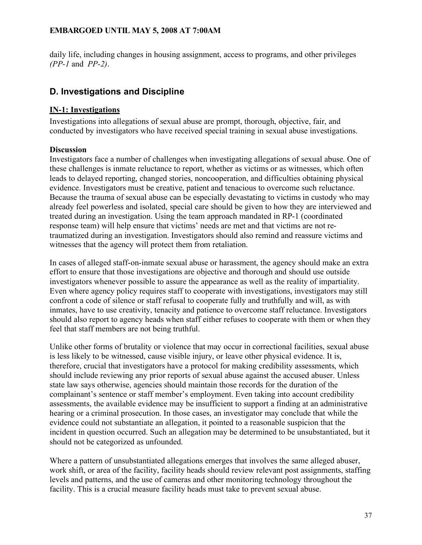daily life, including changes in housing assignment, access to programs, and other privileges *(PP-1* and *PP-2)*.

## **D. Investigations and Discipline**

### **IN-1: Investigations**

Investigations into allegations of sexual abuse are prompt, thorough, objective, fair, and conducted by investigators who have received special training in sexual abuse investigations.

### **Discussion**

Investigators face a number of challenges when investigating allegations of sexual abuse. One of these challenges is inmate reluctance to report, whether as victims or as witnesses, which often leads to delayed reporting, changed stories, noncooperation, and difficulties obtaining physical evidence. Investigators must be creative, patient and tenacious to overcome such reluctance. Because the trauma of sexual abuse can be especially devastating to victims in custody who may already feel powerless and isolated, special care should be given to how they are interviewed and treated during an investigation. Using the team approach mandated in RP-1 (coordinated response team) will help ensure that victims' needs are met and that victims are not retraumatized during an investigation. Investigators should also remind and reassure victims and witnesses that the agency will protect them from retaliation.

In cases of alleged staff-on-inmate sexual abuse or harassment, the agency should make an extra effort to ensure that those investigations are objective and thorough and should use outside investigators whenever possible to assure the appearance as well as the reality of impartiality. Even where agency policy requires staff to cooperate with investigations, investigators may still confront a code of silence or staff refusal to cooperate fully and truthfully and will, as with inmates, have to use creativity, tenacity and patience to overcome staff reluctance. Investigators should also report to agency heads when staff either refuses to cooperate with them or when they feel that staff members are not being truthful.

Unlike other forms of brutality or violence that may occur in correctional facilities, sexual abuse is less likely to be witnessed, cause visible injury, or leave other physical evidence. It is, therefore, crucial that investigators have a protocol for making credibility assessments, which should include reviewing any prior reports of sexual abuse against the accused abuser. Unless state law says otherwise, agencies should maintain those records for the duration of the complainant's sentence or staff member's employment. Even taking into account credibility assessments, the available evidence may be insufficient to support a finding at an administrative hearing or a criminal prosecution. In those cases, an investigator may conclude that while the evidence could not substantiate an allegation, it pointed to a reasonable suspicion that the incident in question occurred. Such an allegation may be determined to be unsubstantiated, but it should not be categorized as unfounded.

Where a pattern of unsubstantiated allegations emerges that involves the same alleged abuser, work shift, or area of the facility, facility heads should review relevant post assignments, staffing levels and patterns, and the use of cameras and other monitoring technology throughout the facility. This is a crucial measure facility heads must take to prevent sexual abuse.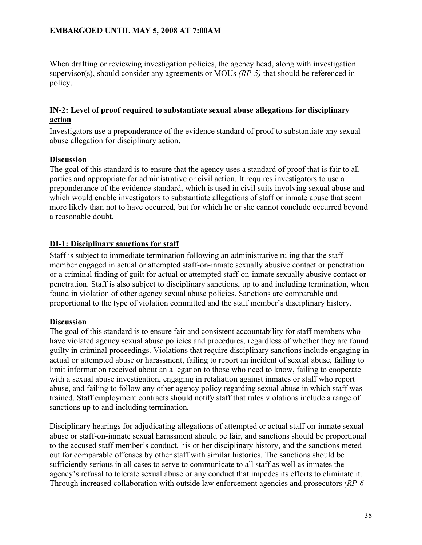When drafting or reviewing investigation policies, the agency head, along with investigation supervisor(s), should consider any agreements or MOUs *(RP-5)* that should be referenced in policy.

### **IN-2: Level of proof required to substantiate sexual abuse allegations for disciplinary action**

Investigators use a preponderance of the evidence standard of proof to substantiate any sexual abuse allegation for disciplinary action.

### **Discussion**

The goal of this standard is to ensure that the agency uses a standard of proof that is fair to all parties and appropriate for administrative or civil action. It requires investigators to use a preponderance of the evidence standard, which is used in civil suits involving sexual abuse and which would enable investigators to substantiate allegations of staff or inmate abuse that seem more likely than not to have occurred, but for which he or she cannot conclude occurred beyond a reasonable doubt.

### **DI-1: Disciplinary sanctions for staff**

Staff is subject to immediate termination following an administrative ruling that the staff member engaged in actual or attempted staff-on-inmate sexually abusive contact or penetration or a criminal finding of guilt for actual or attempted staff-on-inmate sexually abusive contact or penetration. Staff is also subject to disciplinary sanctions, up to and including termination, when found in violation of other agency sexual abuse policies. Sanctions are comparable and proportional to the type of violation committed and the staff member's disciplinary history.

### **Discussion**

The goal of this standard is to ensure fair and consistent accountability for staff members who have violated agency sexual abuse policies and procedures, regardless of whether they are found guilty in criminal proceedings. Violations that require disciplinary sanctions include engaging in actual or attempted abuse or harassment, failing to report an incident of sexual abuse, failing to limit information received about an allegation to those who need to know, failing to cooperate with a sexual abuse investigation, engaging in retaliation against inmates or staff who report abuse, and failing to follow any other agency policy regarding sexual abuse in which staff was trained. Staff employment contracts should notify staff that rules violations include a range of sanctions up to and including termination.

Disciplinary hearings for adjudicating allegations of attempted or actual staff-on-inmate sexual abuse or staff-on-inmate sexual harassment should be fair, and sanctions should be proportional to the accused staff member's conduct, his or her disciplinary history, and the sanctions meted out for comparable offenses by other staff with similar histories. The sanctions should be sufficiently serious in all cases to serve to communicate to all staff as well as inmates the agency's refusal to tolerate sexual abuse or any conduct that impedes its efforts to eliminate it. Through increased collaboration with outside law enforcement agencies and prosecutors *(RP-6*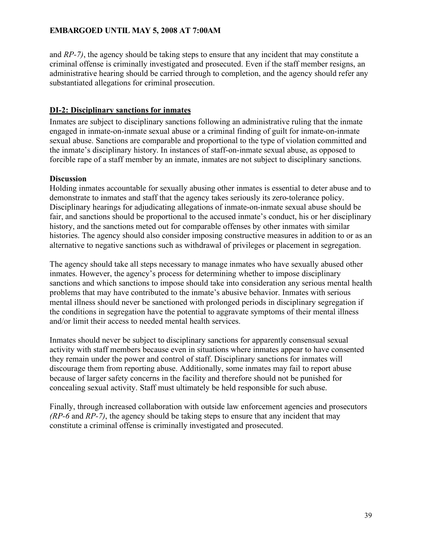and *RP-7)*, the agency should be taking steps to ensure that any incident that may constitute a criminal offense is criminally investigated and prosecuted. Even if the staff member resigns, an administrative hearing should be carried through to completion, and the agency should refer any substantiated allegations for criminal prosecution.

### **DI-2: Disciplinary sanctions for inmates**

Inmates are subject to disciplinary sanctions following an administrative ruling that the inmate engaged in inmate-on-inmate sexual abuse or a criminal finding of guilt for inmate-on-inmate sexual abuse. Sanctions are comparable and proportional to the type of violation committed and the inmate's disciplinary history. In instances of staff-on-inmate sexual abuse, as opposed to forcible rape of a staff member by an inmate, inmates are not subject to disciplinary sanctions.

### **Discussion**

Holding inmates accountable for sexually abusing other inmates is essential to deter abuse and to demonstrate to inmates and staff that the agency takes seriously its zero-tolerance policy. Disciplinary hearings for adjudicating allegations of inmate-on-inmate sexual abuse should be fair, and sanctions should be proportional to the accused inmate's conduct, his or her disciplinary history, and the sanctions meted out for comparable offenses by other inmates with similar histories. The agency should also consider imposing constructive measures in addition to or as an alternative to negative sanctions such as withdrawal of privileges or placement in segregation.

The agency should take all steps necessary to manage inmates who have sexually abused other inmates. However, the agency's process for determining whether to impose disciplinary sanctions and which sanctions to impose should take into consideration any serious mental health problems that may have contributed to the inmate's abusive behavior. Inmates with serious mental illness should never be sanctioned with prolonged periods in disciplinary segregation if the conditions in segregation have the potential to aggravate symptoms of their mental illness and/or limit their access to needed mental health services.

Inmates should never be subject to disciplinary sanctions for apparently consensual sexual activity with staff members because even in situations where inmates appear to have consented they remain under the power and control of staff. Disciplinary sanctions for inmates will discourage them from reporting abuse. Additionally, some inmates may fail to report abuse because of larger safety concerns in the facility and therefore should not be punished for concealing sexual activity. Staff must ultimately be held responsible for such abuse.

Finally, through increased collaboration with outside law enforcement agencies and prosecutors *(RP-6* and *RP-7)*, the agency should be taking steps to ensure that any incident that may constitute a criminal offense is criminally investigated and prosecuted.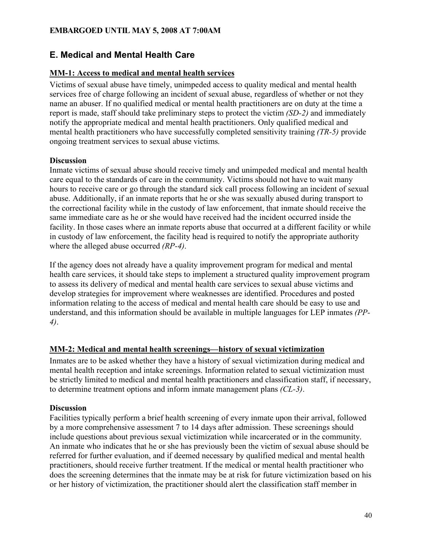### **E. Medical and Mental Health Care**

### **MM-1: Access to medical and mental health services**

Victims of sexual abuse have timely, unimpeded access to quality medical and mental health services free of charge following an incident of sexual abuse, regardless of whether or not they name an abuser. If no qualified medical or mental health practitioners are on duty at the time a report is made, staff should take preliminary steps to protect the victim *(SD-2)* and immediately notify the appropriate medical and mental health practitioners. Only qualified medical and mental health practitioners who have successfully completed sensitivity training *(TR-5)* provide ongoing treatment services to sexual abuse victims.

### **Discussion**

Inmate victims of sexual abuse should receive timely and unimpeded medical and mental health care equal to the standards of care in the community. Victims should not have to wait many hours to receive care or go through the standard sick call process following an incident of sexual abuse. Additionally, if an inmate reports that he or she was sexually abused during transport to the correctional facility while in the custody of law enforcement, that inmate should receive the same immediate care as he or she would have received had the incident occurred inside the facility. In those cases where an inmate reports abuse that occurred at a different facility or while in custody of law enforcement, the facility head is required to notify the appropriate authority where the alleged abuse occurred *(RP-4)*.

If the agency does not already have a quality improvement program for medical and mental health care services, it should take steps to implement a structured quality improvement program to assess its delivery of medical and mental health care services to sexual abuse victims and develop strategies for improvement where weaknesses are identified. Procedures and posted information relating to the access of medical and mental health care should be easy to use and understand, and this information should be available in multiple languages for LEP inmates *(PP-4)*.

### **MM-2: Medical and mental health screenings—history of sexual victimization**

Inmates are to be asked whether they have a history of sexual victimization during medical and mental health reception and intake screenings. Information related to sexual victimization must be strictly limited to medical and mental health practitioners and classification staff, if necessary, to determine treatment options and inform inmate management plans *(CL-3)*.

### **Discussion**

Facilities typically perform a brief health screening of every inmate upon their arrival, followed by a more comprehensive assessment 7 to 14 days after admission. These screenings should include questions about previous sexual victimization while incarcerated or in the community. An inmate who indicates that he or she has previously been the victim of sexual abuse should be referred for further evaluation, and if deemed necessary by qualified medical and mental health practitioners, should receive further treatment. If the medical or mental health practitioner who does the screening determines that the inmate may be at risk for future victimization based on his or her history of victimization, the practitioner should alert the classification staff member in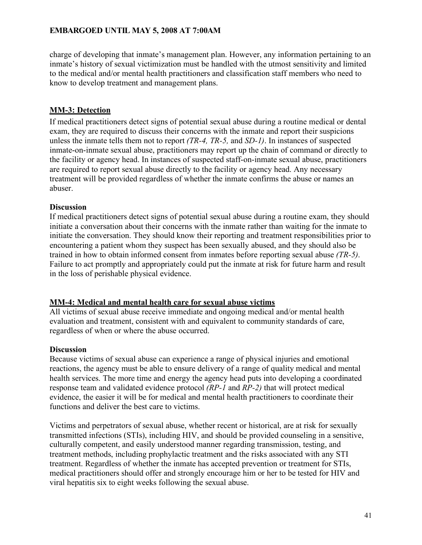charge of developing that inmate's management plan. However, any information pertaining to an inmate's history of sexual victimization must be handled with the utmost sensitivity and limited to the medical and/or mental health practitioners and classification staff members who need to know to develop treatment and management plans.

### **MM-3: Detection**

If medical practitioners detect signs of potential sexual abuse during a routine medical or dental exam, they are required to discuss their concerns with the inmate and report their suspicions unless the inmate tells them not to report *(TR-4, TR-5,* and *SD-1)*. In instances of suspected inmate-on-inmate sexual abuse, practitioners may report up the chain of command or directly to the facility or agency head. In instances of suspected staff-on-inmate sexual abuse, practitioners are required to report sexual abuse directly to the facility or agency head. Any necessary treatment will be provided regardless of whether the inmate confirms the abuse or names an abuser.

### **Discussion**

If medical practitioners detect signs of potential sexual abuse during a routine exam, they should initiate a conversation about their concerns with the inmate rather than waiting for the inmate to initiate the conversation. They should know their reporting and treatment responsibilities prior to encountering a patient whom they suspect has been sexually abused, and they should also be trained in how to obtain informed consent from inmates before reporting sexual abuse *(TR-5)*. Failure to act promptly and appropriately could put the inmate at risk for future harm and result in the loss of perishable physical evidence.

### **MM-4: Medical and mental health care for sexual abuse victims**

All victims of sexual abuse receive immediate and ongoing medical and/or mental health evaluation and treatment, consistent with and equivalent to community standards of care, regardless of when or where the abuse occurred.

### **Discussion**

Because victims of sexual abuse can experience a range of physical injuries and emotional reactions, the agency must be able to ensure delivery of a range of quality medical and mental health services. The more time and energy the agency head puts into developing a coordinated response team and validated evidence protocol *(RP-1* and *RP-2)* that will protect medical evidence, the easier it will be for medical and mental health practitioners to coordinate their functions and deliver the best care to victims.

Victims and perpetrators of sexual abuse, whether recent or historical, are at risk for sexually transmitted infections (STIs), including HIV, and should be provided counseling in a sensitive, culturally competent, and easily understood manner regarding transmission, testing, and treatment methods, including prophylactic treatment and the risks associated with any STI treatment. Regardless of whether the inmate has accepted prevention or treatment for STIs, medical practitioners should offer and strongly encourage him or her to be tested for HIV and viral hepatitis six to eight weeks following the sexual abuse.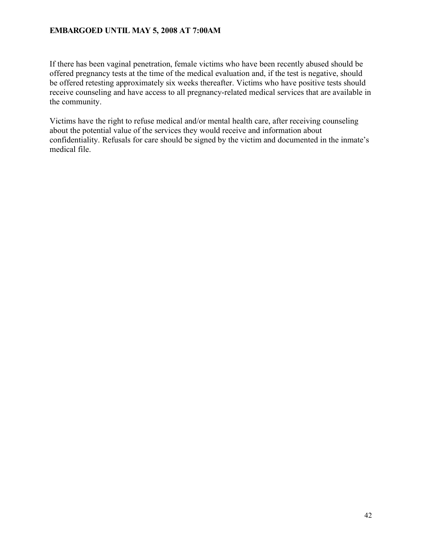If there has been vaginal penetration, female victims who have been recently abused should be offered pregnancy tests at the time of the medical evaluation and, if the test is negative, should be offered retesting approximately six weeks thereafter. Victims who have positive tests should receive counseling and have access to all pregnancy-related medical services that are available in the community.

Victims have the right to refuse medical and/or mental health care, after receiving counseling about the potential value of the services they would receive and information about confidentiality. Refusals for care should be signed by the victim and documented in the inmate's medical file.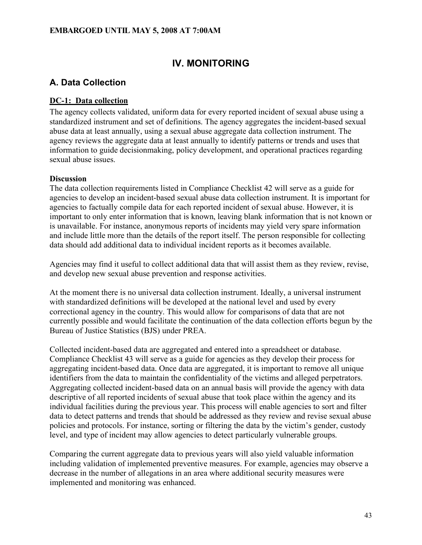## **IV. MONITORING**

## **A. Data Collection**

### **DC-1: Data collection**

The agency collects validated, uniform data for every reported incident of sexual abuse using a standardized instrument and set of definitions. The agency aggregates the incident-based sexual abuse data at least annually, using a sexual abuse aggregate data collection instrument. The agency reviews the aggregate data at least annually to identify patterns or trends and uses that information to guide decisionmaking, policy development, and operational practices regarding sexual abuse issues.

### **Discussion**

The data collection requirements listed in Compliance Checklist 42 will serve as a guide for agencies to develop an incident-based sexual abuse data collection instrument. It is important for agencies to factually compile data for each reported incident of sexual abuse. However, it is important to only enter information that is known, leaving blank information that is not known or is unavailable. For instance, anonymous reports of incidents may yield very spare information and include little more than the details of the report itself. The person responsible for collecting data should add additional data to individual incident reports as it becomes available.

Agencies may find it useful to collect additional data that will assist them as they review, revise, and develop new sexual abuse prevention and response activities.

At the moment there is no universal data collection instrument. Ideally, a universal instrument with standardized definitions will be developed at the national level and used by every correctional agency in the country. This would allow for comparisons of data that are not currently possible and would facilitate the continuation of the data collection efforts begun by the Bureau of Justice Statistics (BJS) under PREA.

Collected incident-based data are aggregated and entered into a spreadsheet or database. Compliance Checklist 43 will serve as a guide for agencies as they develop their process for aggregating incident-based data. Once data are aggregated, it is important to remove all unique identifiers from the data to maintain the confidentiality of the victims and alleged perpetrators. Aggregating collected incident-based data on an annual basis will provide the agency with data descriptive of all reported incidents of sexual abuse that took place within the agency and its individual facilities during the previous year. This process will enable agencies to sort and filter data to detect patterns and trends that should be addressed as they review and revise sexual abuse policies and protocols. For instance, sorting or filtering the data by the victim's gender, custody level, and type of incident may allow agencies to detect particularly vulnerable groups.

Comparing the current aggregate data to previous years will also yield valuable information including validation of implemented preventive measures. For example, agencies may observe a decrease in the number of allegations in an area where additional security measures were implemented and monitoring was enhanced.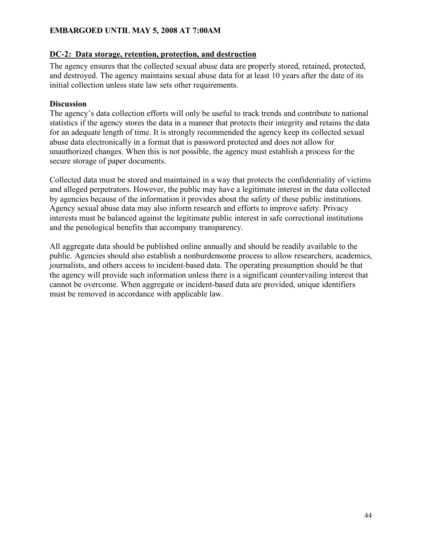### **DC-2: Data storage, retention, protection, and destruction**

The agency ensures that the collected sexual abuse data are properly stored, retained, protected, and destroyed. The agency maintains sexual abuse data for at least 10 years after the date of its initial collection unless state law sets other requirements.

### **Discussion**

The agency's data collection efforts will only be useful to track trends and contribute to national statistics if the agency stores the data in a manner that protects their integrity and retains the data for an adequate length of time. It is strongly recommended the agency keep its collected sexual abuse data electronically in a format that is password protected and does not allow for unauthorized changes. When this is not possible, the agency must establish a process for the secure storage of paper documents.

Collected data must be stored and maintained in a way that protects the confidentiality of victims and alleged perpetrators. However, the public may have a legitimate interest in the data collected by agencies because of the information it provides about the safety of these public institutions. Agency sexual abuse data may also inform research and efforts to improve safety. Privacy interests must be balanced against the legitimate public interest in safe correctional institutions and the penological benefits that accompany transparency.

All aggregate data should be published online annually and should be readily available to the public. Agencies should also establish a nonburdensome process to allow researchers, academics, journalists, and others access to incident-based data. The operating presumption should be that the agency will provide such information unless there is a significant countervailing interest that cannot be overcome. When aggregate or incident-based data are provided, unique identifiers must be removed in accordance with applicable law.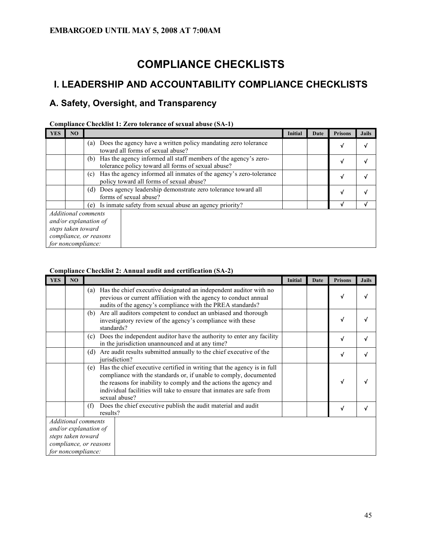# **COMPLIANCE CHECKLISTS**

## **I. LEADERSHIP AND ACCOUNTABILITY COMPLIANCE CHECKLISTS**

## **A. Safety, Oversight, and Transparency**

|            |                    | Comphance Checking 1: Ext o tolerance of sexual abuse (BITT)                                                                 |                |      |                |              |
|------------|--------------------|------------------------------------------------------------------------------------------------------------------------------|----------------|------|----------------|--------------|
| <b>YES</b> | NO                 |                                                                                                                              | <b>Initial</b> | Date | <b>Prisons</b> | <b>Jails</b> |
|            |                    | Does the agency have a written policy mandating zero tolerance<br>(a)<br>toward all forms of sexual abuse?                   |                |      | V              | $\sqrt{ }$   |
|            |                    | Has the agency informed all staff members of the agency's zero-<br>(b)<br>tolerance policy toward all forms of sexual abuse? |                |      | V              |              |
|            |                    | Has the agency informed all inmates of the agency's zero-tolerance<br>(c)<br>policy toward all forms of sexual abuse?        |                |      | V              |              |
|            |                    | Does agency leadership demonstrate zero tolerance toward all<br>(d)<br>forms of sexual abuse?                                |                |      | v              |              |
|            |                    | Is inmate safety from sexual abuse an agency priority?<br>(e)                                                                |                |      | v              |              |
|            | steps taken toward | Additional comments<br>and/or explanation of<br>compliance, or reasons<br>for noncompliance:                                 |                |      |                |              |

### **Compliance Checklist 1: Zero tolerance of sexual abuse (SA-1)**

#### **Compliance Checklist 2: Annual audit and certification (SA-2)**

| <b>YES</b> | NO                 |                                                                                                                                                                                                                                                                                                                    | Initial | Date | <b>Prisons</b> | <b>Jails</b> |
|------------|--------------------|--------------------------------------------------------------------------------------------------------------------------------------------------------------------------------------------------------------------------------------------------------------------------------------------------------------------|---------|------|----------------|--------------|
|            |                    | Has the chief executive designated an independent auditor with no<br>(a)<br>previous or current affiliation with the agency to conduct annual<br>audits of the agency's compliance with the PREA standards?                                                                                                        |         |      | v              |              |
|            |                    | Are all auditors competent to conduct an unbiased and thorough<br>(b)<br>investigatory review of the agency's compliance with these<br>standards?                                                                                                                                                                  |         |      | v              |              |
|            |                    | Does the independent auditor have the authority to enter any facility<br>(c)<br>in the jurisdiction unannounced and at any time?                                                                                                                                                                                   |         |      | √              |              |
|            |                    | Are audit results submitted annually to the chief executive of the<br>(d)<br>iurisdiction?                                                                                                                                                                                                                         |         |      | √              |              |
|            |                    | Has the chief executive certified in writing that the agency is in full<br>(e)<br>compliance with the standards or, if unable to comply, documented<br>the reasons for inability to comply and the actions the agency and<br>individual facilities will take to ensure that inmates are safe from<br>sexual abuse? |         |      | √              |              |
|            |                    | Does the chief executive publish the audit material and audit<br>(f)<br>results?                                                                                                                                                                                                                                   |         |      | √              |              |
|            | steps taken toward | <b>Additional comments</b><br>and/or explanation of<br>compliance, or reasons<br>for noncompliance:                                                                                                                                                                                                                |         |      |                |              |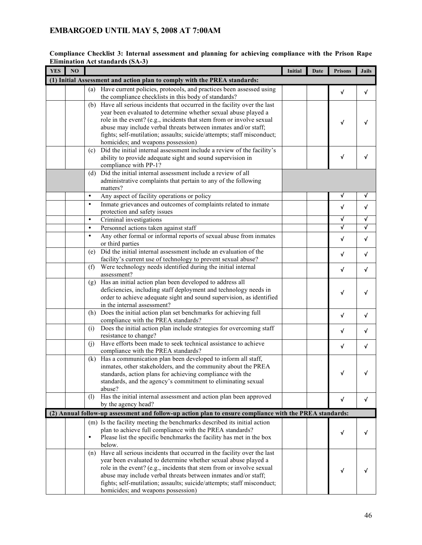| <b>YES</b> | N <sub>O</sub> |           |                                                                                                              | Initial | Date | <b>Prisons</b> | <b>Jails</b> |
|------------|----------------|-----------|--------------------------------------------------------------------------------------------------------------|---------|------|----------------|--------------|
|            |                |           | (1) Initial Assessment and action plan to comply with the PREA standards:                                    |         |      |                |              |
|            |                |           | (a) Have current policies, protocols, and practices been assessed using                                      |         |      | √              | $\checkmark$ |
|            |                |           | the compliance checklists in this body of standards?                                                         |         |      |                |              |
|            |                | (b)       | Have all serious incidents that occurred in the facility over the last                                       |         |      |                |              |
|            |                |           | year been evaluated to determine whether sexual abuse played a                                               |         |      |                |              |
|            |                |           | role in the event? (e.g., incidents that stem from or involve sexual                                         |         |      | √              |              |
|            |                |           | abuse may include verbal threats between inmates and/or staff;                                               |         |      |                |              |
|            |                |           | fights; self-mutilation; assaults; suicide/attempts; staff misconduct;<br>homicides; and weapons possession) |         |      |                |              |
|            |                | (c)       | Did the initial internal assessment include a review of the facility's                                       |         |      |                |              |
|            |                |           | ability to provide adequate sight and sound supervision in                                                   |         |      | √              | v            |
|            |                |           | compliance with PP-1?                                                                                        |         |      |                |              |
|            |                | (d)       | Did the initial internal assessment include a review of all                                                  |         |      |                |              |
|            |                |           | administrative complaints that pertain to any of the following                                               |         |      |                |              |
|            |                |           | matters?                                                                                                     |         |      |                |              |
|            |                | $\bullet$ | Any aspect of facility operations or policy                                                                  |         |      | V              | V            |
|            |                | $\bullet$ | Inmate grievances and outcomes of complaints related to inmate                                               |         |      | √              | √            |
|            |                | $\bullet$ | protection and safety issues                                                                                 |         |      | √              | √            |
|            |                | $\bullet$ | Criminal investigations                                                                                      |         |      | √              | $\sqrt{ }$   |
|            |                | $\bullet$ | Personnel actions taken against staff                                                                        |         |      |                |              |
|            |                |           | Any other formal or informal reports of sexual abuse from inmates<br>or third parties                        |         |      | √              | √            |
|            |                | (e)       | Did the initial internal assessment include an evaluation of the                                             |         |      |                |              |
|            |                |           | facility's current use of technology to prevent sexual abuse?                                                |         |      | $\sqrt{ }$     | √            |
|            |                | (f)       | Were technology needs identified during the initial internal                                                 |         |      | √              | $\checkmark$ |
|            |                |           | assessment?                                                                                                  |         |      |                |              |
|            |                | (g)       | Has an initial action plan been developed to address all                                                     |         |      |                |              |
|            |                |           | deficiencies, including staff deployment and technology needs in                                             |         |      | √              |              |
|            |                |           | order to achieve adequate sight and sound supervision, as identified                                         |         |      |                |              |
|            |                |           | in the internal assessment?<br>Does the initial action plan set benchmarks for achieving full                |         |      |                |              |
|            |                | (h)       | compliance with the PREA standards?                                                                          |         |      | √              | $\checkmark$ |
|            |                | (i)       | Does the initial action plan include strategies for overcoming staff                                         |         |      |                |              |
|            |                |           | resistance to change?                                                                                        |         |      | √              | √            |
|            |                | (i)       | Have efforts been made to seek technical assistance to achieve                                               |         |      | √              | V            |
|            |                |           | compliance with the PREA standards?                                                                          |         |      |                |              |
|            |                | (k)       | Has a communication plan been developed to inform all staff,                                                 |         |      |                |              |
|            |                |           | inmates, other stakeholders, and the community about the PREA                                                |         |      |                |              |
|            |                |           | standards, action plans for achieving compliance with the                                                    |         |      | J              |              |
|            |                |           | standards, and the agency's commitment to eliminating sexual                                                 |         |      |                |              |
|            |                | (1)       | abuse?<br>Has the initial internal assessment and action plan been approved                                  |         |      |                |              |
|            |                |           | by the agency head?                                                                                          |         |      | √              | V            |
|            |                |           | (2) Annual follow-up assessment and follow-up action plan to ensure compliance with the PREA standards:      |         |      |                |              |
|            |                |           | (m) Is the facility meeting the benchmarks described its initial action                                      |         |      |                |              |
|            |                |           | plan to achieve full compliance with the PREA standards?                                                     |         |      |                |              |
|            |                | $\bullet$ | Please list the specific benchmarks the facility has met in the box                                          |         |      | √              |              |
|            |                |           | below.                                                                                                       |         |      |                |              |
|            |                | (n)       | Have all serious incidents that occurred in the facility over the last                                       |         |      |                |              |
|            |                |           | year been evaluated to determine whether sexual abuse played a                                               |         |      |                |              |
|            |                |           | role in the event? (e.g., incidents that stem from or involve sexual                                         |         |      | v              |              |
|            |                |           | abuse may include verbal threats between inmates and/or staff;                                               |         |      |                |              |
|            |                |           | fights; self-mutilation; assaults; suicide/attempts; staff misconduct;<br>homicides; and weapons possession) |         |      |                |              |

#### **Compliance Checklist 3: Internal assessment and planning for achieving compliance with the Prison Rape Elimination Act standards (SA-3)**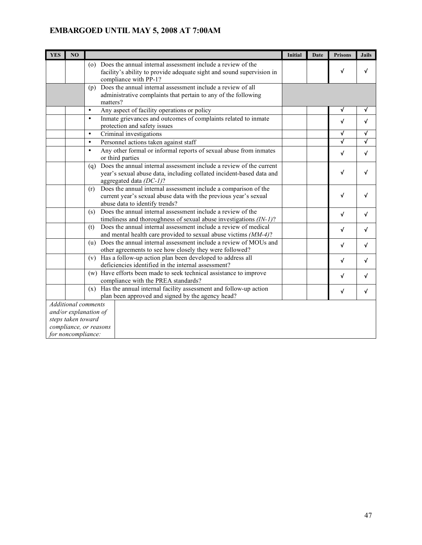| <b>YES</b> | N <sub>O</sub>                                                                                                            |                                                                                                                                                                               | <b>Initial</b> | <b>Date</b> | <b>Prisons</b> | <b>Jails</b> |
|------------|---------------------------------------------------------------------------------------------------------------------------|-------------------------------------------------------------------------------------------------------------------------------------------------------------------------------|----------------|-------------|----------------|--------------|
|            |                                                                                                                           | (o) Does the annual internal assessment include a review of the<br>facility's ability to provide adequate sight and sound supervision in<br>compliance with PP-1?             |                |             | $\checkmark$   | √            |
|            |                                                                                                                           | (p) Does the annual internal assessment include a review of all<br>administrative complaints that pertain to any of the following<br>matters?                                 |                |             |                |              |
|            |                                                                                                                           | $\bullet$<br>Any aspect of facility operations or policy                                                                                                                      |                |             | $\checkmark$   | V            |
|            |                                                                                                                           | Inmate grievances and outcomes of complaints related to inmate<br>$\bullet$<br>protection and safety issues                                                                   |                |             | $\checkmark$   | $\checkmark$ |
|            |                                                                                                                           | $\bullet$<br>Criminal investigations                                                                                                                                          |                |             | $\sqrt{ }$     | √            |
|            |                                                                                                                           | Personnel actions taken against staff<br>$\bullet$                                                                                                                            |                |             | $\checkmark$   | √            |
|            |                                                                                                                           | Any other formal or informal reports of sexual abuse from inmates<br>$\bullet$<br>or third parties                                                                            |                |             | $\sqrt{ }$     | V            |
|            |                                                                                                                           | Does the annual internal assessment include a review of the current<br>(q)<br>year's sexual abuse data, including collated incident-based data and<br>aggregated data (DC-1)? |                |             | √              | √            |
|            |                                                                                                                           | Does the annual internal assessment include a comparison of the<br>(r)<br>current year's sexual abuse data with the previous year's sexual<br>abuse data to identify trends?  |                |             | $\checkmark$   | √            |
|            |                                                                                                                           | Does the annual internal assessment include a review of the<br>(s)<br>timeliness and thoroughness of sexual abuse investigations $(IN-I)$ ?                                   |                |             | $\sqrt{ }$     | √            |
|            |                                                                                                                           | Does the annual internal assessment include a review of medical<br>(t)<br>and mental health care provided to sexual abuse victims (MM-4)?                                     |                |             | $\checkmark$   | v            |
|            |                                                                                                                           | Does the annual internal assessment include a review of MOUs and<br>(u)<br>other agreements to see how closely they were followed?                                            |                |             | $\checkmark$   | √            |
|            |                                                                                                                           | Has a follow-up action plan been developed to address all<br>(v)<br>deficiencies identified in the internal assessment?                                                       |                |             | $\sqrt{ }$     | v            |
|            |                                                                                                                           | Have efforts been made to seek technical assistance to improve<br>(w)<br>compliance with the PREA standards?                                                                  |                |             | $\checkmark$   | √            |
|            |                                                                                                                           | Has the annual internal facility assessment and follow-up action<br>(x)                                                                                                       |                |             | $\sqrt{ }$     | √            |
|            |                                                                                                                           | plan been approved and signed by the agency head?                                                                                                                             |                |             |                |              |
|            | <b>Additional comments</b><br>and/or explanation of<br>steps taken toward<br>compliance, or reasons<br>for noncompliance: |                                                                                                                                                                               |                |             |                |              |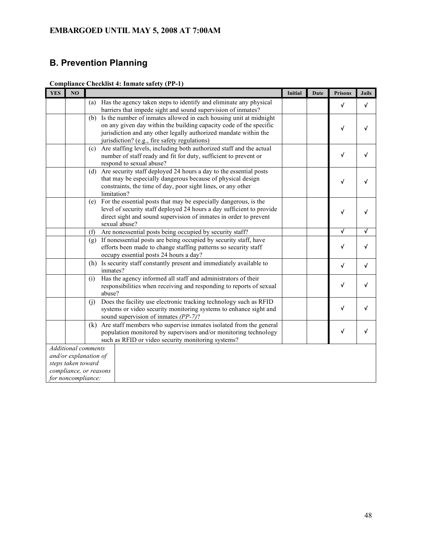# **B. Prevention Planning**

| <b>Compliance Checklist 4: Inmate safety (PP-1)</b> |  |  |
|-----------------------------------------------------|--|--|
|                                                     |  |  |

| <b>YES</b> | NO                 |                                                                                                                                               | Initial | Date | <b>Prisons</b>          | <b>Jails</b> |
|------------|--------------------|-----------------------------------------------------------------------------------------------------------------------------------------------|---------|------|-------------------------|--------------|
|            |                    | Has the agency taken steps to identify and eliminate any physical<br>(a)                                                                      |         |      | $\checkmark$            | $\sqrt{ }$   |
|            |                    | barriers that impede sight and sound supervision of inmates?                                                                                  |         |      |                         |              |
|            |                    | Is the number of inmates allowed in each housing unit at midnight<br>(b)                                                                      |         |      |                         |              |
|            |                    | on any given day within the building capacity code of the specific<br>jurisdiction and any other legally authorized mandate within the        |         |      | $\checkmark$            | √            |
|            |                    | jurisdiction? (e.g., fire safety regulations)                                                                                                 |         |      |                         |              |
|            |                    | Are staffing levels, including both authorized staff and the actual<br>(c)                                                                    |         |      |                         |              |
|            |                    | number of staff ready and fit for duty, sufficient to prevent or                                                                              |         |      | √                       |              |
|            |                    | respond to sexual abuse?                                                                                                                      |         |      |                         |              |
|            |                    | Are security staff deployed 24 hours a day to the essential posts<br>(d)                                                                      |         |      |                         |              |
|            |                    | that may be especially dangerous because of physical design                                                                                   |         |      | √                       |              |
|            |                    | constraints, the time of day, poor sight lines, or any other<br>limitation?                                                                   |         |      |                         |              |
|            |                    | For the essential posts that may be especially dangerous, is the<br>(e)                                                                       |         |      |                         |              |
|            |                    | level of security staff deployed 24 hours a day sufficient to provide                                                                         |         |      | √                       |              |
|            |                    | direct sight and sound supervision of inmates in order to prevent                                                                             |         |      |                         |              |
|            |                    | sexual abuse?                                                                                                                                 |         |      |                         |              |
|            |                    | (f)<br>Are nonessential posts being occupied by security staff?                                                                               |         |      | $\overline{\mathsf{v}}$ | √            |
|            |                    | If nonessential posts are being occupied by security staff, have<br>(g)                                                                       |         |      | $\checkmark$            | √            |
|            |                    | efforts been made to change staffing patterns so security staff<br>occupy essential posts 24 hours a day?                                     |         |      |                         |              |
|            |                    | Is security staff constantly present and immediately available to<br>(h)                                                                      |         |      |                         |              |
|            |                    | inmates?                                                                                                                                      |         |      | $\checkmark$            | V            |
|            |                    | Has the agency informed all staff and administrators of their<br>(i)                                                                          |         |      |                         |              |
|            |                    | responsibilities when receiving and responding to reports of sexual                                                                           |         |      | $\checkmark$            | √            |
|            |                    | abuse?                                                                                                                                        |         |      |                         |              |
|            |                    | Does the facility use electronic tracking technology such as RFID<br>(i)<br>systems or video security monitoring systems to enhance sight and |         |      | $\checkmark$            |              |
|            |                    | sound supervision of inmates (PP-7)?                                                                                                          |         |      |                         |              |
|            |                    | Are staff members who supervise inmates isolated from the general<br>(k)                                                                      |         |      |                         |              |
|            |                    | population monitored by supervisors and/or monitoring technology                                                                              |         |      | $\checkmark$            | √            |
|            |                    | such as RFID or video security monitoring systems?                                                                                            |         |      |                         |              |
|            |                    | <b>Additional comments</b>                                                                                                                    |         |      |                         |              |
|            |                    | and/or explanation of                                                                                                                         |         |      |                         |              |
|            | steps taken toward | compliance, or reasons                                                                                                                        |         |      |                         |              |
|            | for noncompliance: |                                                                                                                                               |         |      |                         |              |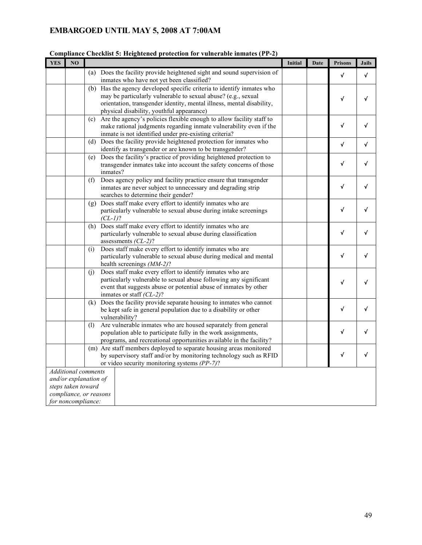| <b>YES</b> | NO                 |                            |                                                                                                                                                                                                                                                               | Initial | Date | <b>Prisons</b> | <b>Jails</b> |
|------------|--------------------|----------------------------|---------------------------------------------------------------------------------------------------------------------------------------------------------------------------------------------------------------------------------------------------------------|---------|------|----------------|--------------|
|            |                    |                            | (a) Does the facility provide heightened sight and sound supervision of<br>inmates who have not yet been classified?                                                                                                                                          |         |      | $\checkmark$   | V            |
|            |                    |                            | (b) Has the agency developed specific criteria to identify inmates who<br>may be particularly vulnerable to sexual abuse? (e.g., sexual<br>orientation, transgender identity, mental illness, mental disability,<br>physical disability, youthful appearance) |         |      | $\checkmark$   | √            |
|            |                    | (c)                        | Are the agency's policies flexible enough to allow facility staff to<br>make rational judgments regarding inmate vulnerability even if the<br>inmate is not identified under pre-existing criteria?                                                           |         |      | $\sqrt{ }$     | √            |
|            |                    |                            | (d) Does the facility provide heightened protection for inmates who<br>identify as transgender or are known to be transgender?                                                                                                                                |         |      | $\sqrt{ }$     | V            |
|            |                    | (e)                        | Does the facility's practice of providing heightened protection to<br>transgender inmates take into account the safety concerns of those<br>inmates?                                                                                                          |         |      | √              | √            |
|            |                    | (f)                        | Does agency policy and facility practice ensure that transgender<br>inmates are never subject to unnecessary and degrading strip<br>searches to determine their gender?                                                                                       |         |      | √              | V            |
|            |                    | (g)                        | Does staff make every effort to identify inmates who are<br>particularly vulnerable to sexual abuse during intake screenings<br>$(CL-1)?$                                                                                                                     |         |      | √              | √            |
|            |                    | (h)                        | Does staff make every effort to identify inmates who are<br>particularly vulnerable to sexual abuse during classification<br>assessments $CL-2$ ?                                                                                                             |         |      | $\checkmark$   | √            |
|            |                    | (i)                        | Does staff make every effort to identify inmates who are<br>particularly vulnerable to sexual abuse during medical and mental<br>health screenings (MM-2)?                                                                                                    |         |      | $\sqrt{ }$     | √            |
|            |                    | (i)                        | Does staff make every effort to identify inmates who are<br>particularly vulnerable to sexual abuse following any significant<br>event that suggests abuse or potential abuse of inmates by other<br>inmates or staff $(CL-2)$ ?                              |         |      | $\checkmark$   | √            |
|            |                    | (k)                        | Does the facility provide separate housing to inmates who cannot<br>be kept safe in general population due to a disability or other<br>vulnerability?                                                                                                         |         |      | $\checkmark$   | √            |
|            |                    | (1)                        | Are vulnerable inmates who are housed separately from general<br>population able to participate fully in the work assignments,<br>programs, and recreational opportunities available in the facility?                                                         |         |      | √              | √            |
|            |                    |                            | (m) Are staff members deployed to separate housing areas monitored<br>by supervisory staff and/or by monitoring technology such as RFID<br>or video security monitoring systems (PP-7)?                                                                       |         |      | √              | √            |
|            |                    | <b>Additional comments</b> |                                                                                                                                                                                                                                                               |         |      |                |              |
|            | steps taken toward | and/or explanation of      |                                                                                                                                                                                                                                                               |         |      |                |              |
|            |                    | compliance, or reasons     |                                                                                                                                                                                                                                                               |         |      |                |              |
|            | for noncompliance: |                            |                                                                                                                                                                                                                                                               |         |      |                |              |

#### **Compliance Checklist 5: Heightened protection for vulnerable inmates (PP-2)**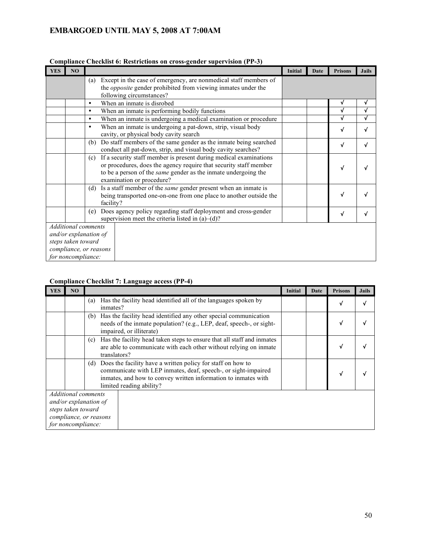|            |                    | Comphance Checkhist v. Restrictions on cross-genuer supervision (1 1 -9)     |         |      |                |              |
|------------|--------------------|------------------------------------------------------------------------------|---------|------|----------------|--------------|
| <b>YES</b> | NO                 |                                                                              | Initial | Date | <b>Prisons</b> | <b>Jails</b> |
|            |                    | Except in the case of emergency, are nonmedical staff members of<br>(a)      |         |      |                |              |
|            |                    | the <i>opposite</i> gender prohibited from viewing inmates under the         |         |      |                |              |
|            |                    | following circumstances?                                                     |         |      |                |              |
|            |                    | When an inmate is disrobed<br>$\bullet$                                      |         |      | √              | √            |
|            |                    | When an inmate is performing bodily functions<br>$\bullet$                   |         |      | √              | √            |
|            |                    | When an inmate is undergoing a medical examination or procedure<br>$\bullet$ |         |      | √              | √            |
|            |                    | When an inmate is undergoing a pat-down, strip, visual body<br>$\bullet$     |         |      | √              |              |
|            |                    | cavity, or physical body cavity search                                       |         |      |                |              |
|            |                    | Do staff members of the same gender as the inmate being searched<br>(b)      |         |      | $\sqrt{ }$     | √            |
|            |                    | conduct all pat-down, strip, and visual body cavity searches?                |         |      |                |              |
|            |                    | If a security staff member is present during medical examinations<br>(c)     |         |      |                |              |
|            |                    | or procedures, does the agency require that security staff member            |         |      | √              |              |
|            |                    | to be a person of the <i>same</i> gender as the inmate undergoing the        |         |      |                |              |
|            |                    | examination or procedure?                                                    |         |      |                |              |
|            |                    | Is a staff member of the <i>same</i> gender present when an inmate is<br>(d) |         |      |                |              |
|            |                    | being transported one-on-one from one place to another outside the           |         |      | √              |              |
|            |                    | facility?                                                                    |         |      |                |              |
|            |                    | Does agency policy regarding staff deployment and cross-gender<br>(e)        |         |      | √              |              |
|            |                    | supervision meet the criteria listed in $(a)$ – $(d)$ ?                      |         |      |                |              |
|            |                    | Additional comments                                                          |         |      |                |              |
|            |                    | and/or explanation of                                                        |         |      |                |              |
|            | steps taken toward |                                                                              |         |      |                |              |
|            |                    | compliance, or reasons                                                       |         |      |                |              |
|            | for noncompliance: |                                                                              |         |      |                |              |

### **Compliance Checklist 6: Restrictions on cross-gender supervision (PP-3)**

### **Compliance Checklist 7: Language access (PP-4)**

| <b>YES</b> | NO                                                                                                                                                                 |                                                                                                                                                                                                                                    |                                                                                                                                          | Initial | Date | <b>Prisons</b> | <b>Jails</b> |
|------------|--------------------------------------------------------------------------------------------------------------------------------------------------------------------|------------------------------------------------------------------------------------------------------------------------------------------------------------------------------------------------------------------------------------|------------------------------------------------------------------------------------------------------------------------------------------|---------|------|----------------|--------------|
|            |                                                                                                                                                                    | (a)<br>inmates?                                                                                                                                                                                                                    | Has the facility head identified all of the languages spoken by                                                                          |         |      |                |              |
|            |                                                                                                                                                                    | (b)<br>impaired, or illiterate)                                                                                                                                                                                                    | Has the facility head identified any other special communication<br>needs of the inmate population? (e.g., LEP, deaf, speech-, or sight- |         |      |                |              |
|            | Has the facility head taken steps to ensure that all staff and inmates<br>(c)<br>are able to communicate with each other without relying on inmate<br>translators? |                                                                                                                                                                                                                                    |                                                                                                                                          |         |      |                |              |
|            |                                                                                                                                                                    | Does the facility have a written policy for staff on how to<br>(d)<br>communicate with LEP inmates, deaf, speech-, or sight-impaired<br>inmates, and how to convey written information to inmates with<br>limited reading ability? |                                                                                                                                          |         |      |                |              |
|            |                                                                                                                                                                    | Additional comments                                                                                                                                                                                                                |                                                                                                                                          |         |      |                |              |
|            | steps taken toward                                                                                                                                                 | and/or explanation of                                                                                                                                                                                                              |                                                                                                                                          |         |      |                |              |
|            |                                                                                                                                                                    | compliance, or reasons                                                                                                                                                                                                             |                                                                                                                                          |         |      |                |              |
|            | for noncompliance:                                                                                                                                                 |                                                                                                                                                                                                                                    |                                                                                                                                          |         |      |                |              |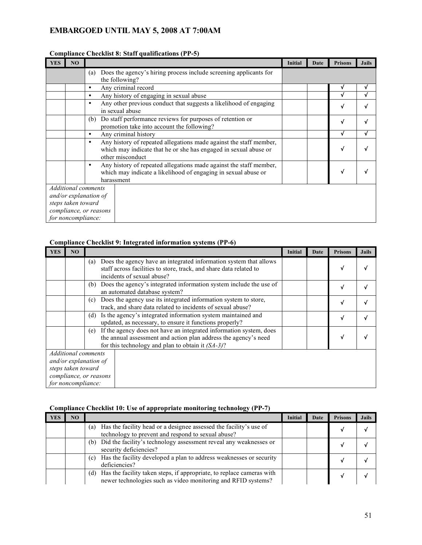|                        |                    | Comphance Checkilst 6: Staff quantications (FF-3)                                                                                                               |         |      |                |              |
|------------------------|--------------------|-----------------------------------------------------------------------------------------------------------------------------------------------------------------|---------|------|----------------|--------------|
| <b>YES</b>             | NO                 |                                                                                                                                                                 | Initial | Date | <b>Prisons</b> | <b>Jails</b> |
|                        |                    | Does the agency's hiring process include screening applicants for<br>(a)<br>the following?                                                                      |         |      |                |              |
|                        |                    | Any criminal record<br>٠                                                                                                                                        |         |      | v              | V            |
|                        |                    | Any history of engaging in sexual abuse<br>٠                                                                                                                    |         |      |                |              |
|                        |                    | Any other previous conduct that suggests a likelihood of engaging<br>٠<br>in sexual abuse                                                                       |         |      | V              |              |
|                        |                    | Do staff performance reviews for purposes of retention or<br>(b)<br>promotion take into account the following?                                                  |         |      | V              |              |
|                        |                    | Any criminal history<br>$\bullet$                                                                                                                               |         |      | V              |              |
|                        |                    | Any history of repeated allegations made against the staff member,<br>٠<br>which may indicate that he or she has engaged in sexual abuse or<br>other misconduct |         |      | √              |              |
|                        |                    | Any history of repeated allegations made against the staff member,<br>٠<br>which may indicate a likelihood of engaging in sexual abuse or<br>harassment         |         |      | √              |              |
|                        |                    | Additional comments                                                                                                                                             |         |      |                |              |
|                        |                    | and/or explanation of                                                                                                                                           |         |      |                |              |
|                        | steps taken toward |                                                                                                                                                                 |         |      |                |              |
| compliance, or reasons |                    |                                                                                                                                                                 |         |      |                |              |
|                        | for noncompliance: |                                                                                                                                                                 |         |      |                |              |

### **Compliance Checklist 8: Staff qualifications (PP-5)**

#### **Compliance Checklist 9: Integrated information systems (PP-6)**

| <b>YES</b> | N <sub>O</sub>     |                                                                                                                                                                                                      | Initial | Date | <b>Prisons</b> | <b>Jails</b> |
|------------|--------------------|------------------------------------------------------------------------------------------------------------------------------------------------------------------------------------------------------|---------|------|----------------|--------------|
|            |                    | Does the agency have an integrated information system that allows<br>(a)<br>staff across facilities to store, track, and share data related to<br>incidents of sexual abuse?                         |         |      |                |              |
|            |                    | Does the agency's integrated information system include the use of<br>(b)<br>an automated database system?                                                                                           |         |      | √              |              |
|            |                    | Does the agency use its integrated information system to store,<br>(c)<br>track, and share data related to incidents of sexual abuse?                                                                |         |      | √              |              |
|            |                    | Is the agency's integrated information system maintained and<br>(d)<br>updated, as necessary, to ensure it functions properly?                                                                       |         |      | v              |              |
|            |                    | If the agency does not have an integrated information system, does<br>(e)<br>the annual assessment and action plan address the agency's need<br>for this technology and plan to obtain it $(SA-3)$ ? |         |      |                |              |
|            |                    | <b>Additional comments</b>                                                                                                                                                                           |         |      |                |              |
|            |                    | and/or explanation of                                                                                                                                                                                |         |      |                |              |
|            | steps taken toward |                                                                                                                                                                                                      |         |      |                |              |
|            |                    | compliance, or reasons                                                                                                                                                                               |         |      |                |              |
|            | for noncompliance: |                                                                                                                                                                                                      |         |      |                |              |

## **Compliance Checklist 10: Use of appropriate monitoring technology (PP-7)**

| YES | NO |                                                                                                                                               | Initial | Date | <b>Prisons</b> | <b>Jails</b> |
|-----|----|-----------------------------------------------------------------------------------------------------------------------------------------------|---------|------|----------------|--------------|
|     |    | Has the facility head or a designee assessed the facility's use of<br>(a)<br>technology to prevent and respond to sexual abuse?               |         |      |                |              |
|     |    | Did the facility's technology assessment reveal any weaknesses or<br>(b)<br>security deficiencies?                                            |         |      |                |              |
|     |    | Has the facility developed a plan to address weaknesses or security<br>(c)<br>deficiencies?                                                   |         |      |                |              |
|     |    | Has the facility taken steps, if appropriate, to replace cameras with<br>(d)<br>newer technologies such as video monitoring and RFID systems? |         |      |                |              |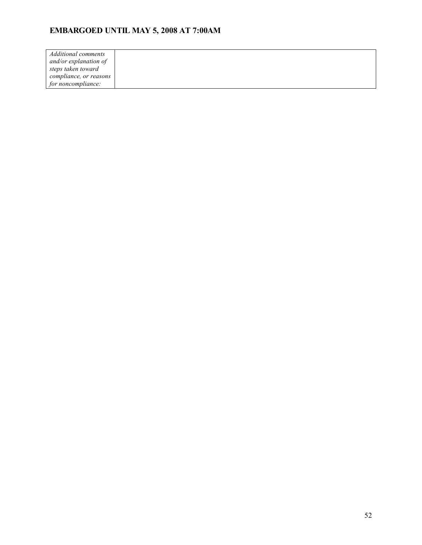| Additional comments    |  |
|------------------------|--|
| and/or explanation of  |  |
| steps taken toward     |  |
| compliance, or reasons |  |
| for noncompliance:     |  |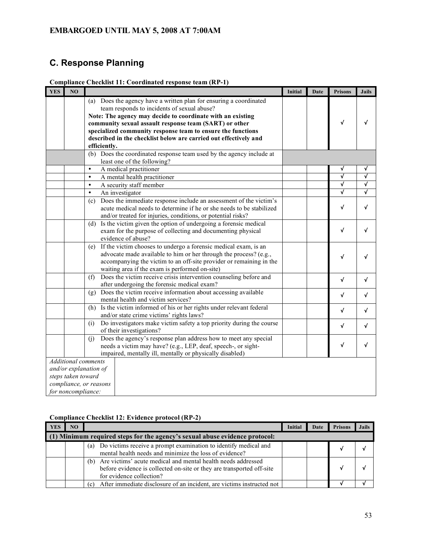# **C. Response Planning**

|  | Compliance Checklist 11: Coordinated response team (RP-1) |  |
|--|-----------------------------------------------------------|--|
|--|-----------------------------------------------------------|--|

| <b>YES</b> | N <sub>O</sub>     |                                                                             | Initial | Date | <b>Prisons</b>          | <b>Jails</b>            |
|------------|--------------------|-----------------------------------------------------------------------------|---------|------|-------------------------|-------------------------|
|            |                    | Does the agency have a written plan for ensuring a coordinated<br>(a)       |         |      |                         |                         |
|            |                    | team responds to incidents of sexual abuse?                                 |         |      |                         |                         |
|            |                    | Note: The agency may decide to coordinate with an existing                  |         |      |                         |                         |
|            |                    | community sexual assault response team (SART) or other                      |         |      | $\sqrt{ }$              |                         |
|            |                    | specialized community response team to ensure the functions                 |         |      |                         |                         |
|            |                    | described in the checklist below are carried out effectively and            |         |      |                         |                         |
|            |                    | efficiently.                                                                |         |      |                         |                         |
|            |                    | (b) Does the coordinated response team used by the agency include at        |         |      |                         |                         |
|            |                    | least one of the following?                                                 |         |      |                         |                         |
|            |                    | A medical practitioner<br>$\bullet$                                         |         |      | √                       | √                       |
|            |                    | $\bullet$<br>A mental health practitioner                                   |         |      | $\overline{\checkmark}$ | $\overline{\mathsf{v}}$ |
|            |                    | A security staff member<br>$\bullet$                                        |         |      | $\overline{\checkmark}$ | √                       |
|            |                    | $\bullet$<br>An investigator                                                |         |      | √                       | √                       |
|            |                    | Does the immediate response include an assessment of the victim's<br>(c)    |         |      |                         |                         |
|            |                    | acute medical needs to determine if he or she needs to be stabilized        |         |      | √                       | √                       |
|            |                    | and/or treated for injuries, conditions, or potential risks?                |         |      |                         |                         |
|            |                    | Is the victim given the option of undergoing a forensic medical<br>(d)      |         |      |                         |                         |
|            |                    | exam for the purpose of collecting and documenting physical                 |         |      | $\checkmark$            | √                       |
|            |                    | evidence of abuse?                                                          |         |      |                         |                         |
|            |                    | If the victim chooses to undergo a forensic medical exam, is an<br>(e)      |         |      |                         |                         |
|            |                    | advocate made available to him or her through the process? (e.g.,           |         |      | √                       | √                       |
|            |                    | accompanying the victim to an off-site provider or remaining in the         |         |      |                         |                         |
|            |                    | waiting area if the exam is performed on-site)                              |         |      |                         |                         |
|            |                    | Does the victim receive crisis intervention counseling before and<br>(f)    |         |      | $\sqrt{ }$              | $\checkmark$            |
|            |                    | after undergoing the forensic medical exam?                                 |         |      |                         |                         |
|            |                    | (g) Does the victim receive information about accessing available           |         |      | $\checkmark$            | V                       |
|            |                    | mental health and victim services?                                          |         |      |                         |                         |
|            |                    | (h) Is the victim informed of his or her rights under relevant federal      |         |      | $\checkmark$            | √                       |
|            |                    | and/or state crime victims' rights laws?                                    |         |      |                         |                         |
|            |                    | Do investigators make victim safety a top priority during the course<br>(i) |         |      | $\sqrt{ }$              | $\checkmark$            |
|            |                    | of their investigations?                                                    |         |      |                         |                         |
|            |                    | Does the agency's response plan address how to meet any special<br>(i)      |         |      |                         |                         |
|            |                    | needs a victim may have? (e.g., LEP, deaf, speech-, or sight-               |         |      | $\checkmark$            | √                       |
|            |                    | impaired, mentally ill, mentally or physically disabled)                    |         |      |                         |                         |
|            |                    | <b>Additional</b> comments                                                  |         |      |                         |                         |
|            |                    | and/or explanation of                                                       |         |      |                         |                         |
|            | steps taken toward |                                                                             |         |      |                         |                         |
|            |                    | compliance, or reasons                                                      |         |      |                         |                         |
|            | for noncompliance: |                                                                             |         |      |                         |                         |

### **Compliance Checklist 12: Evidence protocol (RP-2)**

| YES | NO. |                                                                                                                                                                          | Initia | Date | <b>Prisons</b> | <b>Jails</b> |
|-----|-----|--------------------------------------------------------------------------------------------------------------------------------------------------------------------------|--------|------|----------------|--------------|
|     |     | (1) Minimum required steps for the agency's sexual abuse evidence protocol:                                                                                              |        |      |                |              |
|     |     | Do victims receive a prompt examination to identify medical and<br>(a)<br>mental health needs and minimize the loss of evidence?                                         |        |      |                |              |
|     |     | Are victims' acute medical and mental health needs addressed<br>(b)<br>before evidence is collected on-site or they are transported off-site<br>for evidence collection? |        |      |                |              |
|     |     | After immediate disclosure of an incident, are victims instructed not<br>(c)                                                                                             |        |      |                |              |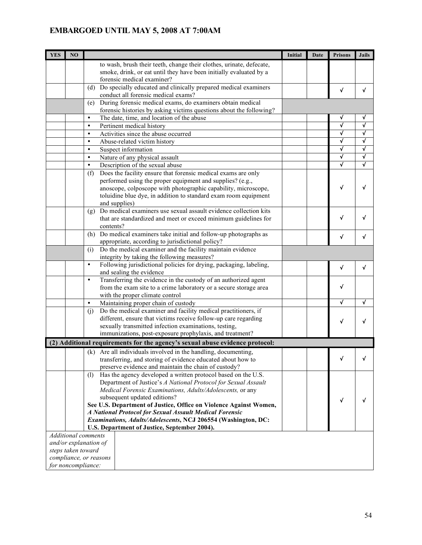| <b>YES</b> | NO                 |                            |                                                                                                                                 | Initial | Date | <b>Prisons</b>          | <b>Jails</b> |
|------------|--------------------|----------------------------|---------------------------------------------------------------------------------------------------------------------------------|---------|------|-------------------------|--------------|
|            |                    |                            | to wash, brush their teeth, change their clothes, urinate, defecate,                                                            |         |      |                         |              |
|            |                    |                            | smoke, drink, or eat until they have been initially evaluated by a                                                              |         |      |                         |              |
|            |                    |                            | forensic medical examiner?                                                                                                      |         |      |                         |              |
|            |                    | (d)                        | Do specially educated and clinically prepared medical examiners                                                                 |         |      | $\checkmark$            | √            |
|            |                    |                            | conduct all forensic medical exams?                                                                                             |         |      |                         |              |
|            |                    | (e)                        | During forensic medical exams, do examiners obtain medical                                                                      |         |      |                         |              |
|            |                    | $\bullet$                  | forensic histories by asking victims questions about the following?<br>The date, time, and location of the abuse                |         |      | √                       | √            |
|            |                    | $\bullet$                  | Pertinent medical history                                                                                                       |         |      | V                       | V            |
|            |                    | $\bullet$                  | Activities since the abuse occurred                                                                                             |         |      | V                       | √            |
|            |                    | $\bullet$                  | Abuse-related victim history                                                                                                    |         |      | V                       | √            |
|            |                    | $\bullet$                  | Suspect information                                                                                                             |         |      | $\overline{\sqrt{} }$   | √            |
|            |                    | $\bullet$                  | Nature of any physical assault                                                                                                  |         |      | $\overline{\mathsf{v}}$ | $\sqrt{ }$   |
|            |                    | $\bullet$                  | Description of the sexual abuse                                                                                                 |         |      | √                       | √            |
|            |                    | (f)                        | Does the facility ensure that forensic medical exams are only                                                                   |         |      |                         |              |
|            |                    |                            | performed using the proper equipment and supplies? (e.g.,                                                                       |         |      |                         |              |
|            |                    |                            | anoscope, colposcope with photographic capability, microscope,                                                                  |         |      | $\checkmark$            | √            |
|            |                    |                            | toluidine blue dye, in addition to standard exam room equipment                                                                 |         |      |                         |              |
|            |                    |                            | and supplies)                                                                                                                   |         |      |                         |              |
|            |                    | (g)                        | Do medical examiners use sexual assault evidence collection kits                                                                |         |      |                         |              |
|            |                    |                            | that are standardized and meet or exceed minimum guidelines for                                                                 |         |      | $\checkmark$            | √            |
|            |                    | contents?                  |                                                                                                                                 |         |      |                         |              |
|            |                    |                            | (h) Do medical examiners take initial and follow-up photographs as<br>appropriate, according to jurisdictional policy?          |         |      | V                       | v            |
|            |                    | (i)                        | Do the medical examiner and the facility maintain evidence                                                                      |         |      |                         |              |
|            |                    |                            | integrity by taking the following measures?                                                                                     |         |      |                         |              |
|            |                    | $\bullet$                  | Following jurisdictional policies for drying, packaging, labeling,                                                              |         |      |                         |              |
|            |                    |                            | and sealing the evidence                                                                                                        |         |      | $\sqrt{ }$              | $\sqrt{ }$   |
|            |                    | $\bullet$                  | Transferring the evidence in the custody of an authorized agent                                                                 |         |      |                         |              |
|            |                    |                            | from the exam site to a crime laboratory or a secure storage area                                                               |         |      | V                       |              |
|            |                    |                            | with the proper climate control                                                                                                 |         |      |                         |              |
|            |                    | $\bullet$                  | Maintaining proper chain of custody                                                                                             |         |      | √                       |              |
|            |                    | (j)                        | Do the medical examiner and facility medical practitioners, if                                                                  |         |      |                         |              |
|            |                    |                            | different, ensure that victims receive follow-up care regarding                                                                 |         |      | $\sqrt{ }$              |              |
|            |                    |                            | sexually transmitted infection examinations, testing,                                                                           |         |      |                         |              |
|            |                    |                            | immunizations, post-exposure prophylaxis, and treatment?                                                                        |         |      |                         |              |
|            |                    |                            | (2) Additional requirements for the agency's sexual abuse evidence protocol:                                                    |         |      |                         |              |
|            |                    |                            | (k) Are all individuals involved in the handling, documenting,                                                                  |         |      | J.                      |              |
|            |                    |                            | transferring, and storing of evidence educated about how to                                                                     |         |      |                         |              |
|            |                    |                            | preserve evidence and maintain the chain of custody?                                                                            |         |      |                         |              |
|            |                    | (1)                        | Has the agency developed a written protocol based on the U.S.<br>Department of Justice's A National Protocol for Sexual Assault |         |      |                         |              |
|            |                    |                            | Medical Forensic Examinations, Adults/Adolescents, or any                                                                       |         |      |                         |              |
|            |                    |                            | subsequent updated editions?                                                                                                    |         |      |                         |              |
|            |                    |                            | See U.S. Department of Justice, Office on Violence Against Women,                                                               |         |      | $\checkmark$            |              |
|            |                    |                            | A National Protocol for Sexual Assault Medical Forensic                                                                         |         |      |                         |              |
|            |                    |                            | Examinations, Adults/Adolescents, NCJ 206554 (Washington, DC:                                                                   |         |      |                         |              |
|            |                    |                            | U.S. Department of Justice, September 2004).                                                                                    |         |      |                         |              |
|            |                    | <b>Additional comments</b> |                                                                                                                                 |         |      |                         |              |
|            |                    | and/or explanation of      |                                                                                                                                 |         |      |                         |              |
|            | steps taken toward |                            |                                                                                                                                 |         |      |                         |              |
|            |                    | compliance, or reasons     |                                                                                                                                 |         |      |                         |              |
|            | for noncompliance: |                            |                                                                                                                                 |         |      |                         |              |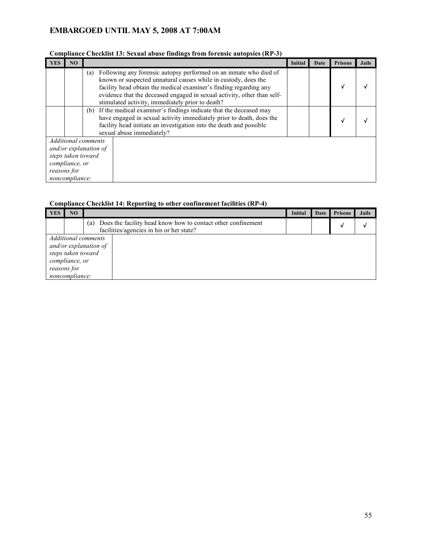|                                                                                                                              |    | Comphance Checkinst 19. Statial abuse mittings from foreinsic autopsics (Kr -9)                                                                                                                                                                                                                                                                |                |      |                |              |
|------------------------------------------------------------------------------------------------------------------------------|----|------------------------------------------------------------------------------------------------------------------------------------------------------------------------------------------------------------------------------------------------------------------------------------------------------------------------------------------------|----------------|------|----------------|--------------|
| <b>YES</b>                                                                                                                   | NO |                                                                                                                                                                                                                                                                                                                                                | <b>Initial</b> | Date | <b>Prisons</b> | <b>Jails</b> |
|                                                                                                                              |    | Following any forensic autopsy performed on an inmate who died of<br>(a)<br>known or suspected unnatural causes while in custody, does the<br>facility head obtain the medical examiner's finding regarding any<br>evidence that the deceased engaged in sexual activity, other than self-<br>stimulated activity, immediately prior to death? |                |      | √              |              |
|                                                                                                                              |    | If the medical examiner's findings indicate that the deceased may<br>(b)<br>have engaged in sexual activity immediately prior to death, does the<br>facility head initiate an investigation into the death and possible<br>sexual abuse immediately?                                                                                           |                |      |                |              |
| <b>Additional comments</b><br>and/or explanation of<br>steps taken toward<br>compliance, or<br>reasons for<br>noncompliance: |    |                                                                                                                                                                                                                                                                                                                                                |                |      |                |              |

### **Compliance Checklist 13: Sexual abuse findings from forensic autopsies (RP-3)**

#### **Compliance Checklist 14: Reporting to other confinement facilities (RP-4)**

| YES                                                                                                                   | NO |                                                                                                                 | <b>Initial</b> | Date | <b>Prisons</b> | <b>Jails</b> |
|-----------------------------------------------------------------------------------------------------------------------|----|-----------------------------------------------------------------------------------------------------------------|----------------|------|----------------|--------------|
|                                                                                                                       |    | Does the facility head know how to contact other confinement<br>(a)<br>facilities/agencies in his or her state? |                |      |                |              |
| Additional comments<br>and/or explanation of<br>steps taken toward<br>compliance, or<br>reasons for<br>noncompliance: |    |                                                                                                                 |                |      |                |              |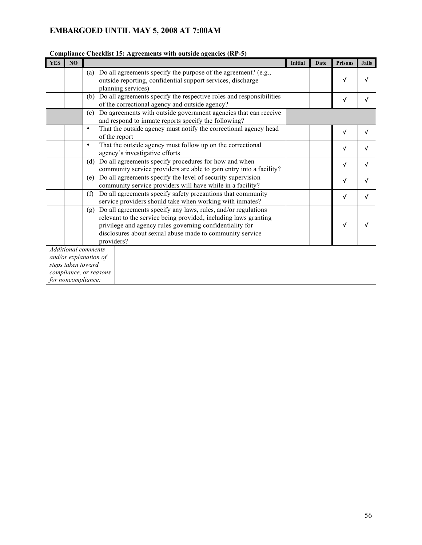| <b>YES</b> | NO                 | $\alpha$ checking to $\alpha$ is the control with value agencies (i.e. $\beta$ )                                                                                                                                                                                              | <b>Initial</b> | Date | <b>Prisons</b> | <b>Jails</b> |
|------------|--------------------|-------------------------------------------------------------------------------------------------------------------------------------------------------------------------------------------------------------------------------------------------------------------------------|----------------|------|----------------|--------------|
|            |                    | Do all agreements specify the purpose of the agreement? (e.g.,<br>(a)<br>outside reporting, confidential support services, discharge<br>planning services)                                                                                                                    |                |      | $\checkmark$   | √            |
|            |                    | Do all agreements specify the respective roles and responsibilities<br>(b)<br>of the correctional agency and outside agency?                                                                                                                                                  |                |      | $\checkmark$   | √            |
| (c)        |                    | Do agreements with outside government agencies that can receive<br>and respond to inmate reports specify the following?                                                                                                                                                       |                |      |                |              |
|            |                    | That the outside agency must notify the correctional agency head<br>$\bullet$<br>of the report                                                                                                                                                                                |                |      | $\sqrt{ }$     | √            |
|            |                    | That the outside agency must follow up on the correctional<br>$\bullet$<br>agency's investigative efforts                                                                                                                                                                     |                |      | $\sqrt{ }$     | v            |
|            |                    | Do all agreements specify procedures for how and when<br>(d)<br>community service providers are able to gain entry into a facility?                                                                                                                                           |                |      | $\checkmark$   | √            |
|            |                    | Do all agreements specify the level of security supervision<br>(e)<br>community service providers will have while in a facility?                                                                                                                                              |                |      | $\checkmark$   | √            |
|            |                    | Do all agreements specify safety precautions that community<br>(f)<br>service providers should take when working with inmates?                                                                                                                                                |                |      | $\sqrt{ }$     | √            |
|            |                    | Do all agreements specify any laws, rules, and/or regulations<br>(g)<br>relevant to the service being provided, including laws granting<br>privilege and agency rules governing confidentiality for<br>disclosures about sexual abuse made to community service<br>providers? |                |      | √              |              |
|            |                    | Additional comments                                                                                                                                                                                                                                                           |                |      |                |              |
|            | steps taken toward | and/or explanation of                                                                                                                                                                                                                                                         |                |      |                |              |
|            |                    | compliance, or reasons                                                                                                                                                                                                                                                        |                |      |                |              |
|            | for noncompliance: |                                                                                                                                                                                                                                                                               |                |      |                |              |

### **Compliance Checklist 15: Agreements with outside agencies (RP-5)**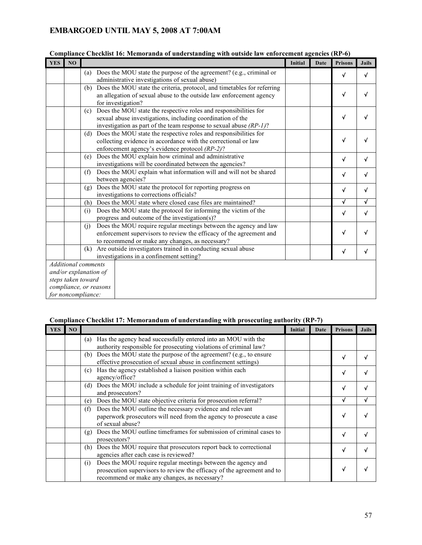| <b>YES</b> | NO |                                                                                                                    |                                                                                                                                                                                                         | <b>Initial</b> | Date | <b>Prisons</b> | <b>Jails</b> |
|------------|----|--------------------------------------------------------------------------------------------------------------------|---------------------------------------------------------------------------------------------------------------------------------------------------------------------------------------------------------|----------------|------|----------------|--------------|
|            |    | (a)                                                                                                                | Does the MOU state the purpose of the agreement? (e.g., criminal or<br>administrative investigations of sexual abuse)                                                                                   |                |      | $\checkmark$   | √            |
|            |    | (b)                                                                                                                | Does the MOU state the criteria, protocol, and timetables for referring<br>an allegation of sexual abuse to the outside law enforcement agency<br>for investigation?                                    |                |      | $\checkmark$   |              |
|            |    | (c)                                                                                                                | Does the MOU state the respective roles and responsibilities for<br>sexual abuse investigations, including coordination of the<br>investigation as part of the team response to sexual abuse $(RP-1)$ ? |                |      | $\checkmark$   | √            |
|            |    | (d)                                                                                                                | Does the MOU state the respective roles and responsibilities for<br>collecting evidence in accordance with the correctional or law<br>enforcement agency's evidence protocol (RP-2)?                    |                |      | $\checkmark$   |              |
|            |    | (e)                                                                                                                | Does the MOU explain how criminal and administrative<br>investigations will be coordinated between the agencies?                                                                                        |                |      | $\checkmark$   | √            |
|            |    | (f)                                                                                                                | Does the MOU explain what information will and will not be shared<br>between agencies?                                                                                                                  |                |      | $\checkmark$   | √            |
|            |    | (g)                                                                                                                | Does the MOU state the protocol for reporting progress on<br>investigations to corrections officials?                                                                                                   |                |      | $\checkmark$   |              |
|            |    |                                                                                                                    | (h) Does the MOU state where closed case files are maintained?                                                                                                                                          |                |      | $\checkmark$   | √            |
|            |    | (i)                                                                                                                | Does the MOU state the protocol for informing the victim of the<br>progress and outcome of the investigation(s)?                                                                                        |                |      | $\checkmark$   | √            |
|            |    | (i)                                                                                                                | Does the MOU require regular meetings between the agency and law<br>enforcement supervisors to review the efficacy of the agreement and<br>to recommend or make any changes, as necessary?              |                |      | $\checkmark$   |              |
|            |    | (k)                                                                                                                | Are outside investigators trained in conducting sexual abuse<br>investigations in a confinement setting?                                                                                                |                |      | $\checkmark$   | √            |
|            |    | Additional comments<br>and/or explanation of<br>steps taken toward<br>compliance, or reasons<br>for noncompliance: |                                                                                                                                                                                                         |                |      |                |              |

#### **Compliance Checklist 16: Memoranda of understanding with outside law enforcement agencies (RP-6)**

### **Compliance Checklist 17: Memorandum of understanding with prosecuting authority (RP-7)**

| <b>YES</b> | N <sub>O</sub> |                                                                                                                                                                                               | <b>Initial</b> | Date | <b>Prisons</b> | <b>Jails</b> |
|------------|----------------|-----------------------------------------------------------------------------------------------------------------------------------------------------------------------------------------------|----------------|------|----------------|--------------|
|            |                | Has the agency head successfully entered into an MOU with the<br>(a)<br>authority responsible for prosecuting violations of criminal law?                                                     |                |      |                |              |
|            |                | (b) Does the MOU state the purpose of the agreement? (e.g., to ensure<br>effective prosecution of sexual abuse in confinement settings)                                                       |                |      | v              |              |
|            |                | Has the agency established a liaison position within each<br>(c)<br>agency/office?                                                                                                            |                |      | v              |              |
|            |                | Does the MOU include a schedule for joint training of investigators<br>(d)<br>and prosecutors?                                                                                                |                |      | v              |              |
|            |                | Does the MOU state objective criteria for prosecution referral?<br>(e)                                                                                                                        |                |      | v              |              |
|            |                | Does the MOU outline the necessary evidence and relevant<br>(f)<br>paperwork prosecutors will need from the agency to prosecute a case<br>of sexual abuse?                                    |                |      |                |              |
|            |                | Does the MOU outline timeframes for submission of criminal cases to<br>(g)<br>prosecutors?                                                                                                    |                |      | V              |              |
|            |                | Does the MOU require that prosecutors report back to correctional<br>(h)<br>agencies after each case is reviewed?                                                                             |                |      | v              |              |
|            |                | Does the MOU require regular meetings between the agency and<br>(i)<br>prosecution supervisors to review the efficacy of the agreement and to<br>recommend or make any changes, as necessary? |                |      | v              |              |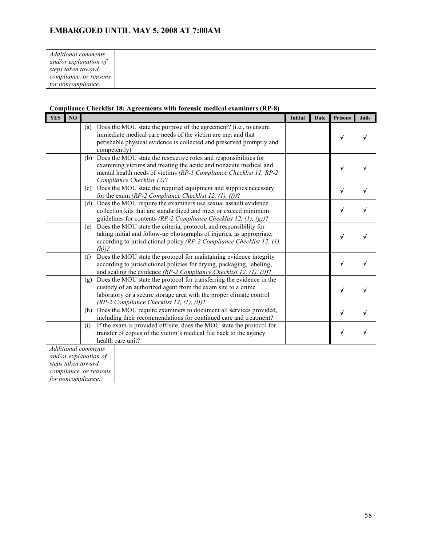| Additional comments    |  |
|------------------------|--|
| and/or explanation of  |  |
| steps taken toward     |  |
| compliance, or reasons |  |
| for noncompliance:     |  |

### **Compliance Checklist 18: Agreements with forensic medical examiners (RP-8)**

| <b>YES</b> | NO |                                                                                                                                                                                                                                                                    | Initial | <b>Date</b> | <b>Prisons</b> | <b>Jails</b> |
|------------|----|--------------------------------------------------------------------------------------------------------------------------------------------------------------------------------------------------------------------------------------------------------------------|---------|-------------|----------------|--------------|
|            |    | (a) Does the MOU state the purpose of the agreement? (i.e., to ensure<br>immediate medical care needs of the victim are met and that<br>perishable physical evidence is collected and preserved promptly and<br>competently)                                       |         |             | V              |              |
|            |    | Does the MOU state the respective roles and responsibilities for<br>(b)<br>examining victims and treating the acute and nonacute medical and<br>mental health needs of victims (RP-1 Compliance Checklist 11, RP-2<br>Compliance Checklist 12)?                    |         |             | √              |              |
|            |    | (c) Does the MOU state the required equipment and supplies necessary<br>for the exam (RP-2 Compliance Checklist 12, (1), (f))?                                                                                                                                     |         |             | $\sqrt{ }$     | V            |
|            |    | (d) Does the MOU require the examiners use sexual assault evidence<br>collection kits that are standardized and meet or exceed minimum<br>guidelines for contents (RP-2 Compliance Checklist 12, $(1)$ , $(g)$ )?                                                  |         |             | $\checkmark$   |              |
|            |    | Does the MOU state the criteria, protocol, and responsibility for<br>(e)<br>taking initial and follow-up photographs of injuries, as appropriate,<br>according to jurisdictional policy (RP-2 Compliance Checklist 12, (1),<br>$(h)$ ?                             |         |             | $\checkmark$   |              |
|            |    | Does the MOU state the protocol for maintaining evidence integrity<br>(f)<br>according to jurisdictional policies for drying, packaging, labeling,<br>and sealing the evidence (RP-2 Compliance Checklist 12, (1), (i))?                                           |         |             | $\sqrt{ }$     |              |
|            |    | (g) Does the MOU state the protocol for transferring the evidence in the<br>custody of an authorized agent from the exam site to a crime<br>laboratory or a secure storage area with the proper climate control<br>(RP-2 Compliance Checklist 12, $(1)$ , $(i)$ )? |         |             | $\checkmark$   |              |
|            |    | Does the MOU require examiners to document all services provided,<br>(h)<br>including their recommendations for continued care and treatment?                                                                                                                      |         |             | $\sqrt{}$      |              |
|            |    | (i)<br>If the exam is provided off-site, does the MOU state the protocol for<br>transfer of copies of the victim's medical file back to the agency<br>health care unit?                                                                                            |         |             | $\checkmark$   |              |
|            |    | <b>Additional comments</b><br>and/or explanation of<br>steps taken toward<br>compliance, or reasons<br>for noncompliance:                                                                                                                                          |         |             |                |              |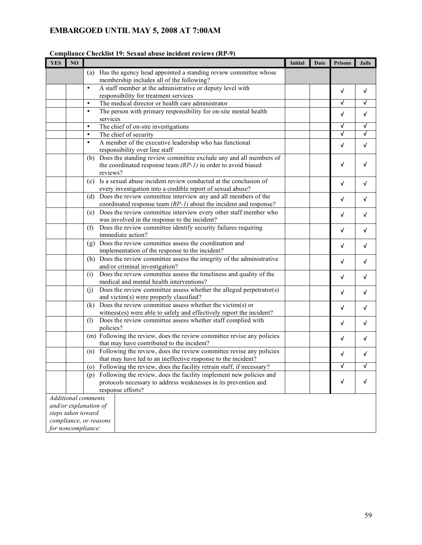| <b>YES</b> | NO                         |           |                                                                                                                                                            | Initial | Date | <b>Prisons</b> | <b>Jails</b> |
|------------|----------------------------|-----------|------------------------------------------------------------------------------------------------------------------------------------------------------------|---------|------|----------------|--------------|
|            |                            | (a)       | Has the agency head appointed a standing review committee whose<br>membership includes all of the following?                                               |         |      |                |              |
|            |                            | $\bullet$ | A staff member at the administrative or deputy level with<br>responsibility for treatment services                                                         |         |      | √              | V            |
|            |                            | $\bullet$ | The medical director or health care administrator                                                                                                          |         |      | $\checkmark$   | √            |
|            |                            | $\bullet$ | The person with primary responsibility for on-site mental health<br>services                                                                               |         |      | $\checkmark$   | $\checkmark$ |
|            |                            | $\bullet$ | The chief of on-site investigations                                                                                                                        |         |      | $\checkmark$   | √            |
|            |                            | $\bullet$ | The chief of security                                                                                                                                      |         |      | √              | √            |
|            |                            | $\bullet$ | A member of the executive leadership who has functional<br>responsibility over line staff                                                                  |         |      | $\checkmark$   | V            |
|            |                            |           | (b) Does the standing review committee exclude any and all members of<br>the coordinated response team $(RP-1)$ in order to avoid biased<br>reviews?       |         |      | √              | √            |
|            |                            |           | (c) Is a sexual abuse incident review conducted at the conclusion of<br>every investigation into a credible report of sexual abuse?                        |         |      | $\checkmark$   | √            |
|            |                            |           | (d) Does the review committee interview any and all members of the<br>coordinated response team $(RP-1)$ about the incident and response?                  |         |      | √              | V            |
|            |                            | (e)       | Does the review committee interview every other staff member who<br>was involved in the response to the incident?                                          |         |      | √              | √            |
|            |                            | (f)       | Does the review committee identify security failures requiring<br>immediate action?                                                                        |         |      | $\checkmark$   | V            |
|            |                            | (g)       | Does the review committee assess the coordination and<br>implementation of the response to the incident?                                                   |         |      | $\checkmark$   | $\sqrt{ }$   |
|            |                            | (h)       | Does the review committee assess the integrity of the administrative<br>and/or criminal investigation?                                                     |         |      | $\sqrt{}$      | V            |
|            |                            | (i)       | Does the review committee assess the timeliness and quality of the<br>medical and mental health interventions?                                             |         |      | √              | V            |
|            |                            | (i)       | Does the review committee assess whether the alleged perpetrator(s)<br>and victim(s) were properly classified?                                             |         |      | $\checkmark$   | √            |
|            |                            | (k)       | Does the review committee assess whether the victim(s) or<br>witness(es) were able to safely and effectively report the incident?                          |         |      | $\checkmark$   | √            |
|            |                            | (1)       | Does the review committee assess whether staff complied with<br>policies?                                                                                  |         |      | √              | V            |
|            |                            |           | (m) Following the review, does the review committee revise any policies<br>that may have contributed to the incident?                                      |         |      | √              | V            |
|            |                            |           | (n) Following the review, does the review committee revise any policies<br>that may have led to an ineffective response to the incident?                   |         |      | $\checkmark$   | √            |
|            |                            | (0)       | Following the review, does the facility retrain staff, if necessary?                                                                                       |         |      |                |              |
|            |                            | (p)       | Following the review, does the facility implement new policies and<br>protocols necessary to address weaknesses in its prevention and<br>response efforts? |         |      | $\checkmark$   | √            |
|            | <b>Additional comments</b> |           |                                                                                                                                                            |         |      |                |              |
|            | and/or explanation of      |           |                                                                                                                                                            |         |      |                |              |
|            | steps taken toward         |           |                                                                                                                                                            |         |      |                |              |
|            | compliance, or reasons     |           |                                                                                                                                                            |         |      |                |              |
|            | for noncompliance:         |           |                                                                                                                                                            |         |      |                |              |

### **Compliance Checklist 19: Sexual abuse incident reviews (RP-9)**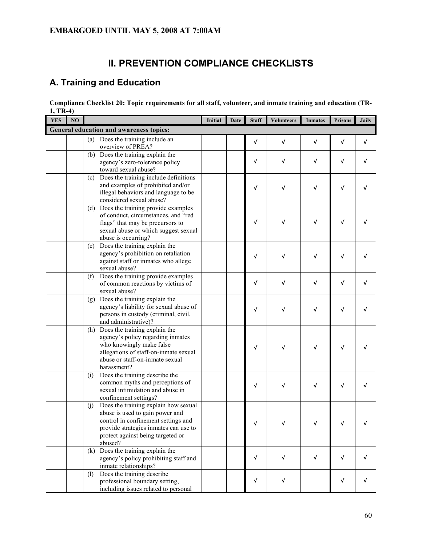# **II. PREVENTION COMPLIANCE CHECKLISTS**

# **A. Training and Education**

| Compliance Checklist 20: Topic requirements for all staff, volunteer, and inmate training and education (TR- |  |
|--------------------------------------------------------------------------------------------------------------|--|
| $1, TR-4)$                                                                                                   |  |

| <b>YES</b> | N <sub>O</sub> |     |                                                                                                                                                                                                         | Initial | <b>Date</b> | <b>Staff</b> | <b>Volunteers</b> | <b>Inmates</b> | <b>Prisons</b> | <b>Jails</b> |
|------------|----------------|-----|---------------------------------------------------------------------------------------------------------------------------------------------------------------------------------------------------------|---------|-------------|--------------|-------------------|----------------|----------------|--------------|
|            |                |     | General education and awareness topics:                                                                                                                                                                 |         |             |              |                   |                |                |              |
|            |                |     | (a) Does the training include an<br>overview of PREA?                                                                                                                                                   |         |             | $\checkmark$ | $\checkmark$      | $\checkmark$   | $\checkmark$   | $\checkmark$ |
|            |                |     | (b) Does the training explain the<br>agency's zero-tolerance policy<br>toward sexual abuse?                                                                                                             |         |             | √            | √                 | √              | √              | v            |
|            |                | (c) | Does the training include definitions<br>and examples of prohibited and/or<br>illegal behaviors and language to be<br>considered sexual abuse?                                                          |         |             | √            | √                 | √              | $\checkmark$   |              |
|            |                | (d) | Does the training provide examples<br>of conduct, circumstances, and "red<br>flags" that may be precursors to<br>sexual abuse or which suggest sexual<br>abuse is occurring?                            |         |             | √            | √                 | √              | √              |              |
|            |                | (e) | Does the training explain the<br>agency's prohibition on retaliation<br>against staff or inmates who allege<br>sexual abuse?                                                                            |         |             | √            | √                 | √              | √              |              |
|            |                | (f) | Does the training provide examples<br>of common reactions by victims of<br>sexual abuse?                                                                                                                |         |             | $\checkmark$ | √                 | $\checkmark$   | $\checkmark$   | √            |
|            |                |     | (g) Does the training explain the<br>agency's liability for sexual abuse of<br>persons in custody (criminal, civil,<br>and administrative)?                                                             |         |             | √            | √                 | √              | √              |              |
|            |                | (h) | Does the training explain the<br>agency's policy regarding inmates<br>who knowingly make false<br>allegations of staff-on-inmate sexual<br>abuse or staff-on-inmate sexual<br>harassment?               |         |             | √            |                   | √              | √              |              |
|            |                | (i) | Does the training describe the<br>common myths and perceptions of<br>sexual intimidation and abuse in<br>confinement settings?                                                                          |         |             | √            | √                 | √              | $\sqrt{ }$     |              |
|            |                | (j) | Does the training explain how sexual<br>abuse is used to gain power and<br>control in confinement settings and<br>provide strategies inmates can use to<br>protect against being targeted or<br>abused? |         |             |              |                   |                |                |              |
|            |                | (k) | Does the training explain the<br>agency's policy prohibiting staff and<br>inmate relationships?                                                                                                         |         |             | $\checkmark$ | $\checkmark$      | V              | $\checkmark$   | √            |
|            |                | (1) | Does the training describe<br>professional boundary setting,<br>including issues related to personal                                                                                                    |         |             | $\sqrt{ }$   | $\checkmark$      |                | V              | √            |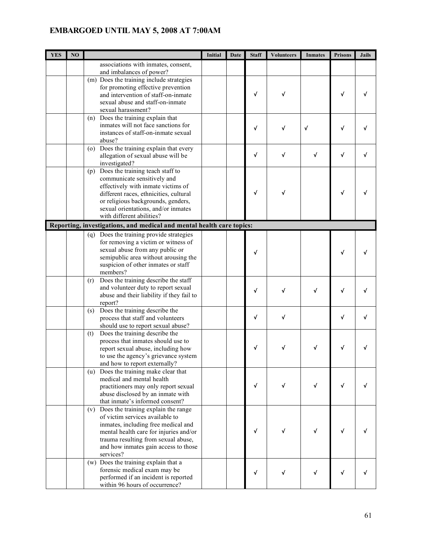| <b>YES</b> | NO |                                                                       | Initial | Date | <b>Staff</b> | <b>Volunteers</b> | <b>Inmates</b> | <b>Prisons</b> | <b>Jails</b> |
|------------|----|-----------------------------------------------------------------------|---------|------|--------------|-------------------|----------------|----------------|--------------|
|            |    | associations with inmates, consent,                                   |         |      |              |                   |                |                |              |
|            |    | and imbalances of power?                                              |         |      |              |                   |                |                |              |
|            |    | (m) Does the training include strategies                              |         |      |              |                   |                |                |              |
|            |    | for promoting effective prevention                                    |         |      |              |                   |                |                |              |
|            |    | and intervention of staff-on-inmate                                   |         |      | √            | √                 |                | $\sqrt{ }$     |              |
|            |    | sexual abuse and staff-on-inmate                                      |         |      |              |                   |                |                |              |
|            |    | sexual harassment?                                                    |         |      |              |                   |                |                |              |
|            |    | (n) Does the training explain that                                    |         |      |              |                   |                |                |              |
|            |    | inmates will not face sanctions for                                   |         |      | √            | √                 | $\checkmark$   | √              |              |
|            |    | instances of staff-on-inmate sexual                                   |         |      |              |                   |                |                |              |
|            |    | abuse?                                                                |         |      |              |                   |                |                |              |
|            |    | Does the training explain that every<br>$\circ$                       |         |      | $\checkmark$ | $\checkmark$      | $\checkmark$   | $\checkmark$   |              |
|            |    | allegation of sexual abuse will be                                    |         |      |              |                   |                |                |              |
|            |    | investigated?                                                         |         |      |              |                   |                |                |              |
|            |    | Does the training teach staff to<br>(p)                               |         |      |              |                   |                |                |              |
|            |    | communicate sensitively and<br>effectively with inmate victims of     |         |      |              |                   |                |                |              |
|            |    | different races, ethnicities, cultural                                |         |      | $\checkmark$ | √                 |                | $\checkmark$   |              |
|            |    | or religious backgrounds, genders,                                    |         |      |              |                   |                |                |              |
|            |    | sexual orientations, and/or inmates                                   |         |      |              |                   |                |                |              |
|            |    | with different abilities?                                             |         |      |              |                   |                |                |              |
|            |    | Reporting, investigations, and medical and mental health care topics: |         |      |              |                   |                |                |              |
|            |    | (q) Does the training provide strategies                              |         |      |              |                   |                |                |              |
|            |    | for removing a victim or witness of                                   |         |      |              |                   |                |                |              |
|            |    | sexual abuse from any public or                                       |         |      |              |                   |                |                |              |
|            |    | semipublic area without arousing the                                  |         |      | √            |                   |                | √              |              |
|            |    | suspicion of other inmates or staff                                   |         |      |              |                   |                |                |              |
|            |    | members?                                                              |         |      |              |                   |                |                |              |
|            |    | Does the training describe the staff<br>(r)                           |         |      |              |                   |                |                |              |
|            |    | and volunteer duty to report sexual                                   |         |      | √            | √                 | √              | √              |              |
|            |    | abuse and their liability if they fail to                             |         |      |              |                   |                |                |              |
|            |    | report?                                                               |         |      |              |                   |                |                |              |
|            |    | Does the training describe the<br>(s)                                 |         |      |              |                   |                |                |              |
|            |    | process that staff and volunteers                                     |         |      | $\checkmark$ | √                 |                | √              |              |
|            |    | should use to report sexual abuse?                                    |         |      |              |                   |                |                |              |
|            |    | Does the training describe the<br>(t)                                 |         |      |              |                   |                |                |              |
|            |    | process that inmates should use to                                    |         |      | v            |                   |                | V              |              |
|            |    | report sexual abuse, including how                                    |         |      |              |                   |                |                |              |
|            |    | to use the agency's grievance system<br>and how to report externally? |         |      |              |                   |                |                |              |
|            |    | Does the training make clear that<br>(u)                              |         |      |              |                   |                |                |              |
|            |    | medical and mental health                                             |         |      |              |                   |                |                |              |
|            |    | practitioners may only report sexual                                  |         |      | √            | √                 | √              | $\checkmark$   |              |
|            |    | abuse disclosed by an inmate with                                     |         |      |              |                   |                |                |              |
|            |    | that inmate's informed consent?                                       |         |      |              |                   |                |                |              |
|            |    | (v) Does the training explain the range                               |         |      |              |                   |                |                |              |
|            |    | of victim services available to                                       |         |      |              |                   |                |                |              |
|            |    | inmates, including free medical and                                   |         |      |              |                   |                |                |              |
|            |    | mental health care for injuries and/or                                |         |      | √            |                   | √              | √              |              |
|            |    | trauma resulting from sexual abuse,                                   |         |      |              |                   |                |                |              |
|            |    | and how inmates gain access to those                                  |         |      |              |                   |                |                |              |
|            |    | services?                                                             |         |      |              |                   |                |                |              |
|            |    | (w) Does the training explain that a                                  |         |      |              |                   |                |                |              |
|            |    | forensic medical exam may be                                          |         |      | $\checkmark$ | √                 | $\sqrt{ }$     | $\checkmark$   |              |
|            |    | performed if an incident is reported                                  |         |      |              |                   |                |                |              |
|            |    | within 96 hours of occurrence?                                        |         |      |              |                   |                |                |              |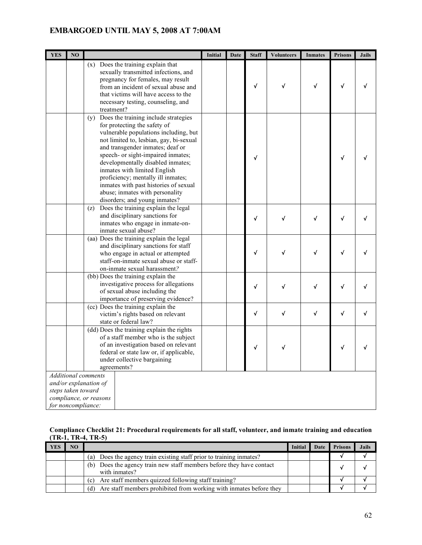| <b>YES</b> | N <sub>O</sub>     |                                                                                                                                                                                                                                                                                                                                                                                                                                                                   | <b>Initial</b> | Date | <b>Staff</b> | <b>Volunteers</b> | <b>Inmates</b> | <b>Prisons</b> | <b>Jails</b> |
|------------|--------------------|-------------------------------------------------------------------------------------------------------------------------------------------------------------------------------------------------------------------------------------------------------------------------------------------------------------------------------------------------------------------------------------------------------------------------------------------------------------------|----------------|------|--------------|-------------------|----------------|----------------|--------------|
|            |                    | (x) Does the training explain that<br>sexually transmitted infections, and<br>pregnancy for females, may result<br>from an incident of sexual abuse and<br>that victims will have access to the<br>necessary testing, counseling, and<br>treatment?                                                                                                                                                                                                               |                |      | $\checkmark$ | √                 | √              | $\sqrt{ }$     |              |
|            |                    | Does the training include strategies<br>(y)<br>for protecting the safety of<br>vulnerable populations including, but<br>not limited to, lesbian, gay, bi-sexual<br>and transgender inmates; deaf or<br>speech- or sight-impaired inmates;<br>developmentally disabled inmates;<br>inmates with limited English<br>proficiency; mentally ill inmates;<br>inmates with past histories of sexual<br>abuse; inmates with personality<br>disorders; and young inmates? |                |      | √            |                   |                | $\checkmark$   |              |
|            |                    | Does the training explain the legal<br>(z)<br>and disciplinary sanctions for<br>inmates who engage in inmate-on-<br>inmate sexual abuse?                                                                                                                                                                                                                                                                                                                          |                |      | √            | $\checkmark$      | √              | $\checkmark$   |              |
|            |                    | $\overline{(aa)}$ Does the training explain the legal<br>and disciplinary sanctions for staff<br>who engage in actual or attempted<br>staff-on-inmate sexual abuse or staff-<br>on-inmate sexual harassment?                                                                                                                                                                                                                                                      |                |      | √            | √                 |                | √              |              |
|            |                    | (bb) Does the training explain the<br>investigative process for allegations<br>of sexual abuse including the<br>importance of preserving evidence?                                                                                                                                                                                                                                                                                                                |                |      | √            | √                 | √              | √              |              |
|            |                    | (cc) Does the training explain the<br>victim's rights based on relevant<br>state or federal law?                                                                                                                                                                                                                                                                                                                                                                  |                |      | √            | $\checkmark$      | √              | $\checkmark$   |              |
|            |                    | (dd) Does the training explain the rights<br>of a staff member who is the subject<br>of an investigation based on relevant<br>federal or state law or, if applicable,<br>under collective bargaining<br>agreements?                                                                                                                                                                                                                                               |                |      | √            |                   |                | √              |              |
|            | steps taken toward | <b>Additional comments</b><br>and/or explanation of<br>compliance, or reasons                                                                                                                                                                                                                                                                                                                                                                                     |                |      |              |                   |                |                |              |
|            | for noncompliance: |                                                                                                                                                                                                                                                                                                                                                                                                                                                                   |                |      |              |                   |                |                |              |

### **Compliance Checklist 21: Procedural requirements for all staff, volunteer, and inmate training and education (TR-1, TR-4, TR-5)**

| YES | NO |                                                                                          | Initial | Date | <b>Prisons</b> | <b>Jails</b> |
|-----|----|------------------------------------------------------------------------------------------|---------|------|----------------|--------------|
|     |    | Does the agency train existing staff prior to training inmates?<br>(a)                   |         |      |                |              |
|     |    | Does the agency train new staff members before they have contact<br>(b)<br>with inmates? |         |      |                |              |
|     |    | Are staff members quizzed following staff training?<br>(c)                               |         |      |                |              |
|     |    | Are staff members prohibited from working with inmates before they<br>(d)                |         |      |                |              |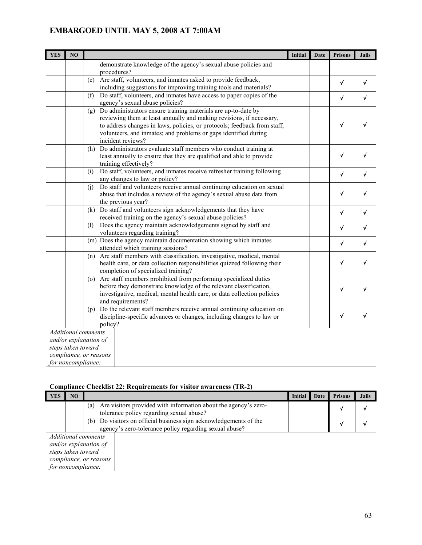| <b>YES</b> | N <sub>O</sub>                           |                                                                                                                                                                                                                                                                                                                  | Initial | Date | <b>Prisons</b> | <b>Jails</b> |
|------------|------------------------------------------|------------------------------------------------------------------------------------------------------------------------------------------------------------------------------------------------------------------------------------------------------------------------------------------------------------------|---------|------|----------------|--------------|
|            |                                          | demonstrate knowledge of the agency's sexual abuse policies and<br>procedures?                                                                                                                                                                                                                                   |         |      |                |              |
|            |                                          | Are staff, volunteers, and inmates asked to provide feedback,<br>(e)                                                                                                                                                                                                                                             |         |      | $\sqrt{ }$     | $\checkmark$ |
|            |                                          | including suggestions for improving training tools and materials?                                                                                                                                                                                                                                                |         |      |                |              |
|            |                                          | Do staff, volunteers, and inmates have access to paper copies of the<br>(f)<br>agency's sexual abuse policies?                                                                                                                                                                                                   |         |      | $\sqrt{ }$     | $\checkmark$ |
|            |                                          | Do administrators ensure training materials are up-to-date by<br>(g)<br>reviewing them at least annually and making revisions, if necessary,<br>to address changes in laws, policies, or protocols; feedback from staff,<br>volunteers, and inmates; and problems or gaps identified during<br>incident reviews? |         |      | √              |              |
|            |                                          | Do administrators evaluate staff members who conduct training at<br>(h)<br>least annually to ensure that they are qualified and able to provide<br>training effectively?                                                                                                                                         |         |      | $\checkmark$   | √            |
|            |                                          | Do staff, volunteers, and inmates receive refresher training following<br>(i)<br>any changes to law or policy?                                                                                                                                                                                                   |         |      | √              | V            |
|            |                                          | Do staff and volunteers receive annual continuing education on sexual<br>(j)<br>abuse that includes a review of the agency's sexual abuse data from<br>the previous year?                                                                                                                                        |         |      | √              | √            |
|            |                                          | (k) Do staff and volunteers sign acknowledgements that they have<br>received training on the agency's sexual abuse policies?                                                                                                                                                                                     |         |      | $\sqrt{ }$     | V            |
|            |                                          | (1)<br>Does the agency maintain acknowledgements signed by staff and<br>volunteers regarding training?                                                                                                                                                                                                           |         |      | $\checkmark$   | $\checkmark$ |
|            |                                          | (m) Does the agency maintain documentation showing which inmates<br>attended which training sessions?                                                                                                                                                                                                            |         |      | $\sqrt{ }$     | $\checkmark$ |
|            |                                          | Are staff members with classification, investigative, medical, mental<br>(n)<br>health care, or data collection responsibilities quizzed following their<br>completion of specialized training?                                                                                                                  |         |      | $\sqrt{ }$     | √            |
|            |                                          | (o) Are staff members prohibited from performing specialized duties<br>before they demonstrate knowledge of the relevant classification,<br>investigative, medical, mental health care, or data collection policies<br>and requirements?                                                                         |         |      | √              | √            |
|            |                                          | Do the relevant staff members receive annual continuing education on<br>(p)<br>discipline-specific advances or changes, including changes to law or<br>policy?                                                                                                                                                   |         |      | $\sqrt{ }$     | √            |
|            | steps taken toward<br>for noncompliance: | <b>Additional</b> comments<br>and/or explanation of<br>compliance, or reasons                                                                                                                                                                                                                                    |         |      |                |              |

## **Compliance Checklist 22: Requirements for visitor awareness (TR-2)**

| <b>YES</b> | NO                                       |                                                                                                                                | Initial | Date | <b>Prisons</b> | <b>Jails</b> |
|------------|------------------------------------------|--------------------------------------------------------------------------------------------------------------------------------|---------|------|----------------|--------------|
|            |                                          | Are visitors provided with information about the agency's zero-<br>(a)<br>tolerance policy regarding sexual abuse?             |         |      |                |              |
|            |                                          | Do visitors on official business sign acknowledgements of the<br>(b)<br>agency's zero-tolerance policy regarding sexual abuse? |         |      |                |              |
|            | steps taken toward<br>for noncompliance: | Additional comments<br>and/or explanation of<br>compliance, or reasons                                                         |         |      |                |              |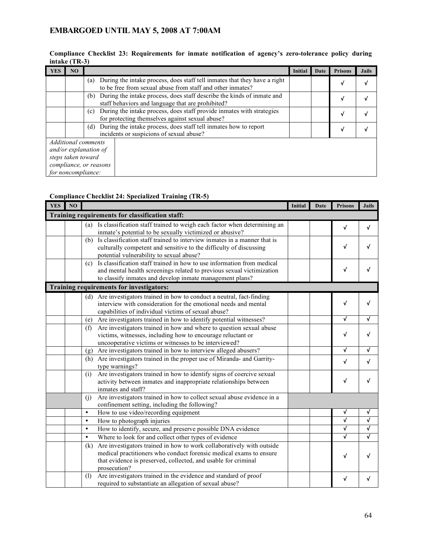#### **Compliance Checklist 23: Requirements for inmate notification of agency's zero-tolerance policy during intake (TR-3)**

| YES | N <sub>O</sub>     |                                                                                                                                                | Initial | Date | <b>Prisons</b> | <b>Jails</b> |
|-----|--------------------|------------------------------------------------------------------------------------------------------------------------------------------------|---------|------|----------------|--------------|
|     |                    | During the intake process, does staff tell inmates that they have a right<br>(a)<br>to be free from sexual abuse from staff and other inmates? |         |      | v              |              |
|     |                    | During the intake process, does staff describe the kinds of inmate and<br>(b)<br>staff behaviors and language that are prohibited?             |         |      | v              |              |
|     |                    | During the intake process, does staff provide inmates with strategies<br>(c)<br>for protecting themselves against sexual abuse?                |         |      | V              |              |
|     |                    | During the intake process, does staff tell inmates how to report<br>(d)<br>incidents or suspicions of sexual abuse?                            |         |      | √              |              |
|     |                    | Additional comments                                                                                                                            |         |      |                |              |
|     |                    | and/or explanation of                                                                                                                          |         |      |                |              |
|     | steps taken toward |                                                                                                                                                |         |      |                |              |
|     |                    | compliance, or reasons                                                                                                                         |         |      |                |              |
|     | for noncompliance: |                                                                                                                                                |         |      |                |              |

### **Compliance Checklist 24: Specialized Training (TR-5)**

| <b>YES</b> | N <sub>O</sub> |           |                                                                                                                                                                                                                               | <b>Initial</b> | Date | <b>Prisons</b>          | <b>Jails</b> |
|------------|----------------|-----------|-------------------------------------------------------------------------------------------------------------------------------------------------------------------------------------------------------------------------------|----------------|------|-------------------------|--------------|
|            |                |           | Training requirements for classification staff:                                                                                                                                                                               |                |      |                         |              |
|            |                | (a)       | Is classification staff trained to weigh each factor when determining an<br>inmate's potential to be sexually victimized or abusive?                                                                                          |                |      | $\sqrt{ }$              | √            |
|            |                | (b)       | Is classification staff trained to interview inmates in a manner that is<br>culturally competent and sensitive to the difficulty of discussing<br>potential vulnerability to sexual abuse?                                    |                |      | √                       | √            |
|            |                | (c)       | Is classification staff trained in how to use information from medical<br>and mental health screenings related to previous sexual victimization<br>to classify inmates and develop inmate management plans?                   |                |      | $\sqrt{ }$              | √            |
|            |                |           | Training requirements for investigators:                                                                                                                                                                                      |                |      |                         |              |
|            |                |           | (d) Are investigators trained in how to conduct a neutral, fact-finding<br>interview with consideration for the emotional needs and mental<br>capabilities of individual victims of sexual abuse?                             |                |      | √                       | √            |
|            |                | (e)       | Are investigators trained in how to identify potential witnesses?                                                                                                                                                             |                |      | √                       |              |
|            |                | (f)       | Are investigators trained in how and where to question sexual abuse<br>victims, witnesses, including how to encourage reluctant or<br>uncooperative victims or witnesses to be interviewed?                                   |                |      | √                       | √            |
|            |                | (g)       | Are investigators trained in how to interview alleged abusers?                                                                                                                                                                |                |      | $\overline{\checkmark}$ | √            |
|            |                | (h)       | Are investigators trained in the proper use of Miranda- and Garrity-<br>type warnings?                                                                                                                                        |                |      | $\sqrt{ }$              | √            |
|            |                | (i)       | Are investigators trained in how to identify signs of coercive sexual<br>activity between inmates and inappropriate relationships between<br>inmates and staff?                                                               |                |      | $\sqrt{ }$              | √            |
|            |                | (i)       | Are investigators trained in how to collect sexual abuse evidence in a<br>confinement setting, including the following?                                                                                                       |                |      |                         |              |
|            |                | $\bullet$ | How to use video/recording equipment                                                                                                                                                                                          |                |      | √                       | ٧            |
|            |                | $\bullet$ | How to photograph injuries                                                                                                                                                                                                    |                |      | √                       | √            |
|            |                | $\bullet$ | How to identify, secure, and preserve possible DNA evidence                                                                                                                                                                   |                |      | √                       | √            |
|            |                | $\bullet$ | Where to look for and collect other types of evidence                                                                                                                                                                         |                |      | √                       | $\sqrt{ }$   |
|            |                | (k)       | Are investigators trained in how to work collaboratively with outside<br>medical practitioners who conduct forensic medical exams to ensure<br>that evidence is preserved, collected, and usable for criminal<br>prosecution? |                |      | $\checkmark$            | √            |
|            |                | (1)       | Are investigators trained in the evidence and standard of proof<br>required to substantiate an allegation of sexual abuse?                                                                                                    |                |      | √                       | √            |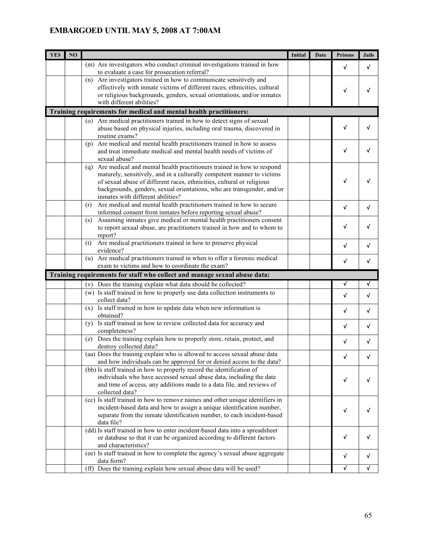| (m) Are investigators who conduct criminal investigations trained in how<br>$\sqrt{ }$<br>√<br>to evaluate a case for prosecution referral?<br>Are investigators trained in how to communicate sensitively and<br>(n)<br>effectively with inmate victims of different races, ethnicities, cultural<br>√<br>or religious backgrounds, genders, sexual orientations, and/or inmates<br>with different abilities?<br>Training requirements for medical and mental health practitioners:<br>(o) Are medical practitioners trained in how to detect signs of sexual<br>√<br>√<br>abuse based on physical injuries, including oral trauma, discovered in<br>routine exams?<br>(p) Are medical and mental health practitioners trained in how to assess<br>$\checkmark$<br>√<br>and treat immediate medical and mental health needs of victims of<br>sexual abuse?<br>(q) Are medical and mental health practitioners trained in how to respond<br>maturely, sensitively, and in a culturally competent manner to victims<br>√<br>of sexual abuse of different races, ethnicities, cultural or religious<br>backgrounds, genders, sexual orientations, who are transgender, and/or<br>inmates with different abilities?<br>Are medical and mental health practitioners trained in how to secure<br>(r)<br>$\sqrt{ }$<br>v<br>informed consent from inmates before reporting sexual abuse?<br>Assuming inmates give medical or mental health practitioners consent<br>(s)<br>√<br>to report sexual abuse, are practitioners trained in how and to whom to<br>report?<br>Are medical practitioners trained in how to preserve physical<br>(t)<br>$\checkmark$<br>√<br>evidence?<br>Are medical practitioners trained in when to offer a forensic medical<br>(u)<br>√<br>v<br>exam to victims and how to coordinate the exam?<br>Training requirements for staff who collect and manage sexual abuse data:<br>$\overline{\mathbf{v}}$<br>√<br>Does the training explain what data should be collected?<br>(v)<br>(w) Is staff trained in how to properly use data collection instruments to<br>$\checkmark$<br>√<br>collect data?<br>$(x)$ Is staff trained in how to update data when new information is<br>√<br>√<br>obtained?<br>(y) Is staff trained in how to review collected data for accuracy and<br>√<br>completeness?<br>Does the training explain how to properly store, retain, protect, and<br>(Z)<br>$\checkmark$<br>√<br>destroy collected data?<br>(aa) Does the training explain who is allowed to access sexual abuse data<br>√<br>and how individuals can be approved for or denied access to the data?<br>(bb) Is staff trained in how to properly record the identification of<br>individuals who have accessed sexual abuse data, including the date<br>$\checkmark$<br>and time of access, any additions made to a data file, and reviews of<br>collected data?<br>(cc) Is staff trained in how to remove names and other unique identifiers in<br>incident-based data and how to assign a unique identification number,<br>√<br>√<br>separate from the inmate identification number, to each incident-based<br>data file?<br>(dd) Is staff trained in how to enter incident-based data into a spreadsheet<br>$\checkmark$<br>√<br>or database so that it can be organized according to different factors<br>and characteristics?<br>(ee) Is staff trained in how to complete the agency's sexual abuse aggregate<br>V<br>V<br>data form? | <b>YES</b> | NO |                                                                    | Initial | Date | <b>Prisons</b> | <b>Jails</b> |
|--------------------------------------------------------------------------------------------------------------------------------------------------------------------------------------------------------------------------------------------------------------------------------------------------------------------------------------------------------------------------------------------------------------------------------------------------------------------------------------------------------------------------------------------------------------------------------------------------------------------------------------------------------------------------------------------------------------------------------------------------------------------------------------------------------------------------------------------------------------------------------------------------------------------------------------------------------------------------------------------------------------------------------------------------------------------------------------------------------------------------------------------------------------------------------------------------------------------------------------------------------------------------------------------------------------------------------------------------------------------------------------------------------------------------------------------------------------------------------------------------------------------------------------------------------------------------------------------------------------------------------------------------------------------------------------------------------------------------------------------------------------------------------------------------------------------------------------------------------------------------------------------------------------------------------------------------------------------------------------------------------------------------------------------------------------------------------------------------------------------------------------------------------------------------------------------------------------------------------------------------------------------------------------------------------------------------------------------------------------------------------------------------------------------------------------------------------------------------------------------------------------------------------------------------------------------------------------------------------------------------------------------------------------------------------------------------------------------------------------------------------------------------------------------------------------------------------------------------------------------------------------------------------------------------------------------------------------------------------------------------------------------------------------------------------------------------------------------------------------------------------------------------------------------------------------------------------------------------------------------------------------------------------------------------------------------------------------------------------------------------------------------------------------------------------------------------------|------------|----|--------------------------------------------------------------------|---------|------|----------------|--------------|
|                                                                                                                                                                                                                                                                                                                                                                                                                                                                                                                                                                                                                                                                                                                                                                                                                                                                                                                                                                                                                                                                                                                                                                                                                                                                                                                                                                                                                                                                                                                                                                                                                                                                                                                                                                                                                                                                                                                                                                                                                                                                                                                                                                                                                                                                                                                                                                                                                                                                                                                                                                                                                                                                                                                                                                                                                                                                                                                                                                                                                                                                                                                                                                                                                                                                                                                                                                                                                                                        |            |    |                                                                    |         |      |                |              |
|                                                                                                                                                                                                                                                                                                                                                                                                                                                                                                                                                                                                                                                                                                                                                                                                                                                                                                                                                                                                                                                                                                                                                                                                                                                                                                                                                                                                                                                                                                                                                                                                                                                                                                                                                                                                                                                                                                                                                                                                                                                                                                                                                                                                                                                                                                                                                                                                                                                                                                                                                                                                                                                                                                                                                                                                                                                                                                                                                                                                                                                                                                                                                                                                                                                                                                                                                                                                                                                        |            |    |                                                                    |         |      |                |              |
|                                                                                                                                                                                                                                                                                                                                                                                                                                                                                                                                                                                                                                                                                                                                                                                                                                                                                                                                                                                                                                                                                                                                                                                                                                                                                                                                                                                                                                                                                                                                                                                                                                                                                                                                                                                                                                                                                                                                                                                                                                                                                                                                                                                                                                                                                                                                                                                                                                                                                                                                                                                                                                                                                                                                                                                                                                                                                                                                                                                                                                                                                                                                                                                                                                                                                                                                                                                                                                                        |            |    |                                                                    |         |      |                |              |
|                                                                                                                                                                                                                                                                                                                                                                                                                                                                                                                                                                                                                                                                                                                                                                                                                                                                                                                                                                                                                                                                                                                                                                                                                                                                                                                                                                                                                                                                                                                                                                                                                                                                                                                                                                                                                                                                                                                                                                                                                                                                                                                                                                                                                                                                                                                                                                                                                                                                                                                                                                                                                                                                                                                                                                                                                                                                                                                                                                                                                                                                                                                                                                                                                                                                                                                                                                                                                                                        |            |    |                                                                    |         |      |                |              |
|                                                                                                                                                                                                                                                                                                                                                                                                                                                                                                                                                                                                                                                                                                                                                                                                                                                                                                                                                                                                                                                                                                                                                                                                                                                                                                                                                                                                                                                                                                                                                                                                                                                                                                                                                                                                                                                                                                                                                                                                                                                                                                                                                                                                                                                                                                                                                                                                                                                                                                                                                                                                                                                                                                                                                                                                                                                                                                                                                                                                                                                                                                                                                                                                                                                                                                                                                                                                                                                        |            |    |                                                                    |         |      |                |              |
|                                                                                                                                                                                                                                                                                                                                                                                                                                                                                                                                                                                                                                                                                                                                                                                                                                                                                                                                                                                                                                                                                                                                                                                                                                                                                                                                                                                                                                                                                                                                                                                                                                                                                                                                                                                                                                                                                                                                                                                                                                                                                                                                                                                                                                                                                                                                                                                                                                                                                                                                                                                                                                                                                                                                                                                                                                                                                                                                                                                                                                                                                                                                                                                                                                                                                                                                                                                                                                                        |            |    |                                                                    |         |      |                |              |
|                                                                                                                                                                                                                                                                                                                                                                                                                                                                                                                                                                                                                                                                                                                                                                                                                                                                                                                                                                                                                                                                                                                                                                                                                                                                                                                                                                                                                                                                                                                                                                                                                                                                                                                                                                                                                                                                                                                                                                                                                                                                                                                                                                                                                                                                                                                                                                                                                                                                                                                                                                                                                                                                                                                                                                                                                                                                                                                                                                                                                                                                                                                                                                                                                                                                                                                                                                                                                                                        |            |    |                                                                    |         |      |                |              |
|                                                                                                                                                                                                                                                                                                                                                                                                                                                                                                                                                                                                                                                                                                                                                                                                                                                                                                                                                                                                                                                                                                                                                                                                                                                                                                                                                                                                                                                                                                                                                                                                                                                                                                                                                                                                                                                                                                                                                                                                                                                                                                                                                                                                                                                                                                                                                                                                                                                                                                                                                                                                                                                                                                                                                                                                                                                                                                                                                                                                                                                                                                                                                                                                                                                                                                                                                                                                                                                        |            |    |                                                                    |         |      |                |              |
|                                                                                                                                                                                                                                                                                                                                                                                                                                                                                                                                                                                                                                                                                                                                                                                                                                                                                                                                                                                                                                                                                                                                                                                                                                                                                                                                                                                                                                                                                                                                                                                                                                                                                                                                                                                                                                                                                                                                                                                                                                                                                                                                                                                                                                                                                                                                                                                                                                                                                                                                                                                                                                                                                                                                                                                                                                                                                                                                                                                                                                                                                                                                                                                                                                                                                                                                                                                                                                                        |            |    |                                                                    |         |      |                |              |
|                                                                                                                                                                                                                                                                                                                                                                                                                                                                                                                                                                                                                                                                                                                                                                                                                                                                                                                                                                                                                                                                                                                                                                                                                                                                                                                                                                                                                                                                                                                                                                                                                                                                                                                                                                                                                                                                                                                                                                                                                                                                                                                                                                                                                                                                                                                                                                                                                                                                                                                                                                                                                                                                                                                                                                                                                                                                                                                                                                                                                                                                                                                                                                                                                                                                                                                                                                                                                                                        |            |    |                                                                    |         |      |                |              |
|                                                                                                                                                                                                                                                                                                                                                                                                                                                                                                                                                                                                                                                                                                                                                                                                                                                                                                                                                                                                                                                                                                                                                                                                                                                                                                                                                                                                                                                                                                                                                                                                                                                                                                                                                                                                                                                                                                                                                                                                                                                                                                                                                                                                                                                                                                                                                                                                                                                                                                                                                                                                                                                                                                                                                                                                                                                                                                                                                                                                                                                                                                                                                                                                                                                                                                                                                                                                                                                        |            |    |                                                                    |         |      |                |              |
|                                                                                                                                                                                                                                                                                                                                                                                                                                                                                                                                                                                                                                                                                                                                                                                                                                                                                                                                                                                                                                                                                                                                                                                                                                                                                                                                                                                                                                                                                                                                                                                                                                                                                                                                                                                                                                                                                                                                                                                                                                                                                                                                                                                                                                                                                                                                                                                                                                                                                                                                                                                                                                                                                                                                                                                                                                                                                                                                                                                                                                                                                                                                                                                                                                                                                                                                                                                                                                                        |            |    |                                                                    |         |      |                |              |
|                                                                                                                                                                                                                                                                                                                                                                                                                                                                                                                                                                                                                                                                                                                                                                                                                                                                                                                                                                                                                                                                                                                                                                                                                                                                                                                                                                                                                                                                                                                                                                                                                                                                                                                                                                                                                                                                                                                                                                                                                                                                                                                                                                                                                                                                                                                                                                                                                                                                                                                                                                                                                                                                                                                                                                                                                                                                                                                                                                                                                                                                                                                                                                                                                                                                                                                                                                                                                                                        |            |    |                                                                    |         |      |                |              |
|                                                                                                                                                                                                                                                                                                                                                                                                                                                                                                                                                                                                                                                                                                                                                                                                                                                                                                                                                                                                                                                                                                                                                                                                                                                                                                                                                                                                                                                                                                                                                                                                                                                                                                                                                                                                                                                                                                                                                                                                                                                                                                                                                                                                                                                                                                                                                                                                                                                                                                                                                                                                                                                                                                                                                                                                                                                                                                                                                                                                                                                                                                                                                                                                                                                                                                                                                                                                                                                        |            |    |                                                                    |         |      |                |              |
|                                                                                                                                                                                                                                                                                                                                                                                                                                                                                                                                                                                                                                                                                                                                                                                                                                                                                                                                                                                                                                                                                                                                                                                                                                                                                                                                                                                                                                                                                                                                                                                                                                                                                                                                                                                                                                                                                                                                                                                                                                                                                                                                                                                                                                                                                                                                                                                                                                                                                                                                                                                                                                                                                                                                                                                                                                                                                                                                                                                                                                                                                                                                                                                                                                                                                                                                                                                                                                                        |            |    |                                                                    |         |      |                |              |
|                                                                                                                                                                                                                                                                                                                                                                                                                                                                                                                                                                                                                                                                                                                                                                                                                                                                                                                                                                                                                                                                                                                                                                                                                                                                                                                                                                                                                                                                                                                                                                                                                                                                                                                                                                                                                                                                                                                                                                                                                                                                                                                                                                                                                                                                                                                                                                                                                                                                                                                                                                                                                                                                                                                                                                                                                                                                                                                                                                                                                                                                                                                                                                                                                                                                                                                                                                                                                                                        |            |    |                                                                    |         |      |                |              |
|                                                                                                                                                                                                                                                                                                                                                                                                                                                                                                                                                                                                                                                                                                                                                                                                                                                                                                                                                                                                                                                                                                                                                                                                                                                                                                                                                                                                                                                                                                                                                                                                                                                                                                                                                                                                                                                                                                                                                                                                                                                                                                                                                                                                                                                                                                                                                                                                                                                                                                                                                                                                                                                                                                                                                                                                                                                                                                                                                                                                                                                                                                                                                                                                                                                                                                                                                                                                                                                        |            |    |                                                                    |         |      |                |              |
|                                                                                                                                                                                                                                                                                                                                                                                                                                                                                                                                                                                                                                                                                                                                                                                                                                                                                                                                                                                                                                                                                                                                                                                                                                                                                                                                                                                                                                                                                                                                                                                                                                                                                                                                                                                                                                                                                                                                                                                                                                                                                                                                                                                                                                                                                                                                                                                                                                                                                                                                                                                                                                                                                                                                                                                                                                                                                                                                                                                                                                                                                                                                                                                                                                                                                                                                                                                                                                                        |            |    |                                                                    |         |      |                |              |
|                                                                                                                                                                                                                                                                                                                                                                                                                                                                                                                                                                                                                                                                                                                                                                                                                                                                                                                                                                                                                                                                                                                                                                                                                                                                                                                                                                                                                                                                                                                                                                                                                                                                                                                                                                                                                                                                                                                                                                                                                                                                                                                                                                                                                                                                                                                                                                                                                                                                                                                                                                                                                                                                                                                                                                                                                                                                                                                                                                                                                                                                                                                                                                                                                                                                                                                                                                                                                                                        |            |    |                                                                    |         |      |                |              |
|                                                                                                                                                                                                                                                                                                                                                                                                                                                                                                                                                                                                                                                                                                                                                                                                                                                                                                                                                                                                                                                                                                                                                                                                                                                                                                                                                                                                                                                                                                                                                                                                                                                                                                                                                                                                                                                                                                                                                                                                                                                                                                                                                                                                                                                                                                                                                                                                                                                                                                                                                                                                                                                                                                                                                                                                                                                                                                                                                                                                                                                                                                                                                                                                                                                                                                                                                                                                                                                        |            |    |                                                                    |         |      |                |              |
|                                                                                                                                                                                                                                                                                                                                                                                                                                                                                                                                                                                                                                                                                                                                                                                                                                                                                                                                                                                                                                                                                                                                                                                                                                                                                                                                                                                                                                                                                                                                                                                                                                                                                                                                                                                                                                                                                                                                                                                                                                                                                                                                                                                                                                                                                                                                                                                                                                                                                                                                                                                                                                                                                                                                                                                                                                                                                                                                                                                                                                                                                                                                                                                                                                                                                                                                                                                                                                                        |            |    |                                                                    |         |      |                |              |
|                                                                                                                                                                                                                                                                                                                                                                                                                                                                                                                                                                                                                                                                                                                                                                                                                                                                                                                                                                                                                                                                                                                                                                                                                                                                                                                                                                                                                                                                                                                                                                                                                                                                                                                                                                                                                                                                                                                                                                                                                                                                                                                                                                                                                                                                                                                                                                                                                                                                                                                                                                                                                                                                                                                                                                                                                                                                                                                                                                                                                                                                                                                                                                                                                                                                                                                                                                                                                                                        |            |    |                                                                    |         |      |                |              |
|                                                                                                                                                                                                                                                                                                                                                                                                                                                                                                                                                                                                                                                                                                                                                                                                                                                                                                                                                                                                                                                                                                                                                                                                                                                                                                                                                                                                                                                                                                                                                                                                                                                                                                                                                                                                                                                                                                                                                                                                                                                                                                                                                                                                                                                                                                                                                                                                                                                                                                                                                                                                                                                                                                                                                                                                                                                                                                                                                                                                                                                                                                                                                                                                                                                                                                                                                                                                                                                        |            |    |                                                                    |         |      |                |              |
|                                                                                                                                                                                                                                                                                                                                                                                                                                                                                                                                                                                                                                                                                                                                                                                                                                                                                                                                                                                                                                                                                                                                                                                                                                                                                                                                                                                                                                                                                                                                                                                                                                                                                                                                                                                                                                                                                                                                                                                                                                                                                                                                                                                                                                                                                                                                                                                                                                                                                                                                                                                                                                                                                                                                                                                                                                                                                                                                                                                                                                                                                                                                                                                                                                                                                                                                                                                                                                                        |            |    |                                                                    |         |      |                |              |
|                                                                                                                                                                                                                                                                                                                                                                                                                                                                                                                                                                                                                                                                                                                                                                                                                                                                                                                                                                                                                                                                                                                                                                                                                                                                                                                                                                                                                                                                                                                                                                                                                                                                                                                                                                                                                                                                                                                                                                                                                                                                                                                                                                                                                                                                                                                                                                                                                                                                                                                                                                                                                                                                                                                                                                                                                                                                                                                                                                                                                                                                                                                                                                                                                                                                                                                                                                                                                                                        |            |    |                                                                    |         |      |                |              |
|                                                                                                                                                                                                                                                                                                                                                                                                                                                                                                                                                                                                                                                                                                                                                                                                                                                                                                                                                                                                                                                                                                                                                                                                                                                                                                                                                                                                                                                                                                                                                                                                                                                                                                                                                                                                                                                                                                                                                                                                                                                                                                                                                                                                                                                                                                                                                                                                                                                                                                                                                                                                                                                                                                                                                                                                                                                                                                                                                                                                                                                                                                                                                                                                                                                                                                                                                                                                                                                        |            |    |                                                                    |         |      |                |              |
|                                                                                                                                                                                                                                                                                                                                                                                                                                                                                                                                                                                                                                                                                                                                                                                                                                                                                                                                                                                                                                                                                                                                                                                                                                                                                                                                                                                                                                                                                                                                                                                                                                                                                                                                                                                                                                                                                                                                                                                                                                                                                                                                                                                                                                                                                                                                                                                                                                                                                                                                                                                                                                                                                                                                                                                                                                                                                                                                                                                                                                                                                                                                                                                                                                                                                                                                                                                                                                                        |            |    |                                                                    |         |      |                |              |
|                                                                                                                                                                                                                                                                                                                                                                                                                                                                                                                                                                                                                                                                                                                                                                                                                                                                                                                                                                                                                                                                                                                                                                                                                                                                                                                                                                                                                                                                                                                                                                                                                                                                                                                                                                                                                                                                                                                                                                                                                                                                                                                                                                                                                                                                                                                                                                                                                                                                                                                                                                                                                                                                                                                                                                                                                                                                                                                                                                                                                                                                                                                                                                                                                                                                                                                                                                                                                                                        |            |    |                                                                    |         |      |                |              |
|                                                                                                                                                                                                                                                                                                                                                                                                                                                                                                                                                                                                                                                                                                                                                                                                                                                                                                                                                                                                                                                                                                                                                                                                                                                                                                                                                                                                                                                                                                                                                                                                                                                                                                                                                                                                                                                                                                                                                                                                                                                                                                                                                                                                                                                                                                                                                                                                                                                                                                                                                                                                                                                                                                                                                                                                                                                                                                                                                                                                                                                                                                                                                                                                                                                                                                                                                                                                                                                        |            |    |                                                                    |         |      |                |              |
|                                                                                                                                                                                                                                                                                                                                                                                                                                                                                                                                                                                                                                                                                                                                                                                                                                                                                                                                                                                                                                                                                                                                                                                                                                                                                                                                                                                                                                                                                                                                                                                                                                                                                                                                                                                                                                                                                                                                                                                                                                                                                                                                                                                                                                                                                                                                                                                                                                                                                                                                                                                                                                                                                                                                                                                                                                                                                                                                                                                                                                                                                                                                                                                                                                                                                                                                                                                                                                                        |            |    |                                                                    |         |      |                |              |
|                                                                                                                                                                                                                                                                                                                                                                                                                                                                                                                                                                                                                                                                                                                                                                                                                                                                                                                                                                                                                                                                                                                                                                                                                                                                                                                                                                                                                                                                                                                                                                                                                                                                                                                                                                                                                                                                                                                                                                                                                                                                                                                                                                                                                                                                                                                                                                                                                                                                                                                                                                                                                                                                                                                                                                                                                                                                                                                                                                                                                                                                                                                                                                                                                                                                                                                                                                                                                                                        |            |    |                                                                    |         |      |                |              |
|                                                                                                                                                                                                                                                                                                                                                                                                                                                                                                                                                                                                                                                                                                                                                                                                                                                                                                                                                                                                                                                                                                                                                                                                                                                                                                                                                                                                                                                                                                                                                                                                                                                                                                                                                                                                                                                                                                                                                                                                                                                                                                                                                                                                                                                                                                                                                                                                                                                                                                                                                                                                                                                                                                                                                                                                                                                                                                                                                                                                                                                                                                                                                                                                                                                                                                                                                                                                                                                        |            |    |                                                                    |         |      |                |              |
|                                                                                                                                                                                                                                                                                                                                                                                                                                                                                                                                                                                                                                                                                                                                                                                                                                                                                                                                                                                                                                                                                                                                                                                                                                                                                                                                                                                                                                                                                                                                                                                                                                                                                                                                                                                                                                                                                                                                                                                                                                                                                                                                                                                                                                                                                                                                                                                                                                                                                                                                                                                                                                                                                                                                                                                                                                                                                                                                                                                                                                                                                                                                                                                                                                                                                                                                                                                                                                                        |            |    |                                                                    |         |      |                |              |
|                                                                                                                                                                                                                                                                                                                                                                                                                                                                                                                                                                                                                                                                                                                                                                                                                                                                                                                                                                                                                                                                                                                                                                                                                                                                                                                                                                                                                                                                                                                                                                                                                                                                                                                                                                                                                                                                                                                                                                                                                                                                                                                                                                                                                                                                                                                                                                                                                                                                                                                                                                                                                                                                                                                                                                                                                                                                                                                                                                                                                                                                                                                                                                                                                                                                                                                                                                                                                                                        |            |    |                                                                    |         |      |                |              |
|                                                                                                                                                                                                                                                                                                                                                                                                                                                                                                                                                                                                                                                                                                                                                                                                                                                                                                                                                                                                                                                                                                                                                                                                                                                                                                                                                                                                                                                                                                                                                                                                                                                                                                                                                                                                                                                                                                                                                                                                                                                                                                                                                                                                                                                                                                                                                                                                                                                                                                                                                                                                                                                                                                                                                                                                                                                                                                                                                                                                                                                                                                                                                                                                                                                                                                                                                                                                                                                        |            |    |                                                                    |         |      |                |              |
|                                                                                                                                                                                                                                                                                                                                                                                                                                                                                                                                                                                                                                                                                                                                                                                                                                                                                                                                                                                                                                                                                                                                                                                                                                                                                                                                                                                                                                                                                                                                                                                                                                                                                                                                                                                                                                                                                                                                                                                                                                                                                                                                                                                                                                                                                                                                                                                                                                                                                                                                                                                                                                                                                                                                                                                                                                                                                                                                                                                                                                                                                                                                                                                                                                                                                                                                                                                                                                                        |            |    |                                                                    |         |      |                |              |
|                                                                                                                                                                                                                                                                                                                                                                                                                                                                                                                                                                                                                                                                                                                                                                                                                                                                                                                                                                                                                                                                                                                                                                                                                                                                                                                                                                                                                                                                                                                                                                                                                                                                                                                                                                                                                                                                                                                                                                                                                                                                                                                                                                                                                                                                                                                                                                                                                                                                                                                                                                                                                                                                                                                                                                                                                                                                                                                                                                                                                                                                                                                                                                                                                                                                                                                                                                                                                                                        |            |    |                                                                    |         |      |                |              |
|                                                                                                                                                                                                                                                                                                                                                                                                                                                                                                                                                                                                                                                                                                                                                                                                                                                                                                                                                                                                                                                                                                                                                                                                                                                                                                                                                                                                                                                                                                                                                                                                                                                                                                                                                                                                                                                                                                                                                                                                                                                                                                                                                                                                                                                                                                                                                                                                                                                                                                                                                                                                                                                                                                                                                                                                                                                                                                                                                                                                                                                                                                                                                                                                                                                                                                                                                                                                                                                        |            |    |                                                                    |         |      |                |              |
|                                                                                                                                                                                                                                                                                                                                                                                                                                                                                                                                                                                                                                                                                                                                                                                                                                                                                                                                                                                                                                                                                                                                                                                                                                                                                                                                                                                                                                                                                                                                                                                                                                                                                                                                                                                                                                                                                                                                                                                                                                                                                                                                                                                                                                                                                                                                                                                                                                                                                                                                                                                                                                                                                                                                                                                                                                                                                                                                                                                                                                                                                                                                                                                                                                                                                                                                                                                                                                                        |            |    |                                                                    |         |      |                |              |
|                                                                                                                                                                                                                                                                                                                                                                                                                                                                                                                                                                                                                                                                                                                                                                                                                                                                                                                                                                                                                                                                                                                                                                                                                                                                                                                                                                                                                                                                                                                                                                                                                                                                                                                                                                                                                                                                                                                                                                                                                                                                                                                                                                                                                                                                                                                                                                                                                                                                                                                                                                                                                                                                                                                                                                                                                                                                                                                                                                                                                                                                                                                                                                                                                                                                                                                                                                                                                                                        |            |    |                                                                    |         |      |                |              |
|                                                                                                                                                                                                                                                                                                                                                                                                                                                                                                                                                                                                                                                                                                                                                                                                                                                                                                                                                                                                                                                                                                                                                                                                                                                                                                                                                                                                                                                                                                                                                                                                                                                                                                                                                                                                                                                                                                                                                                                                                                                                                                                                                                                                                                                                                                                                                                                                                                                                                                                                                                                                                                                                                                                                                                                                                                                                                                                                                                                                                                                                                                                                                                                                                                                                                                                                                                                                                                                        |            |    |                                                                    |         |      |                |              |
|                                                                                                                                                                                                                                                                                                                                                                                                                                                                                                                                                                                                                                                                                                                                                                                                                                                                                                                                                                                                                                                                                                                                                                                                                                                                                                                                                                                                                                                                                                                                                                                                                                                                                                                                                                                                                                                                                                                                                                                                                                                                                                                                                                                                                                                                                                                                                                                                                                                                                                                                                                                                                                                                                                                                                                                                                                                                                                                                                                                                                                                                                                                                                                                                                                                                                                                                                                                                                                                        |            |    |                                                                    |         |      |                |              |
|                                                                                                                                                                                                                                                                                                                                                                                                                                                                                                                                                                                                                                                                                                                                                                                                                                                                                                                                                                                                                                                                                                                                                                                                                                                                                                                                                                                                                                                                                                                                                                                                                                                                                                                                                                                                                                                                                                                                                                                                                                                                                                                                                                                                                                                                                                                                                                                                                                                                                                                                                                                                                                                                                                                                                                                                                                                                                                                                                                                                                                                                                                                                                                                                                                                                                                                                                                                                                                                        |            |    |                                                                    |         |      |                |              |
|                                                                                                                                                                                                                                                                                                                                                                                                                                                                                                                                                                                                                                                                                                                                                                                                                                                                                                                                                                                                                                                                                                                                                                                                                                                                                                                                                                                                                                                                                                                                                                                                                                                                                                                                                                                                                                                                                                                                                                                                                                                                                                                                                                                                                                                                                                                                                                                                                                                                                                                                                                                                                                                                                                                                                                                                                                                                                                                                                                                                                                                                                                                                                                                                                                                                                                                                                                                                                                                        |            |    |                                                                    |         |      |                |              |
|                                                                                                                                                                                                                                                                                                                                                                                                                                                                                                                                                                                                                                                                                                                                                                                                                                                                                                                                                                                                                                                                                                                                                                                                                                                                                                                                                                                                                                                                                                                                                                                                                                                                                                                                                                                                                                                                                                                                                                                                                                                                                                                                                                                                                                                                                                                                                                                                                                                                                                                                                                                                                                                                                                                                                                                                                                                                                                                                                                                                                                                                                                                                                                                                                                                                                                                                                                                                                                                        |            |    |                                                                    |         |      |                |              |
|                                                                                                                                                                                                                                                                                                                                                                                                                                                                                                                                                                                                                                                                                                                                                                                                                                                                                                                                                                                                                                                                                                                                                                                                                                                                                                                                                                                                                                                                                                                                                                                                                                                                                                                                                                                                                                                                                                                                                                                                                                                                                                                                                                                                                                                                                                                                                                                                                                                                                                                                                                                                                                                                                                                                                                                                                                                                                                                                                                                                                                                                                                                                                                                                                                                                                                                                                                                                                                                        |            |    |                                                                    |         |      |                |              |
|                                                                                                                                                                                                                                                                                                                                                                                                                                                                                                                                                                                                                                                                                                                                                                                                                                                                                                                                                                                                                                                                                                                                                                                                                                                                                                                                                                                                                                                                                                                                                                                                                                                                                                                                                                                                                                                                                                                                                                                                                                                                                                                                                                                                                                                                                                                                                                                                                                                                                                                                                                                                                                                                                                                                                                                                                                                                                                                                                                                                                                                                                                                                                                                                                                                                                                                                                                                                                                                        |            |    |                                                                    |         |      |                |              |
|                                                                                                                                                                                                                                                                                                                                                                                                                                                                                                                                                                                                                                                                                                                                                                                                                                                                                                                                                                                                                                                                                                                                                                                                                                                                                                                                                                                                                                                                                                                                                                                                                                                                                                                                                                                                                                                                                                                                                                                                                                                                                                                                                                                                                                                                                                                                                                                                                                                                                                                                                                                                                                                                                                                                                                                                                                                                                                                                                                                                                                                                                                                                                                                                                                                                                                                                                                                                                                                        |            |    | (ff) Does the training explain how sexual abuse data will be used? |         |      | $\checkmark$   | √            |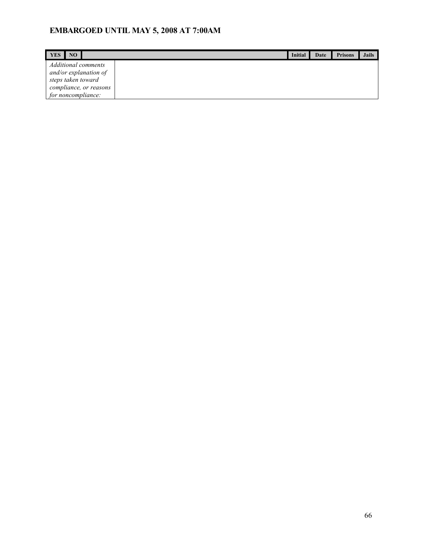| <b>YES</b><br>NO.                                                                                                  | Initial | Date | <b>Prisons</b> | <b>Jails</b> |
|--------------------------------------------------------------------------------------------------------------------|---------|------|----------------|--------------|
| Additional comments<br>and/or explanation of<br>steps taken toward<br>compliance, or reasons<br>for noncompliance: |         |      |                |              |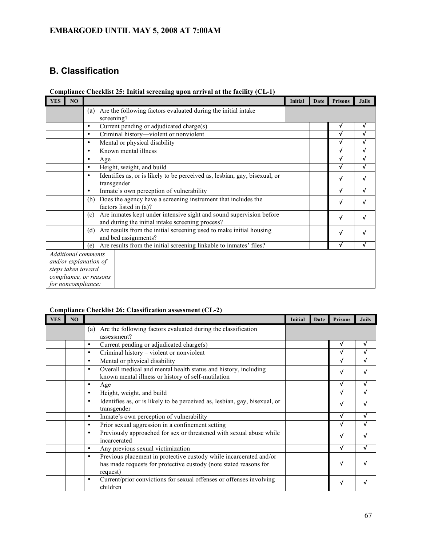## **B. Classification**

| <b>YES</b>                                                                                                                | NO |                                                                                                                                | <b>Initial</b> | Date | <b>Prisons</b> | <b>Jails</b> |
|---------------------------------------------------------------------------------------------------------------------------|----|--------------------------------------------------------------------------------------------------------------------------------|----------------|------|----------------|--------------|
|                                                                                                                           |    | Are the following factors evaluated during the initial intake<br>(a)                                                           |                |      |                |              |
|                                                                                                                           |    | screening?                                                                                                                     |                |      |                |              |
|                                                                                                                           |    | Current pending or adjudicated charge(s)<br>$\bullet$                                                                          |                |      | V              | $\checkmark$ |
|                                                                                                                           |    | Criminal history-violent or nonviolent<br>٠                                                                                    |                |      | √              | √            |
|                                                                                                                           |    | Mental or physical disability<br>٠                                                                                             |                |      | V              | √            |
|                                                                                                                           |    | Known mental illness<br>$\bullet$                                                                                              |                |      |                | √            |
|                                                                                                                           |    | Age<br>$\bullet$                                                                                                               |                |      | √              | √            |
|                                                                                                                           |    | Height, weight, and build<br>$\bullet$                                                                                         |                |      | √              | √            |
|                                                                                                                           |    | Identifies as, or is likely to be perceived as, lesbian, gay, bisexual, or<br>$\bullet$<br>transgender                         |                |      | v              | √            |
|                                                                                                                           |    | Inmate's own perception of vulnerability<br>$\bullet$                                                                          |                |      | V              | √            |
|                                                                                                                           |    | Does the agency have a screening instrument that includes the<br>(b)<br>factors listed in (a)?                                 |                |      | v              | √            |
|                                                                                                                           |    | Are inmates kept under intensive sight and sound supervision before<br>(c)<br>and during the initial intake screening process? |                |      | V              | √            |
|                                                                                                                           |    | Are results from the initial screening used to make initial housing<br>(d)<br>and bed assignments?                             |                |      | √              | √            |
|                                                                                                                           |    | Are results from the initial screening linkable to inmates' files?<br>(e)                                                      |                |      | v              | √            |
| <b>Additional comments</b><br>and/or explanation of<br>steps taken toward<br>compliance, or reasons<br>for noncompliance: |    |                                                                                                                                |                |      |                |              |

|  |  |  | Compliance Checklist 25: Initial screening upon arrival at the facility (CL-1) |  |  |  |
|--|--|--|--------------------------------------------------------------------------------|--|--|--|
|  |  |  |                                                                                |  |  |  |

### **Compliance Checklist 26: Classification assessment (CL-2)**

| <b>YES</b> | NO |                                                                                                                                                          | <b>Initial</b> | Date | <b>Prisons</b> | <b>Jails</b> |
|------------|----|----------------------------------------------------------------------------------------------------------------------------------------------------------|----------------|------|----------------|--------------|
|            |    | Are the following factors evaluated during the classification<br>(a)                                                                                     |                |      |                |              |
|            |    | assessment?                                                                                                                                              |                |      |                |              |
|            |    | Current pending or adjudicated charge(s)<br>٠                                                                                                            |                |      | v              | v            |
|            |    | Criminal history – violent or nonviolent<br>$\bullet$                                                                                                    |                |      | v              |              |
|            |    | Mental or physical disability<br>$\bullet$                                                                                                               |                |      |                |              |
|            |    | Overall medical and mental health status and history, including<br>$\bullet$<br>known mental illness or history of self-mutilation                       |                |      | v              |              |
|            |    | Age                                                                                                                                                      |                |      |                |              |
|            |    | Height, weight, and build                                                                                                                                |                |      |                |              |
|            |    | Identifies as, or is likely to be perceived as, lesbian, gay, bisexual, or<br>٠<br>transgender                                                           |                |      |                |              |
|            |    | Inmate's own perception of vulnerability<br>$\bullet$                                                                                                    |                |      |                | √            |
|            |    | Prior sexual aggression in a confinement setting<br>$\bullet$                                                                                            |                |      |                |              |
|            |    | Previously approached for sex or threatened with sexual abuse while<br>incarcerated                                                                      |                |      | v              |              |
|            |    | Any previous sexual victimization<br>٠                                                                                                                   |                |      |                |              |
|            |    | Previous placement in protective custody while incarcerated and/or<br>٠<br>has made requests for protective custody (note stated reasons for<br>request) |                |      |                |              |
|            |    | Current/prior convictions for sexual offenses or offenses involving<br>$\bullet$<br>children                                                             |                |      | v              |              |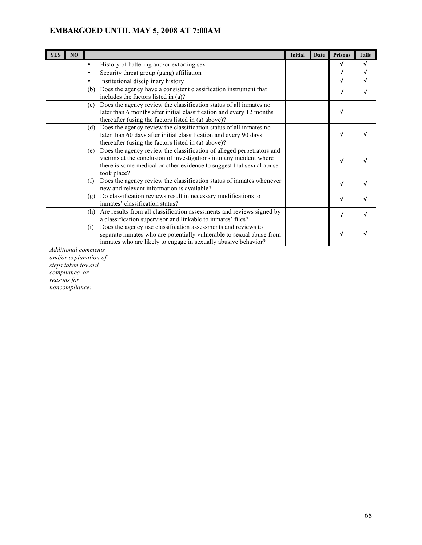| <b>YES</b> | N <sub>O</sub>                |           |                                                                                                                                                                                                                                     | <b>Initial</b> | Date | <b>Prisons</b> | <b>Jails</b> |
|------------|-------------------------------|-----------|-------------------------------------------------------------------------------------------------------------------------------------------------------------------------------------------------------------------------------------|----------------|------|----------------|--------------|
|            |                               | $\bullet$ | History of battering and/or extorting sex                                                                                                                                                                                           |                |      | √              | $\checkmark$ |
|            |                               | $\bullet$ | Security threat group (gang) affiliation                                                                                                                                                                                            |                |      | √              | √            |
|            |                               | $\bullet$ | Institutional disciplinary history                                                                                                                                                                                                  |                |      | √              | $\checkmark$ |
|            |                               | (b)       | Does the agency have a consistent classification instrument that<br>includes the factors listed in (a)?                                                                                                                             |                |      | √              | √            |
|            |                               | (c)       | Does the agency review the classification status of all inmates no<br>later than 6 months after initial classification and every 12 months<br>thereafter (using the factors listed in (a) above)?                                   |                |      | √              |              |
|            |                               | (d)       | Does the agency review the classification status of all inmates no<br>later than 60 days after initial classification and every 90 days<br>thereafter (using the factors listed in (a) above)?                                      |                |      | √              |              |
|            |                               | (e)       | Does the agency review the classification of alleged perpetrators and<br>victims at the conclusion of investigations into any incident where<br>there is some medical or other evidence to suggest that sexual abuse<br>took place? |                |      | √              |              |
|            |                               | (f)       | Does the agency review the classification status of inmates whenever<br>new and relevant information is available?                                                                                                                  |                |      | √              | √            |
|            |                               | (g)       | Do classification reviews result in necessary modifications to<br>inmates' classification status?                                                                                                                                   |                |      | √              | v            |
|            |                               | (h)       | Are results from all classification assessments and reviews signed by<br>a classification supervisor and linkable to inmates' files?                                                                                                |                |      | √              | √            |
|            |                               | (i)       | Does the agency use classification assessments and reviews to<br>separate inmates who are potentially vulnerable to sexual abuse from<br>inmates who are likely to engage in sexually abusive behavior?                             |                |      | V              | √            |
|            | Additional comments           |           |                                                                                                                                                                                                                                     |                |      |                |              |
|            | and/or explanation of         |           |                                                                                                                                                                                                                                     |                |      |                |              |
|            | steps taken toward            |           |                                                                                                                                                                                                                                     |                |      |                |              |
|            | compliance, or                |           |                                                                                                                                                                                                                                     |                |      |                |              |
|            | reasons for<br>noncompliance: |           |                                                                                                                                                                                                                                     |                |      |                |              |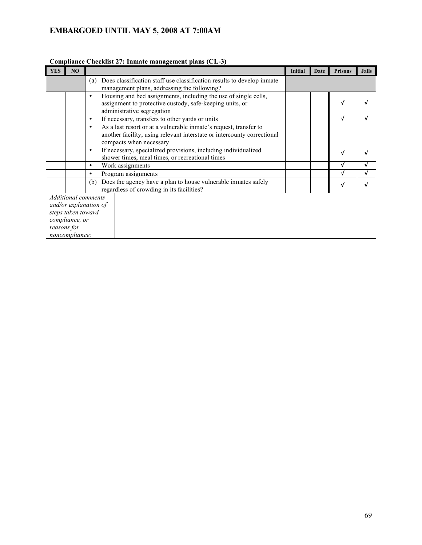| <b>YES</b><br>NO                                                                                                             |                                                                                                                                                                                      | <b>Initial</b> | Date | <b>Prisons</b> | <b>Jails</b> |
|------------------------------------------------------------------------------------------------------------------------------|--------------------------------------------------------------------------------------------------------------------------------------------------------------------------------------|----------------|------|----------------|--------------|
|                                                                                                                              | Does classification staff use classification results to develop inmate<br>(a)<br>management plans, addressing the following?                                                         |                |      |                |              |
|                                                                                                                              | Housing and bed assignments, including the use of single cells,<br>$\bullet$<br>assignment to protective custody, safe-keeping units, or<br>administrative segregation               |                |      | √              |              |
|                                                                                                                              | If necessary, transfers to other yards or units<br>$\bullet$                                                                                                                         |                |      | √              |              |
|                                                                                                                              | As a last resort or at a vulnerable inmate's request, transfer to<br>$\bullet$<br>another facility, using relevant interstate or intercounty correctional<br>compacts when necessary |                |      |                |              |
|                                                                                                                              | If necessary, specialized provisions, including individualized<br>٠<br>shower times, meal times, or recreational times                                                               |                |      | √              |              |
|                                                                                                                              | Work assignments<br>٠                                                                                                                                                                |                |      |                |              |
|                                                                                                                              | Program assignments<br>$\bullet$                                                                                                                                                     |                |      |                |              |
|                                                                                                                              | Does the agency have a plan to house vulnerable inmates safely<br>(b)<br>regardless of crowding in its facilities?                                                                   |                |      | v              |              |
| <b>Additional comments</b><br>and/or explanation of<br>steps taken toward<br>compliance, or<br>reasons for<br>noncompliance: |                                                                                                                                                                                      |                |      |                |              |

#### **Compliance Checklist 27: Inmate management plans (CL-3)**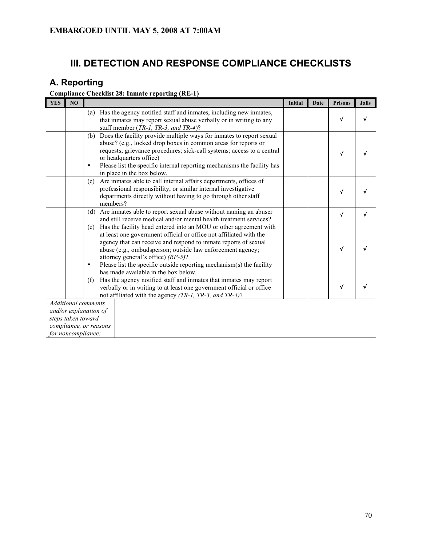## **III. DETECTION AND RESPONSE COMPLIANCE CHECKLISTS**

## **A. Reporting**

### **Compliance Checklist 28: Inmate reporting (RE-1)**

| <b>YES</b>                                                                                                                | N <sub>O</sub> |                  |                                                                                                                                                                                                                                                                                                                                                                                                                                | <b>Initial</b> | Date | <b>Prisons</b> | <b>Jails</b> |
|---------------------------------------------------------------------------------------------------------------------------|----------------|------------------|--------------------------------------------------------------------------------------------------------------------------------------------------------------------------------------------------------------------------------------------------------------------------------------------------------------------------------------------------------------------------------------------------------------------------------|----------------|------|----------------|--------------|
|                                                                                                                           |                | (a)              | Has the agency notified staff and inmates, including new inmates,<br>that inmates may report sexual abuse verbally or in writing to any<br>staff member (TR-1, TR-3, and TR-4)?                                                                                                                                                                                                                                                |                |      | J              |              |
|                                                                                                                           |                | (b)<br>$\bullet$ | Does the facility provide multiple ways for inmates to report sexual<br>abuse? (e.g., locked drop boxes in common areas for reports or<br>requests; grievance procedures; sick-call systems; access to a central<br>or headquarters office)<br>Please list the specific internal reporting mechanisms the facility has<br>in place in the box below.                                                                           |                |      |                |              |
|                                                                                                                           |                | (c)              | Are inmates able to call internal affairs departments, offices of<br>professional responsibility, or similar internal investigative<br>departments directly without having to go through other staff<br>members?                                                                                                                                                                                                               |                |      | √              |              |
|                                                                                                                           |                | (d)              | Are inmates able to report sexual abuse without naming an abuser<br>and still receive medical and/or mental health treatment services?                                                                                                                                                                                                                                                                                         |                |      | $\checkmark$   | √            |
|                                                                                                                           |                | (e)<br>$\bullet$ | Has the facility head entered into an MOU or other agreement with<br>at least one government official or office not affiliated with the<br>agency that can receive and respond to inmate reports of sexual<br>abuse (e.g., ombudsperson; outside law enforcement agency;<br>attorney general's office) (RP-5)?<br>Please list the specific outside reporting mechanism(s) the facility<br>has made available in the box below. |                |      |                |              |
|                                                                                                                           |                | (f)              | Has the agency notified staff and inmates that inmates may report<br>verbally or in writing to at least one government official or office<br>not affiliated with the agency (TR-1, TR-3, and TR-4)?                                                                                                                                                                                                                            |                |      |                |              |
| <b>Additional comments</b><br>and/or explanation of<br>steps taken toward<br>compliance, or reasons<br>for noncompliance: |                |                  |                                                                                                                                                                                                                                                                                                                                                                                                                                |                |      |                |              |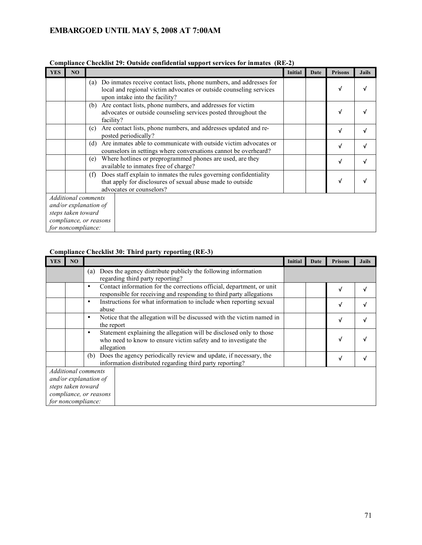| <b>YES</b><br>NO<br><b>Initial</b><br><b>Prisons</b><br>Date                                                                                                                           | <b>Jails</b> |
|----------------------------------------------------------------------------------------------------------------------------------------------------------------------------------------|--------------|
|                                                                                                                                                                                        |              |
| Do inmates receive contact lists, phone numbers, and addresses for<br>(a)<br>V<br>local and regional victim advocates or outside counseling services<br>upon intake into the facility? |              |
| Are contact lists, phone numbers, and addresses for victim<br>(b)<br>advocates or outside counseling services posted throughout the<br>V<br>facility?                                  |              |
| Are contact lists, phone numbers, and addresses updated and re-<br>(c)<br>V<br>posted periodically?                                                                                    |              |
| Are inmates able to communicate with outside victim advocates or<br>(d)<br>√<br>counselors in settings where conversations cannot be overheard?                                        |              |
| Where hotlines or preprogrammed phones are used, are they<br>(e)<br>V<br>available to inmates free of charge?                                                                          |              |
| Does staff explain to inmates the rules governing confidentiality<br>(f)<br>that apply for disclosures of sexual abuse made to outside<br>V<br>advocates or counselors?                |              |
| <b>Additional comments</b>                                                                                                                                                             |              |
| and/or explanation of                                                                                                                                                                  |              |
| steps taken toward                                                                                                                                                                     |              |
| compliance, or reasons                                                                                                                                                                 |              |
| for noncompliance:                                                                                                                                                                     |              |

### **Compliance Checklist 29: Outside confidential support services for inmates (RE-2)**

### **Compliance Checklist 30: Third party reporting (RE-3)**

| <b>YES</b>            | NO                     |     |                                                                                                                                                      | Initial | Date | <b>Prisons</b> | <b>Jails</b> |
|-----------------------|------------------------|-----|------------------------------------------------------------------------------------------------------------------------------------------------------|---------|------|----------------|--------------|
|                       |                        | (a) | Does the agency distribute publicly the following information<br>regarding third party reporting?                                                    |         |      |                |              |
|                       |                        | ٠   | Contact information for the corrections official, department, or unit<br>responsible for receiving and responding to third party allegations         |         |      | v              |              |
|                       |                        | ٠   | Instructions for what information to include when reporting sexual<br>abuse                                                                          |         |      | v              |              |
|                       |                        | ٠   | Notice that the allegation will be discussed with the victim named in<br>the report                                                                  |         |      | v              |              |
|                       |                        | ٠   | Statement explaining the allegation will be disclosed only to those<br>who need to know to ensure victim safety and to investigate the<br>allegation |         |      | v              |              |
|                       |                        | (b) | Does the agency periodically review and update, if necessary, the<br>information distributed regarding third party reporting?                        |         |      | v              |              |
|                       | Additional comments    |     |                                                                                                                                                      |         |      |                |              |
| and/or explanation of |                        |     |                                                                                                                                                      |         |      |                |              |
| steps taken toward    |                        |     |                                                                                                                                                      |         |      |                |              |
|                       | compliance, or reasons |     |                                                                                                                                                      |         |      |                |              |
|                       | for noncompliance:     |     |                                                                                                                                                      |         |      |                |              |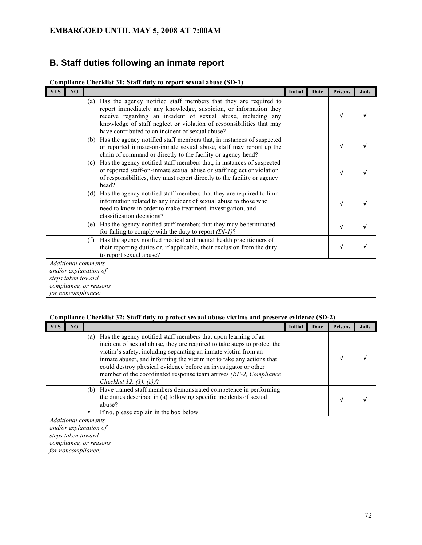## **B. Staff duties following an inmate report**

| <b>YES</b>                                   | N <sub>O</sub>             |     |                                                                                                                                                                                                                                                                                                                                 | <b>Initial</b> | Date | <b>Prisons</b> | <b>Jails</b> |
|----------------------------------------------|----------------------------|-----|---------------------------------------------------------------------------------------------------------------------------------------------------------------------------------------------------------------------------------------------------------------------------------------------------------------------------------|----------------|------|----------------|--------------|
|                                              |                            | (a) | Has the agency notified staff members that they are required to<br>report immediately any knowledge, suspicion, or information they<br>receive regarding an incident of sexual abuse, including any<br>knowledge of staff neglect or violation of responsibilities that may<br>have contributed to an incident of sexual abuse? |                |      | V              |              |
|                                              |                            |     | (b) Has the agency notified staff members that, in instances of suspected<br>or reported inmate-on-inmate sexual abuse, staff may report up the<br>chain of command or directly to the facility or agency head?                                                                                                                 |                |      | V              |              |
|                                              |                            | (c) | Has the agency notified staff members that, in instances of suspected<br>or reported staff-on-inmate sexual abuse or staff neglect or violation<br>of responsibilities, they must report directly to the facility or agency<br>head?                                                                                            |                |      | v              |              |
|                                              |                            |     | (d) Has the agency notified staff members that they are required to limit<br>information related to any incident of sexual abuse to those who<br>need to know in order to make treatment, investigation, and<br>classification decisions?                                                                                       |                |      |                |              |
|                                              |                            | (e) | Has the agency notified staff members that they may be terminated<br>for failing to comply with the duty to report $(DI-1)$ ?                                                                                                                                                                                                   |                |      | √              |              |
|                                              |                            | (f) | Has the agency notified medical and mental health practitioners of<br>their reporting duties or, if applicable, their exclusion from the duty<br>to report sexual abuse?                                                                                                                                                        |                |      | v              |              |
|                                              | <b>Additional comments</b> |     |                                                                                                                                                                                                                                                                                                                                 |                |      |                |              |
|                                              | and/or explanation of      |     |                                                                                                                                                                                                                                                                                                                                 |                |      |                |              |
| steps taken toward<br>compliance, or reasons |                            |     |                                                                                                                                                                                                                                                                                                                                 |                |      |                |              |
|                                              | for noncompliance:         |     |                                                                                                                                                                                                                                                                                                                                 |                |      |                |              |

#### **Compliance Checklist 31: Staff duty to report sexual abuse (SD-1)**

### **Compliance Checklist 32: Staff duty to protect sexual abuse victims and preserve evidence (SD-2)**

| <b>YES</b>                                                                                                         | NO |     |                                                                                                                                                                                                                                                                                                                                                                                                                                                                | <b>Initial</b> | Date | <b>Prisons</b> | <b>Jails</b> |
|--------------------------------------------------------------------------------------------------------------------|----|-----|----------------------------------------------------------------------------------------------------------------------------------------------------------------------------------------------------------------------------------------------------------------------------------------------------------------------------------------------------------------------------------------------------------------------------------------------------------------|----------------|------|----------------|--------------|
|                                                                                                                    |    | (a) | Has the agency notified staff members that upon learning of an<br>incident of sexual abuse, they are required to take steps to protect the<br>victim's safety, including separating an inmate victim from an<br>inmate abuser, and informing the victim not to take any actions that<br>could destroy physical evidence before an investigator or other<br>member of the coordinated response team arrives (RP-2, Compliance<br>Checklist 12, $(1)$ , $(c)$ )? |                |      |                |              |
|                                                                                                                    |    | (b) | Have trained staff members demonstrated competence in performing<br>the duties described in (a) following specific incidents of sexual<br>abuse?<br>If no, please explain in the box below.                                                                                                                                                                                                                                                                    |                |      |                |              |
| Additional comments<br>and/or explanation of<br>steps taken toward<br>compliance, or reasons<br>for noncompliance: |    |     |                                                                                                                                                                                                                                                                                                                                                                                                                                                                |                |      |                |              |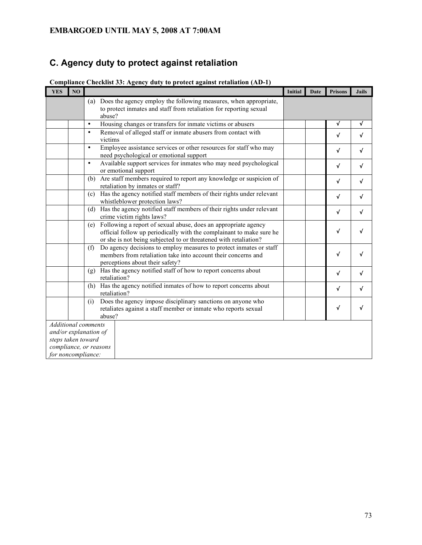# **C. Agency duty to protect against retaliation**

| <b>YES</b>                                                                                                                | NO |                                                                                                                                                                                                                   | Initial | Date | Prisons | <b>Jails</b> |
|---------------------------------------------------------------------------------------------------------------------------|----|-------------------------------------------------------------------------------------------------------------------------------------------------------------------------------------------------------------------|---------|------|---------|--------------|
|                                                                                                                           |    | (a) Does the agency employ the following measures, when appropriate,<br>to protect inmates and staff from retaliation for reporting sexual                                                                        |         |      |         |              |
|                                                                                                                           |    | abuse?                                                                                                                                                                                                            |         |      |         |              |
|                                                                                                                           |    | Housing changes or transfers for inmate victims or abusers<br>$\bullet$                                                                                                                                           |         |      | √       | √            |
|                                                                                                                           |    | Removal of alleged staff or inmate abusers from contact with<br>$\bullet$<br>victims                                                                                                                              |         |      | V       | $\checkmark$ |
|                                                                                                                           |    | Employee assistance services or other resources for staff who may<br>$\bullet$<br>need psychological or emotional support                                                                                         |         |      | √       | $\checkmark$ |
|                                                                                                                           |    | Available support services for inmates who may need psychological<br>$\bullet$<br>or emotional support                                                                                                            |         |      | √       | $\checkmark$ |
|                                                                                                                           |    | Are staff members required to report any knowledge or suspicion of<br>(b)<br>retaliation by inmates or staff?                                                                                                     |         |      | √       | √            |
|                                                                                                                           |    | Has the agency notified staff members of their rights under relevant<br>(c)<br>whistleblower protection laws?                                                                                                     |         |      | √       | √            |
|                                                                                                                           |    | Has the agency notified staff members of their rights under relevant<br>(d)<br>crime victim rights laws?                                                                                                          |         |      | √       | √            |
|                                                                                                                           |    | Following a report of sexual abuse, does an appropriate agency<br>(e)<br>official follow up periodically with the complainant to make sure he<br>or she is not being subjected to or threatened with retaliation? |         |      | √       | $\checkmark$ |
|                                                                                                                           |    | Do agency decisions to employ measures to protect inmates or staff<br>(f)<br>members from retaliation take into account their concerns and<br>perceptions about their safety?                                     |         |      | √       | √            |
|                                                                                                                           |    | (g) Has the agency notified staff of how to report concerns about<br>retaliation?                                                                                                                                 |         |      | V       | √            |
|                                                                                                                           |    | Has the agency notified inmates of how to report concerns about<br>(h)<br>retaliation?                                                                                                                            |         |      | √       | $\checkmark$ |
|                                                                                                                           |    | Does the agency impose disciplinary sanctions on anyone who<br>(i)<br>retaliates against a staff member or inmate who reports sexual<br>abuse?                                                                    |         |      | V       | √            |
| <b>Additional</b> comments<br>and/or explanation of<br>steps taken toward<br>compliance, or reasons<br>for noncompliance: |    |                                                                                                                                                                                                                   |         |      |         |              |

**Compliance Checklist 33: Agency duty to protect against retaliation (AD-1)**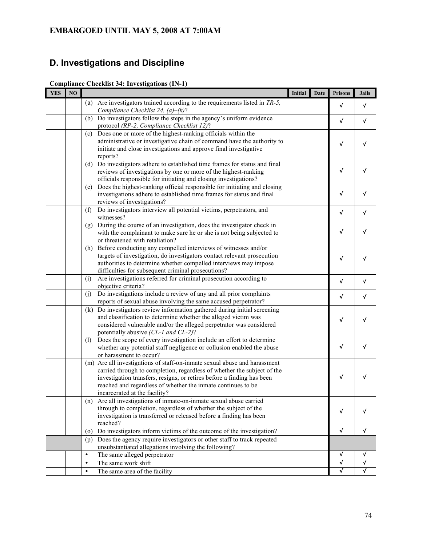# **D. Investigations and Discipline**

| <b>Compliance Checklist 34: Investigations (IN-1)</b> |
|-------------------------------------------------------|
|-------------------------------------------------------|

| <b>YES</b> | NO |                                                                                                                                | <b>Initial</b> | Date | <b>Prisons</b> | <b>Jails</b> |
|------------|----|--------------------------------------------------------------------------------------------------------------------------------|----------------|------|----------------|--------------|
|            |    | (a) Are investigators trained according to the requirements listed in $TR-5$ ,                                                 |                |      | $\checkmark$   | V            |
|            |    | Compliance Checklist 24, $(a)$ – $(k)$ ?                                                                                       |                |      |                |              |
|            |    | Do investigators follow the steps in the agency's uniform evidence<br>(b)                                                      |                |      | $\sqrt{ }$     | V            |
|            |    | protocol (RP-2, Compliance Checklist 12)?                                                                                      |                |      |                |              |
|            |    | Does one or more of the highest-ranking officials within the<br>(c)                                                            |                |      |                |              |
|            |    | administrative or investigative chain of command have the authority to                                                         |                |      | √              |              |
|            |    | initiate and close investigations and approve final investigative                                                              |                |      |                |              |
|            |    | reports?                                                                                                                       |                |      |                |              |
|            |    | (d) Do investigators adhere to established time frames for status and final                                                    |                |      |                |              |
|            |    | reviews of investigations by one or more of the highest-ranking                                                                |                |      | $\checkmark$   | v            |
|            |    | officials responsible for initiating and closing investigations?                                                               |                |      |                |              |
|            |    | Does the highest-ranking official responsible for initiating and closing<br>(e)                                                |                |      |                |              |
|            |    | investigations adhere to established time frames for status and final                                                          |                |      | $\checkmark$   | v            |
|            |    | reviews of investigations?                                                                                                     |                |      |                |              |
|            |    | Do investigators interview all potential victims, perpetrators, and<br>(f)                                                     |                |      | $\sqrt{ }$     | V            |
|            |    | witnesses?                                                                                                                     |                |      |                |              |
|            |    | During the course of an investigation, does the investigator check in<br>(g)                                                   |                |      | $\sqrt{ }$     |              |
|            |    | with the complainant to make sure he or she is not being subjected to                                                          |                |      |                |              |
|            |    | or threatened with retaliation?                                                                                                |                |      |                |              |
|            |    | (h) Before conducting any compelled interviews of witnesses and/or                                                             |                |      |                |              |
|            |    | targets of investigation, do investigators contact relevant prosecution                                                        |                |      | √              |              |
|            |    | authorities to determine whether compelled interviews may impose                                                               |                |      |                |              |
|            |    | difficulties for subsequent criminal prosecutions?<br>Are investigations referred for criminal prosecution according to<br>(i) |                |      |                |              |
|            |    | objective criteria?                                                                                                            |                |      | $\sqrt{ }$     | V            |
|            |    | Do investigations include a review of any and all prior complaints<br>(i)                                                      |                |      |                |              |
|            |    | reports of sexual abuse involving the same accused perpetrator?                                                                |                |      | √              | √            |
|            |    | (k) Do investigators review information gathered during initial screening                                                      |                |      |                |              |
|            |    | and classification to determine whether the alleged victim was                                                                 |                |      |                |              |
|            |    | considered vulnerable and/or the alleged perpetrator was considered                                                            |                |      | √              |              |
|            |    | potentially abusive (CL-1 and CL-2)?                                                                                           |                |      |                |              |
|            |    | Does the scope of every investigation include an effort to determine<br>(1)                                                    |                |      |                |              |
|            |    | whether any potential staff negligence or collusion enabled the abuse                                                          |                |      | $\sqrt{ }$     | √            |
|            |    | or harassment to occur?                                                                                                        |                |      |                |              |
|            |    | (m) Are all investigations of staff-on-inmate sexual abuse and harassment                                                      |                |      |                |              |
|            |    | carried through to completion, regardless of whether the subject of the                                                        |                |      |                |              |
|            |    | investigation transfers, resigns, or retires before a finding has been                                                         |                |      | $\checkmark$   |              |
|            |    | reached and regardless of whether the inmate continues to be                                                                   |                |      |                |              |
|            |    | incarcerated at the facility?                                                                                                  |                |      |                |              |
|            |    | (n) Are all investigations of inmate-on-inmate sexual abuse carried                                                            |                |      |                |              |
|            |    | through to completion, regardless of whether the subject of the                                                                |                |      | $\sqrt{ }$     |              |
|            |    | investigation is transferred or released before a finding has been                                                             |                |      |                |              |
|            |    | reached?                                                                                                                       |                |      |                |              |
|            |    | Do investigators inform victims of the outcome of the investigation?<br>$\left( 0 \right)$                                     |                |      | $\sqrt{ }$     | √            |
|            |    | Does the agency require investigators or other staff to track repeated<br>(p)                                                  |                |      |                |              |
|            |    | unsubstantiated allegations involving the following?                                                                           |                |      |                |              |
|            |    | The same alleged perpetrator<br>$\bullet$                                                                                      |                |      | √              | V            |
|            |    | The same work shift<br>$\bullet$                                                                                               |                |      | $\sqrt{ }$     | $\checkmark$ |
|            |    | The same area of the facility<br>$\bullet$                                                                                     |                |      | √              | √            |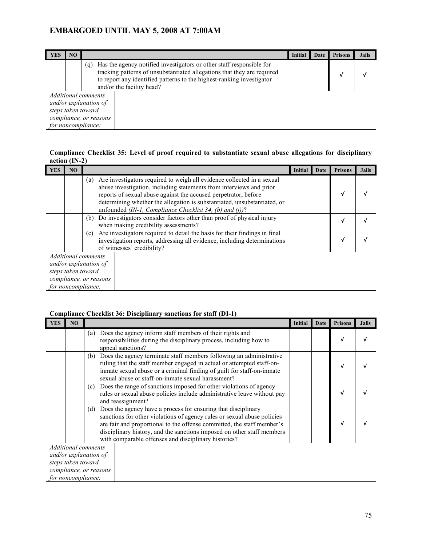| YES                                                                                                                                                                                                                                                       | NO |  | <b>Initial</b> | Date | <b>Prisons</b> | <b>Jails</b> |
|-----------------------------------------------------------------------------------------------------------------------------------------------------------------------------------------------------------------------------------------------------------|----|--|----------------|------|----------------|--------------|
| (q) Has the agency notified investigators or other staff responsible for<br>tracking patterns of unsubstantiated allegations that they are required<br>to report any identified patterns to the highest-ranking investigator<br>and/or the facility head? |    |  |                |      |                |              |
| Additional comments<br>and/or explanation of<br>steps taken toward<br>compliance, or reasons<br>for noncompliance:                                                                                                                                        |    |  |                |      |                |              |

#### **Compliance Checklist 35: Level of proof required to substantiate sexual abuse allegations for disciplinary action (IN-2)**

| <b>YES</b>                                  | NO                     |     |                                                                                                                                                                                                                                                                                                                                                         | <b>Initial</b> | Date | <b>Prisons</b> | <b>Jails</b> |
|---------------------------------------------|------------------------|-----|---------------------------------------------------------------------------------------------------------------------------------------------------------------------------------------------------------------------------------------------------------------------------------------------------------------------------------------------------------|----------------|------|----------------|--------------|
|                                             |                        | (a) | Are investigators required to weigh all evidence collected in a sexual<br>abuse investigation, including statements from interviews and prior<br>reports of sexual abuse against the accused perpetrator, before<br>determining whether the allegation is substantiated, unsubstantiated, or<br>unfounded (IN-1, Compliance Checklist 34, (b) and (j))? |                |      | √              |              |
|                                             |                        | (b) | Do investigators consider factors other than proof of physical injury<br>when making credibility assessments?                                                                                                                                                                                                                                           |                |      | V              |              |
|                                             |                        | (c) | Are investigators required to detail the basis for their findings in final<br>investigation reports, addressing all evidence, including determinations<br>of witnesses' credibility?                                                                                                                                                                    |                |      | v              |              |
|                                             | Additional comments    |     |                                                                                                                                                                                                                                                                                                                                                         |                |      |                |              |
| and/or explanation of<br>steps taken toward |                        |     |                                                                                                                                                                                                                                                                                                                                                         |                |      |                |              |
|                                             | compliance, or reasons |     |                                                                                                                                                                                                                                                                                                                                                         |                |      |                |              |
|                                             | for noncompliance:     |     |                                                                                                                                                                                                                                                                                                                                                         |                |      |                |              |

#### **Compliance Checklist 36: Disciplinary sanctions for staff (DI-1)**

| <b>YES</b>                                                                                                                                                                        | NO |                                                                                      | <b>Initial</b>                                                                                                                                                                                                                                                                               | Date | <b>Prisons</b> | <b>Jails</b> |
|-----------------------------------------------------------------------------------------------------------------------------------------------------------------------------------|----|--------------------------------------------------------------------------------------|----------------------------------------------------------------------------------------------------------------------------------------------------------------------------------------------------------------------------------------------------------------------------------------------|------|----------------|--------------|
|                                                                                                                                                                                   |    | Does the agency inform staff members of their rights and<br>(a)<br>appeal sanctions? | responsibilities during the disciplinary process, including how to                                                                                                                                                                                                                           |      |                |              |
|                                                                                                                                                                                   |    | sexual abuse or staff-on-inmate sexual harassment?                                   | (b) Does the agency terminate staff members following an administrative<br>ruling that the staff member engaged in actual or attempted staff-on-<br>inmate sexual abuse or a criminal finding of guilt for staff-on-inmate                                                                   |      |                |              |
|                                                                                                                                                                                   |    | (c)<br>and reassignment?                                                             | Does the range of sanctions imposed for other violations of agency<br>rules or sexual abuse policies include administrative leave without pay                                                                                                                                                |      |                |              |
|                                                                                                                                                                                   |    | (d)                                                                                  | Does the agency have a process for ensuring that disciplinary<br>sanctions for other violations of agency rules or sexual abuse policies<br>are fair and proportional to the offense committed, the staff member's<br>disciplinary history, and the sanctions imposed on other staff members |      |                |              |
| with comparable offenses and disciplinary histories?<br><b>Additional comments</b><br>and/or explanation of<br>steps taken toward<br>compliance, or reasons<br>for noncompliance: |    |                                                                                      |                                                                                                                                                                                                                                                                                              |      |                |              |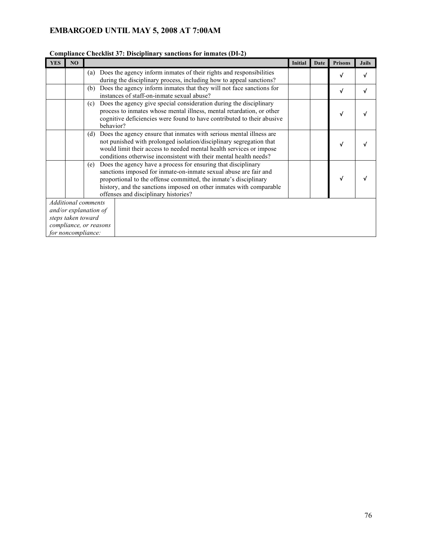|            |                                                                                                                           | Comphance Checking of . Disciplinary sanctions for minates (DF-2)                                                                                                                                                                                                                                                           |                |      |                |              |
|------------|---------------------------------------------------------------------------------------------------------------------------|-----------------------------------------------------------------------------------------------------------------------------------------------------------------------------------------------------------------------------------------------------------------------------------------------------------------------------|----------------|------|----------------|--------------|
| <b>YES</b> | N <sub>O</sub>                                                                                                            |                                                                                                                                                                                                                                                                                                                             | <b>Initial</b> | Date | <b>Prisons</b> | <b>Jails</b> |
|            |                                                                                                                           | Does the agency inform inmates of their rights and responsibilities<br>(a)<br>during the disciplinary process, including how to appeal sanctions?                                                                                                                                                                           |                |      |                |              |
|            |                                                                                                                           | Does the agency inform inmates that they will not face sanctions for<br>(b)<br>instances of staff-on-inmate sexual abuse?                                                                                                                                                                                                   |                |      | $\sqrt{ }$     |              |
|            |                                                                                                                           | Does the agency give special consideration during the disciplinary<br>(c)<br>process to inmates whose mental illness, mental retardation, or other<br>cognitive deficiencies were found to have contributed to their abusive<br>behavior?                                                                                   |                |      |                |              |
|            |                                                                                                                           | Does the agency ensure that inmates with serious mental illness are<br>(d)<br>not punished with prolonged isolation/disciplinary segregation that<br>would limit their access to needed mental health services or impose<br>conditions otherwise inconsistent with their mental health needs?                               |                |      |                |              |
|            |                                                                                                                           | Does the agency have a process for ensuring that disciplinary<br>(e)<br>sanctions imposed for inmate-on-inmate sexual abuse are fair and<br>proportional to the offense committed, the inmate's disciplinary<br>history, and the sanctions imposed on other inmates with comparable<br>offenses and disciplinary histories? |                |      |                |              |
|            | <b>Additional comments</b><br>and/or explanation of<br>steps taken toward<br>compliance, or reasons<br>for noncompliance: |                                                                                                                                                                                                                                                                                                                             |                |      |                |              |

#### **Compliance Checklist 37: Disciplinary sanctions for inmates (DI-2)**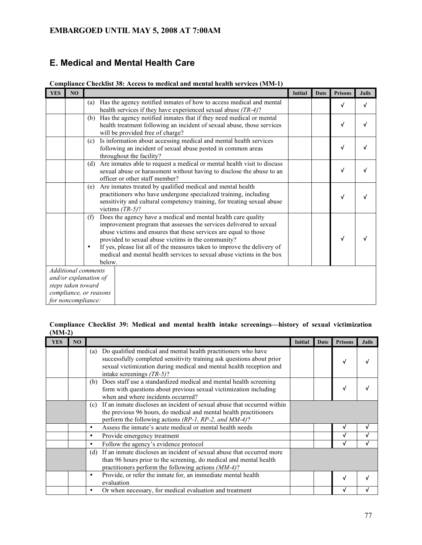# **E. Medical and Mental Health Care**

| <b>YES</b> | N <sub>O</sub>                              |                  |                                                                                                                                                                                                                                                                                                                                           | <b>Initial</b> | Date | <b>Prisons</b> | <b>Jails</b> |
|------------|---------------------------------------------|------------------|-------------------------------------------------------------------------------------------------------------------------------------------------------------------------------------------------------------------------------------------------------------------------------------------------------------------------------------------|----------------|------|----------------|--------------|
|            |                                             | (a)              | Has the agency notified inmates of how to access medical and mental                                                                                                                                                                                                                                                                       |                |      |                | √            |
|            |                                             | (b)              | health services if they have experienced sexual abuse $(TR-4)$ ?<br>Has the agency notified inmates that if they need medical or mental                                                                                                                                                                                                   |                |      |                |              |
|            |                                             |                  | health treatment following an incident of sexual abuse, those services<br>will be provided free of charge?                                                                                                                                                                                                                                |                |      |                |              |
|            |                                             | (c)              | Is information about accessing medical and mental health services<br>following an incident of sexual abuse posted in common areas<br>throughout the facility?                                                                                                                                                                             |                |      | √              |              |
|            |                                             | (d)              | Are inmates able to request a medical or mental health visit to discuss<br>sexual abuse or harassment without having to disclose the abuse to an<br>officer or other staff member?                                                                                                                                                        |                |      | √              |              |
|            |                                             | (e)              | Are inmates treated by qualified medical and mental health<br>practitioners who have undergone specialized training, including<br>sensitivity and cultural competency training, for treating sexual abuse<br>victims $(TR-5)$ ?                                                                                                           |                |      |                |              |
|            |                                             | (f)<br>$\bullet$ | Does the agency have a medical and mental health care quality<br>improvement program that assesses the services delivered to sexual<br>abuse victims and ensures that these services are equal to those<br>provided to sexual abuse victims in the community?<br>If yes, please list all of the measures taken to improve the delivery of |                |      |                |              |
|            |                                             |                  | medical and mental health services to sexual abuse victims in the box<br>below.                                                                                                                                                                                                                                                           |                |      |                |              |
|            | <b>Additional comments</b>                  |                  |                                                                                                                                                                                                                                                                                                                                           |                |      |                |              |
|            | and/or explanation of<br>steps taken toward |                  |                                                                                                                                                                                                                                                                                                                                           |                |      |                |              |
|            | compliance, or reasons                      |                  |                                                                                                                                                                                                                                                                                                                                           |                |      |                |              |
|            | for noncompliance:                          |                  |                                                                                                                                                                                                                                                                                                                                           |                |      |                |              |

**Compliance Checklist 38: Access to medical and mental health services (MM-1)**

#### **Compliance Checklist 39: Medical and mental health intake screenings—history of sexual victimization (MM-2)**

| <b>YES</b> | N <sub>O</sub> |                                                                                                                                                                                                                                                      | <b>Initial</b> | Date | <b>Prisons</b> | <b>Jails</b> |
|------------|----------------|------------------------------------------------------------------------------------------------------------------------------------------------------------------------------------------------------------------------------------------------------|----------------|------|----------------|--------------|
|            |                | Do qualified medical and mental health practitioners who have<br>(a)<br>successfully completed sensitivity training ask questions about prior<br>sexual victimization during medical and mental health reception and<br>intake screenings $(TR-5)$ ? |                |      | v              |              |
|            |                | Does staff use a standardized medical and mental health screening<br>(b)<br>form with questions about previous sexual victimization including<br>when and where incidents occurred?                                                                  |                |      | v              |              |
|            |                | If an inmate discloses an incident of sexual abuse that occurred within<br>(c)<br>the previous 96 hours, do medical and mental health practitioners<br>perform the following actions (RP-1, RP-2, and MM-4)?                                         |                |      |                |              |
|            |                | Assess the inmate's acute medical or mental health needs<br>٠                                                                                                                                                                                        |                |      |                |              |
|            |                | Provide emergency treatment<br>٠                                                                                                                                                                                                                     |                |      |                |              |
|            |                | Follow the agency's evidence protocol<br>$\bullet$                                                                                                                                                                                                   |                |      |                |              |
|            |                | If an inmate discloses an incident of sexual abuse that occurred more<br>(d)<br>than 96 hours prior to the screening, do medical and mental health<br>practitioners perform the following actions (MM-4)?                                            |                |      |                |              |
|            |                | Provide, or refer the inmate for, an immediate mental health<br>٠<br>evaluation                                                                                                                                                                      |                |      | v              |              |
|            |                | Or when necessary, for medical evaluation and treatment<br>٠                                                                                                                                                                                         |                |      |                |              |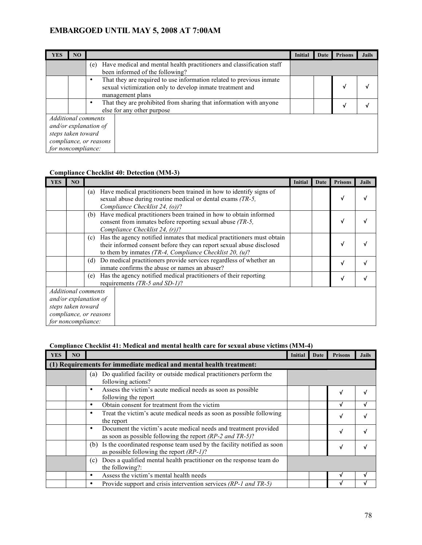| <b>YES</b>                                                                                                                | NO |                                                                                                                                                            | Initial | Date | <b>Prisons</b> | <b>Jails</b> |
|---------------------------------------------------------------------------------------------------------------------------|----|------------------------------------------------------------------------------------------------------------------------------------------------------------|---------|------|----------------|--------------|
|                                                                                                                           |    | Have medical and mental health practitioners and classification staff<br>(e)<br>been informed of the following?                                            |         |      |                |              |
|                                                                                                                           |    | That they are required to use information related to previous inmate<br>٠<br>sexual victimization only to develop inmate treatment and<br>management plans |         |      | v              |              |
|                                                                                                                           |    | That they are prohibited from sharing that information with anyone<br>٠<br>else for any other purpose                                                      |         |      | v              |              |
| <b>Additional comments</b><br>and/or explanation of<br>steps taken toward<br>compliance, or reasons<br>for noncompliance: |    |                                                                                                                                                            |         |      |                |              |

#### **Compliance Checklist 40: Detection (MM-3)**

| <b>YES</b>                                                                                                         | N <sub>O</sub> |                                                                                                                                                                                                                     | <b>Initial</b> | Date | <b>Prisons</b> | <b>Jails</b> |
|--------------------------------------------------------------------------------------------------------------------|----------------|---------------------------------------------------------------------------------------------------------------------------------------------------------------------------------------------------------------------|----------------|------|----------------|--------------|
|                                                                                                                    |                | Have medical practitioners been trained in how to identify signs of<br>(a)<br>sexual abuse during routine medical or dental exams (TR-5,<br>Compliance Checklist 24, (o))?                                          |                |      | v              |              |
|                                                                                                                    |                | Have medical practitioners been trained in how to obtain informed<br>(b)<br>consent from inmates before reporting sexual abuse (TR-5,<br>Compliance Checklist 24, (r))?                                             |                |      |                |              |
|                                                                                                                    |                | Has the agency notified inmates that medical practitioners must obtain<br>(c)<br>their informed consent before they can report sexual abuse disclosed<br>to them by inmates (TR-4, Compliance Checklist 20, $(u)$ ? |                |      |                |              |
|                                                                                                                    |                | Do medical practitioners provide services regardless of whether an<br>(d)<br>inmate confirms the abuse or names an abuser?                                                                                          |                |      | √              |              |
|                                                                                                                    |                | Has the agency notified medical practitioners of their reporting<br>(e)<br>requirements (TR-5 and SD-1)?                                                                                                            |                |      | √              |              |
| Additional comments<br>and/or explanation of<br>steps taken toward<br>compliance, or reasons<br>for noncompliance: |                |                                                                                                                                                                                                                     |                |      |                |              |

#### **Compliance Checklist 41: Medical and mental health care for sexual abuse victims (MM-4)**

| <b>YES</b> | N <sub>O</sub> |                                                                                                                                        | Initial | Date | <b>Prisons</b> | <b>Jails</b> |
|------------|----------------|----------------------------------------------------------------------------------------------------------------------------------------|---------|------|----------------|--------------|
|            |                | (1) Requirements for immediate medical and mental health treatment:                                                                    |         |      |                |              |
|            |                | Do qualified facility or outside medical practitioners perform the<br>(a)<br>following actions?                                        |         |      |                |              |
|            |                | Assess the victim's acute medical needs as soon as possible<br>٠<br>following the report                                               |         |      | v              |              |
|            |                | Obtain consent for treatment from the victim<br>٠                                                                                      |         |      | v              |              |
|            |                | Treat the victim's acute medical needs as soon as possible following<br>٠<br>the report                                                |         |      | v              |              |
|            |                | Document the victim's acute medical needs and treatment provided<br>٠<br>as soon as possible following the report $(RP-2$ and $TR-5$ ? |         |      | V              |              |
|            |                | Is the coordinated response team used by the facility notified as soon<br>(b)<br>as possible following the report $(RP-1)$ ?           |         |      | V              |              |
|            |                | Does a qualified mental health practitioner on the response team do<br>(c)<br>the following?:                                          |         |      |                |              |
|            |                | Assess the victim's mental health needs<br>٠                                                                                           |         |      |                |              |
|            |                | Provide support and crisis intervention services (RP-1 and TR-5)<br>٠                                                                  |         |      |                |              |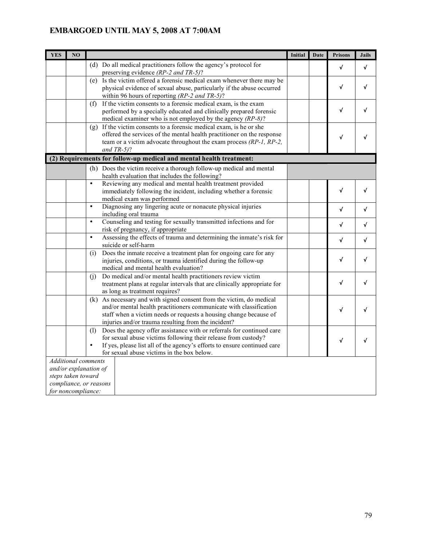| <b>YES</b> | N <sub>O</sub>                           |                                                                                                                                                                                                                                                                                       | <b>Initial</b> | Date | <b>Prisons</b> | <b>Jails</b> |
|------------|------------------------------------------|---------------------------------------------------------------------------------------------------------------------------------------------------------------------------------------------------------------------------------------------------------------------------------------|----------------|------|----------------|--------------|
|            |                                          | (d) Do all medical practitioners follow the agency's protocol for<br>preserving evidence (RP-2 and TR-5)?                                                                                                                                                                             |                |      | V              | √            |
|            |                                          | (e) Is the victim offered a forensic medical exam whenever there may be<br>physical evidence of sexual abuse, particularly if the abuse occurred<br>within 96 hours of reporting $(RP-2$ and $TR-5$ ?                                                                                 |                |      | √              | √            |
|            |                                          | If the victim consents to a forensic medical exam, is the exam<br>(f)<br>performed by a specially educated and clinically prepared forensic<br>medical examiner who is not employed by the agency $(RP-8)$ ?                                                                          |                |      | √              | √            |
|            |                                          | $(g)$ If the victim consents to a forensic medical exam, is he or she<br>offered the services of the mental health practitioner on the response<br>team or a victim advocate throughout the exam process (RP-1, RP-2,<br>and $TR-5$ ?                                                 |                |      | $\sqrt{}$      | √            |
|            |                                          | (2) Requirements for follow-up medical and mental health treatment:                                                                                                                                                                                                                   |                |      |                |              |
|            |                                          | (h) Does the victim receive a thorough follow-up medical and mental<br>health evaluation that includes the following?                                                                                                                                                                 |                |      |                |              |
|            |                                          | Reviewing any medical and mental health treatment provided<br>$\bullet$<br>immediately following the incident, including whether a forensic<br>medical exam was performed                                                                                                             |                |      | $\checkmark$   | √            |
|            |                                          | Diagnosing any lingering acute or nonacute physical injuries<br>$\bullet$<br>including oral trauma                                                                                                                                                                                    |                |      | $\checkmark$   | √            |
|            |                                          | Counseling and testing for sexually transmitted infections and for<br>$\bullet$<br>risk of pregnancy, if appropriate                                                                                                                                                                  |                |      | V              | √            |
|            |                                          | Assessing the effects of trauma and determining the inmate's risk for<br>$\bullet$<br>suicide or self-harm                                                                                                                                                                            |                |      | $\checkmark$   | √            |
|            |                                          | Does the inmate receive a treatment plan for ongoing care for any<br>(i)<br>injuries, conditions, or trauma identified during the follow-up<br>medical and mental health evaluation?                                                                                                  |                |      | $\checkmark$   | V            |
|            |                                          | Do medical and/or mental health practitioners review victim<br>(i)<br>treatment plans at regular intervals that are clinically appropriate for<br>as long as treatment requires?                                                                                                      |                |      | $\checkmark$   | √            |
|            |                                          | (k) As necessary and with signed consent from the victim, do medical<br>and/or mental health practitioners communicate with classification<br>staff when a victim needs or requests a housing change because of<br>injuries and/or trauma resulting from the incident?                |                |      | √              | √            |
|            |                                          | Does the agency offer assistance with or referrals for continued care<br>(1)<br>for sexual abuse victims following their release from custody?<br>If yes, please list all of the agency's efforts to ensure continued care<br>$\bullet$<br>for sexual abuse victims in the box below. |                |      | $\checkmark$   | √            |
|            | steps taken toward<br>for noncompliance: | <b>Additional comments</b><br>and/or explanation of<br>compliance, or reasons                                                                                                                                                                                                         |                |      |                |              |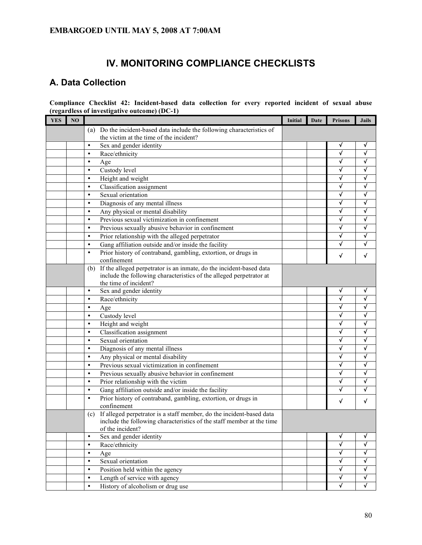# **IV. MONITORING COMPLIANCE CHECKLISTS**

# **A. Data Collection**

**Compliance Checklist 42: Incident-based data collection for every reported incident of sexual abuse (regardless of investigative outcome) (DC-1)**

| <b>YES</b> | NO |           |                                                                       | <b>Initial</b> | Date | <b>Prisons</b> | <b>Jails</b>            |
|------------|----|-----------|-----------------------------------------------------------------------|----------------|------|----------------|-------------------------|
|            |    | (a)       | Do the incident-based data include the following characteristics of   |                |      |                |                         |
|            |    |           | the victim at the time of the incident?                               |                |      |                |                         |
|            |    | $\bullet$ | Sex and gender identity                                               |                |      | V              | V                       |
|            |    | $\bullet$ | Race/ethnicity                                                        |                |      | √              | √                       |
|            |    | $\bullet$ | Age                                                                   |                |      | √              | √                       |
|            |    | $\bullet$ | Custody level                                                         |                |      | √              | √                       |
|            |    | $\bullet$ | Height and weight                                                     |                |      | √              | √                       |
|            |    | $\bullet$ | Classification assignment                                             |                |      | √              | √                       |
|            |    | $\bullet$ | Sexual orientation                                                    |                |      | √              | √                       |
|            |    | $\bullet$ | Diagnosis of any mental illness                                       |                |      | √              | √                       |
|            |    | $\bullet$ | Any physical or mental disability                                     |                |      | √              | √                       |
|            |    | $\bullet$ | Previous sexual victimization in confinement                          |                |      | √              | √                       |
|            |    | $\bullet$ | Previous sexually abusive behavior in confinement                     |                |      | √              | √                       |
|            |    | $\bullet$ | Prior relationship with the alleged perpetrator                       |                |      | √              | √                       |
|            |    | $\bullet$ | Gang affiliation outside and/or inside the facility                   |                |      | √              | √                       |
|            |    | $\bullet$ | Prior history of contraband, gambling, extortion, or drugs in         |                |      | √              | √                       |
|            |    |           | confinement                                                           |                |      |                |                         |
|            |    | (b)       | If the alleged perpetrator is an inmate, do the incident-based data   |                |      |                |                         |
|            |    |           | include the following characteristics of the alleged perpetrator at   |                |      |                |                         |
|            |    |           | the time of incident?                                                 |                |      |                |                         |
|            |    | $\bullet$ | Sex and gender identity                                               |                |      | $\sqrt{ }$     | √                       |
|            |    | $\bullet$ | Race/ethnicity                                                        |                |      | $\checkmark$   | √                       |
|            |    | $\bullet$ | Age                                                                   |                |      | $\checkmark$   | √                       |
|            |    | $\bullet$ | Custody level                                                         |                |      | $\checkmark$   | √                       |
|            |    | $\bullet$ | Height and weight                                                     |                |      | $\checkmark$   | $\checkmark$            |
|            |    | $\bullet$ | Classification assignment                                             |                |      | $\checkmark$   | $\checkmark$            |
|            |    | $\bullet$ | Sexual orientation                                                    |                |      | $\checkmark$   | $\checkmark$            |
|            |    | $\bullet$ | Diagnosis of any mental illness                                       |                |      | $\checkmark$   | $\checkmark$            |
|            |    | $\bullet$ | Any physical or mental disability                                     |                |      | $\checkmark$   | √                       |
|            |    | $\bullet$ | Previous sexual victimization in confinement                          |                |      | $\checkmark$   | √                       |
|            |    | $\bullet$ | Previous sexually abusive behavior in confinement                     |                |      | $\checkmark$   | $\checkmark$            |
|            |    | $\bullet$ | Prior relationship with the victim                                    |                |      | $\checkmark$   | $\checkmark$            |
|            |    | $\bullet$ | Gang affiliation outside and/or inside the facility                   |                |      | √              | √                       |
|            |    | $\bullet$ | Prior history of contraband, gambling, extortion, or drugs in         |                |      | $\sqrt{ }$     | √                       |
|            |    |           | confinement                                                           |                |      |                |                         |
|            |    | (c)       | If alleged perpetrator is a staff member, do the incident-based data  |                |      |                |                         |
|            |    |           | include the following characteristics of the staff member at the time |                |      |                |                         |
|            |    |           | of the incident?                                                      |                |      |                |                         |
|            |    | $\bullet$ | Sex and gender identity                                               |                |      | √              | √                       |
|            |    | $\bullet$ | Race/ethnicity                                                        |                |      | $\checkmark$   | $\checkmark$            |
|            |    | $\bullet$ | Age                                                                   |                |      | $\sqrt{ }$     | √                       |
|            |    | $\bullet$ | Sexual orientation                                                    |                |      | $\sqrt{ }$     | $\overline{\checkmark}$ |
|            |    | $\bullet$ | Position held within the agency                                       |                |      | $\sqrt{ }$     | √                       |
|            |    | $\bullet$ | Length of service with agency                                         |                |      | $\sqrt{ }$     | √                       |
|            |    |           | History of alcoholism or drug use                                     |                |      | √              | $\checkmark$            |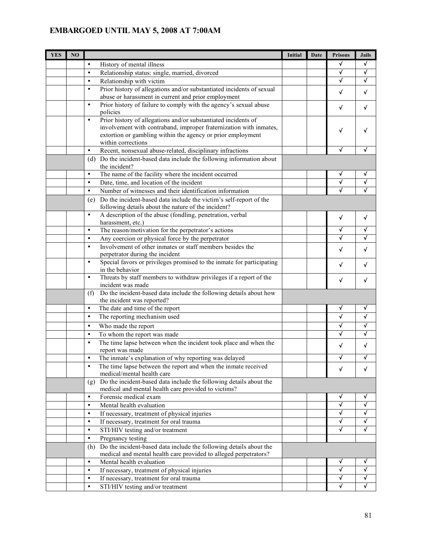| <b>YES</b> | N <sub>O</sub> |                                                                                                                                               | <b>Initial</b> | Date | <b>Prisons</b> | <b>Jails</b> |
|------------|----------------|-----------------------------------------------------------------------------------------------------------------------------------------------|----------------|------|----------------|--------------|
|            |                | $\bullet$<br>History of mental illness                                                                                                        |                |      | √              | $\checkmark$ |
|            |                | Relationship status: single, married, divorced<br>$\bullet$                                                                                   |                |      | √              | √            |
|            |                | Relationship with victim<br>$\bullet$                                                                                                         |                |      | √              | √            |
|            |                | Prior history of allegations and/or substantiated incidents of sexual<br>$\bullet$                                                            |                |      | √              | V            |
|            |                | abuse or harassment in current and prior employment                                                                                           |                |      |                |              |
|            |                | Prior history of failure to comply with the agency's sexual abuse<br>$\bullet$                                                                |                |      | √              | √            |
|            |                | policies                                                                                                                                      |                |      |                |              |
|            |                | Prior history of allegations and/or substantiated incidents of<br>$\bullet$                                                                   |                |      |                |              |
|            |                | involvement with contraband, improper fraternization with inmates,                                                                            |                |      | √              |              |
|            |                | extortion or gambling within the agency or prior employment<br>within corrections                                                             |                |      |                |              |
|            |                | Recent, nonsexual abuse-related, disciplinary infractions<br>$\bullet$                                                                        |                |      | √              | √            |
|            |                | (d) Do the incident-based data include the following information about                                                                        |                |      |                |              |
|            |                | the incident?                                                                                                                                 |                |      |                |              |
|            |                | The name of the facility where the incident occurred<br>$\bullet$                                                                             |                |      | ٧              | v            |
|            |                | Date, time, and location of the incident<br>$\bullet$                                                                                         |                |      | ν              |              |
|            |                | Number of witnesses and their identification information<br>$\bullet$                                                                         |                |      | ν              |              |
|            |                | Do the incident-based data include the victim's self-report of the<br>(e)                                                                     |                |      |                |              |
|            |                | following details about the nature of the incident?                                                                                           |                |      |                |              |
|            |                | A description of the abuse (fondling, penetration, verbal<br>$\bullet$                                                                        |                |      | $\checkmark$   | $\checkmark$ |
|            |                | harassment, etc.)                                                                                                                             |                |      |                |              |
|            |                | The reason/motivation for the perpetrator's actions<br>$\bullet$                                                                              |                |      | √              | √            |
|            |                | Any coercion or physical force by the perpetrator<br>$\bullet$                                                                                |                |      |                |              |
|            |                | Involvement of other inmates or staff members besides the<br>$\bullet$                                                                        |                |      | √              | √            |
|            |                | perpetrator during the incident                                                                                                               |                |      |                |              |
|            |                | Special favors or privileges promised to the inmate for participating<br>$\bullet$                                                            |                |      | √              | √            |
|            |                | in the behavior<br>Threats by staff members to withdraw privileges if a report of the<br>$\bullet$                                            |                |      |                |              |
|            |                | incident was made                                                                                                                             |                |      | √              | √            |
|            |                | Do the incident-based data include the following details about how<br>(f)                                                                     |                |      |                |              |
|            |                | the incident was reported?                                                                                                                    |                |      |                |              |
|            |                | $\bullet$<br>The date and time of the report                                                                                                  |                |      | √              | √            |
|            |                | $\bullet$<br>The reporting mechanism used                                                                                                     |                |      | $\checkmark$   | √            |
|            |                | Who made the report<br>$\bullet$                                                                                                              |                |      | √              |              |
|            |                | To whom the report was made<br>$\bullet$                                                                                                      |                |      |                |              |
|            |                | The time lapse between when the incident took place and when the<br>$\bullet$                                                                 |                |      |                | √            |
|            |                | report was made                                                                                                                               |                |      | V              |              |
|            |                | The inmate's explanation of why reporting was delayed                                                                                         |                |      |                |              |
|            |                | The time lapse between the report and when the inmate received                                                                                |                |      | $\checkmark$   | $\checkmark$ |
|            |                | medical/mental health care                                                                                                                    |                |      |                |              |
|            |                | Do the incident-based data include the following details about the<br>(g)                                                                     |                |      |                |              |
|            |                | medical and mental health care provided to victims?                                                                                           |                |      |                |              |
|            |                | Forensic medical exam<br>$\bullet$<br>$\bullet$                                                                                               |                |      | ٧<br>V         | ٧<br>V       |
|            |                | Mental health evaluation<br>$\bullet$                                                                                                         |                |      | v              | V            |
|            |                | If necessary, treatment of physical injuries                                                                                                  |                |      | v              | V            |
|            |                | If necessary, treatment for oral trauma<br>$\bullet$<br>$\bullet$                                                                             |                |      | V              | $\checkmark$ |
|            |                | STI/HIV testing and/or treatment<br>$\bullet$                                                                                                 |                |      |                |              |
|            |                | Pregnancy testing                                                                                                                             |                |      |                |              |
|            |                | Do the incident-based data include the following details about the<br>(h)<br>medical and mental health care provided to alleged perpetrators? |                |      |                |              |
|            |                | Mental health evaluation<br>$\bullet$                                                                                                         |                |      | √              | √            |
|            |                | If necessary, treatment of physical injuries<br>$\bullet$                                                                                     |                |      | √              | √            |
|            |                | If necessary, treatment for oral trauma<br>$\bullet$                                                                                          |                |      | √              | √            |
|            |                | STI/HIV testing and/or treatment<br>$\bullet$                                                                                                 |                |      | √              | √            |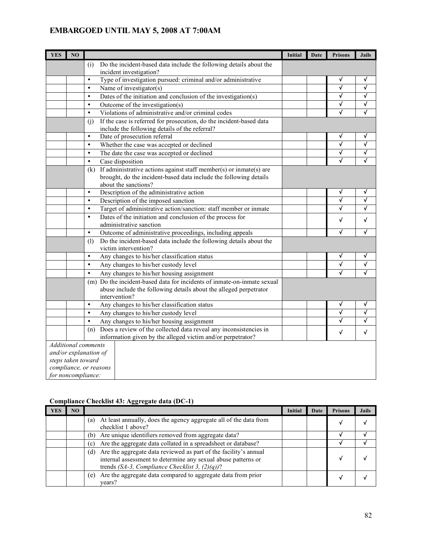| <b>YES</b> | NO                 |                                                                               | Initial | Date | <b>Prisons</b>        | <b>Jails</b> |
|------------|--------------------|-------------------------------------------------------------------------------|---------|------|-----------------------|--------------|
|            |                    | (i)<br>Do the incident-based data include the following details about the     |         |      |                       |              |
|            |                    | incident investigation?                                                       |         |      |                       |              |
|            |                    | Type of investigation pursued: criminal and/or administrative<br>$\bullet$    |         |      | √                     | V            |
|            |                    | Name of investigator(s)<br>$\bullet$                                          |         |      | √                     | √            |
|            |                    | Dates of the initiation and conclusion of the investigation(s)<br>$\bullet$   |         |      | √                     | V            |
|            |                    | $\bullet$<br>Outcome of the investigation(s)                                  |         |      | √                     | √            |
|            |                    | Violations of administrative and/or criminal codes<br>$\bullet$               |         |      | √                     | √            |
|            |                    | If the case is referred for prosecution, do the incident-based data<br>(i)    |         |      |                       |              |
|            |                    | include the following details of the referral?                                |         |      |                       |              |
|            |                    | $\bullet$<br>Date of prosecution referral                                     |         |      | √                     | √            |
|            |                    | $\bullet$<br>Whether the case was accepted or declined                        |         |      | $\overline{\sqrt{} }$ | $\checkmark$ |
|            |                    | $\bullet$<br>The date the case was accepted or declined                       |         |      | √                     | √            |
|            |                    | Case disposition<br>$\bullet$                                                 |         |      | √                     | √            |
|            |                    | If administrative actions against staff member(s) or inmate(s) are<br>(k)     |         |      |                       |              |
|            |                    | brought, do the incident-based data include the following details             |         |      |                       |              |
|            |                    | about the sanctions?                                                          |         |      |                       |              |
|            |                    | $\bullet$<br>Description of the administrative action                         |         |      | ٧                     | V            |
|            |                    | Description of the imposed sanction<br>$\bullet$                              |         |      | √                     | √            |
|            |                    | Target of administrative action/sanction: staff member or inmate<br>$\bullet$ |         |      | √                     | $\checkmark$ |
|            |                    | $\bullet$<br>Dates of the initiation and conclusion of the process for        |         |      | √                     | $\checkmark$ |
|            |                    | administrative sanction                                                       |         |      |                       |              |
|            |                    | $\bullet$<br>Outcome of administrative proceedings, including appeals         |         |      | √                     | √            |
|            |                    | Do the incident-based data include the following details about the<br>(1)     |         |      |                       |              |
|            |                    | victim intervention?                                                          |         |      |                       |              |
|            |                    | Any changes to his/her classification status<br>$\bullet$                     |         |      | √                     | √            |
|            |                    | Any changes to his/her custody level<br>$\bullet$                             |         |      | √                     | $\checkmark$ |
|            |                    | $\bullet$<br>Any changes to his/her housing assignment                        |         |      | √                     | √            |
|            |                    | (m) Do the incident-based data for incidents of inmate-on-inmate sexual       |         |      |                       |              |
|            |                    | abuse include the following details about the alleged perpetrator             |         |      |                       |              |
|            |                    | intervention?                                                                 |         |      |                       |              |
|            |                    | Any changes to his/her classification status<br>$\bullet$                     |         |      | √                     | V            |
|            |                    | $\bullet$<br>Any changes to his/her custody level                             |         |      | √                     | √            |
|            |                    | $\bullet$<br>Any changes to his/her housing assignment                        |         |      | √                     | √            |
|            |                    | Does a review of the collected data reveal any inconsistencies in<br>(n)      |         |      | √                     | √            |
|            |                    | information given by the alleged victim and/or perpetrator?                   |         |      |                       |              |
|            |                    | <b>Additional</b> comments                                                    |         |      |                       |              |
|            |                    | and/or explanation of                                                         |         |      |                       |              |
|            | steps taken toward |                                                                               |         |      |                       |              |
|            |                    | compliance, or reasons                                                        |         |      |                       |              |
|            | for noncompliance: |                                                                               |         |      |                       |              |

### **Compliance Checklist 43: Aggregate data (DC-1)**

| YES | NO |                                                                                                                                                                                               | Initial | Date | <b>Prisons</b> | <b>Jails</b> |
|-----|----|-----------------------------------------------------------------------------------------------------------------------------------------------------------------------------------------------|---------|------|----------------|--------------|
|     |    | At least annually, does the agency aggregate all of the data from<br>(a)<br>checklist 1 above?                                                                                                |         |      |                |              |
|     |    | Are unique identifiers removed from aggregate data?<br>(b)                                                                                                                                    |         |      |                |              |
|     |    | Are the aggregate data collated in a spreadsheet or database?<br>(c)                                                                                                                          |         |      |                |              |
|     |    | Are the aggregate data reviewed as part of the facility's annual<br>(d)<br>internal assessment to determine any sexual abuse patterns or<br>trends (SA-3, Compliance Checklist 3, $(2)(q)$ )? |         |      |                |              |
|     |    | Are the aggregate data compared to aggregate data from prior<br>(e)<br>vears?                                                                                                                 |         |      |                |              |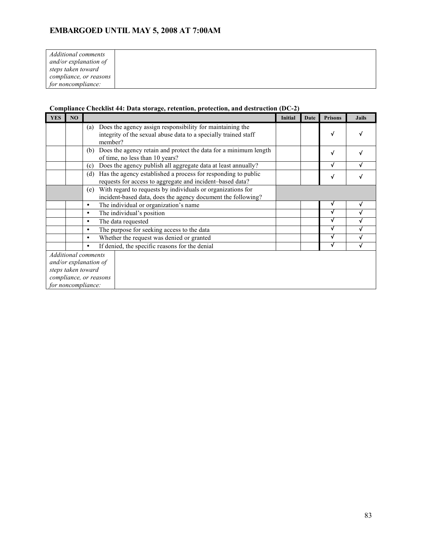| Additional comments    |  |
|------------------------|--|
| and/or explanation of  |  |
| steps taken toward     |  |
| compliance, or reasons |  |
| for noncompliance:     |  |

#### **Compliance Checklist 44: Data storage, retention, protection, and destruction (DC-2)**

| <b>YES</b> | NO                 |                                                                                                                                                | <b>Initial</b> | Date | <b>Prisons</b> | <b>Jails</b> |
|------------|--------------------|------------------------------------------------------------------------------------------------------------------------------------------------|----------------|------|----------------|--------------|
|            |                    | Does the agency assign responsibility for maintaining the<br>(a)<br>integrity of the sexual abuse data to a specially trained staff<br>member? |                |      | v              |              |
|            |                    | Does the agency retain and protect the data for a minimum length<br>(b)<br>of time, no less than 10 years?                                     |                |      | √              |              |
|            |                    | Does the agency publish all aggregate data at least annually?<br>(c)                                                                           |                |      | √              |              |
|            |                    | Has the agency established a process for responding to public<br>(d)<br>requests for access to aggregate and incident-based data?              |                |      | √              |              |
|            |                    | With regard to requests by individuals or organizations for<br>(e)<br>incident-based data, does the agency document the following?             |                |      |                |              |
|            |                    | The individual or organization's name<br>٠                                                                                                     |                |      |                | √            |
|            |                    | The individual's position<br>٠                                                                                                                 |                |      |                |              |
|            |                    | The data requested<br>$\bullet$                                                                                                                |                |      |                |              |
|            |                    | The purpose for seeking access to the data<br>٠                                                                                                |                |      |                |              |
|            |                    | Whether the request was denied or granted<br>$\bullet$                                                                                         |                |      |                |              |
|            |                    | If denied, the specific reasons for the denial<br>٠                                                                                            |                |      |                |              |
|            |                    | <b>Additional comments</b>                                                                                                                     |                |      |                |              |
|            |                    | and/or explanation of                                                                                                                          |                |      |                |              |
|            | steps taken toward |                                                                                                                                                |                |      |                |              |
|            |                    | compliance, or reasons                                                                                                                         |                |      |                |              |
|            |                    | for noncompliance:                                                                                                                             |                |      |                |              |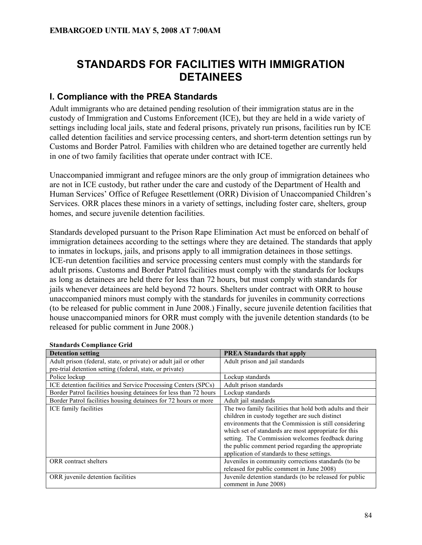# **STANDARDS FOR FACILITIES WITH IMMIGRATION DETAINEES**

## **I. Compliance with the PREA Standards**

Adult immigrants who are detained pending resolution of their immigration status are in the custody of Immigration and Customs Enforcement (ICE), but they are held in a wide variety of settings including local jails, state and federal prisons, privately run prisons, facilities run by ICE called detention facilities and service processing centers, and short-term detention settings run by Customs and Border Patrol. Families with children who are detained together are currently held in one of two family facilities that operate under contract with ICE.

Unaccompanied immigrant and refugee minors are the only group of immigration detainees who are not in ICE custody, but rather under the care and custody of the Department of Health and Human Services' Office of Refugee Resettlement (ORR) Division of Unaccompanied Children's Services. ORR places these minors in a variety of settings, including foster care, shelters, group homes, and secure juvenile detention facilities.

Standards developed pursuant to the Prison Rape Elimination Act must be enforced on behalf of immigration detainees according to the settings where they are detained. The standards that apply to inmates in lockups, jails, and prisons apply to all immigration detainees in those settings. ICE-run detention facilities and service processing centers must comply with the standards for adult prisons. Customs and Border Patrol facilities must comply with the standards for lockups as long as detainees are held there for less than 72 hours, but must comply with standards for jails whenever detainees are held beyond 72 hours. Shelters under contract with ORR to house unaccompanied minors must comply with the standards for juveniles in community corrections (to be released for public comment in June 2008.) Finally, secure juvenile detention facilities that house unaccompanied minors for ORR must comply with the juvenile detention standards (to be released for public comment in June 2008.)

| <b>Detention setting</b>                                          | <b>PREA Standards that apply</b>                                                                                                                                                                                                                                                                                                        |
|-------------------------------------------------------------------|-----------------------------------------------------------------------------------------------------------------------------------------------------------------------------------------------------------------------------------------------------------------------------------------------------------------------------------------|
| Adult prison (federal, state, or private) or adult jail or other  | Adult prison and jail standards                                                                                                                                                                                                                                                                                                         |
| pre-trial detention setting (federal, state, or private)          |                                                                                                                                                                                                                                                                                                                                         |
| Police lockup                                                     | Lockup standards                                                                                                                                                                                                                                                                                                                        |
| ICE detention facilities and Service Processing Centers (SPCs)    | Adult prison standards                                                                                                                                                                                                                                                                                                                  |
| Border Patrol facilities housing detainees for less than 72 hours | Lockup standards                                                                                                                                                                                                                                                                                                                        |
| Border Patrol facilities housing detainees for 72 hours or more   | Adult jail standards                                                                                                                                                                                                                                                                                                                    |
| ICE family facilities                                             | The two family facilities that hold both adults and their<br>children in custody together are such distinct<br>environments that the Commission is still considering<br>which set of standards are most appropriate for this<br>setting. The Commission welcomes feedback during<br>the public comment period regarding the appropriate |
| ORR contract shelters                                             | application of standards to these settings.<br>Juveniles in community corrections standards (to be<br>released for public comment in June 2008)                                                                                                                                                                                         |
| ORR juvenile detention facilities                                 | Juvenile detention standards (to be released for public<br>comment in June 2008)                                                                                                                                                                                                                                                        |

#### **Standards Compliance Grid**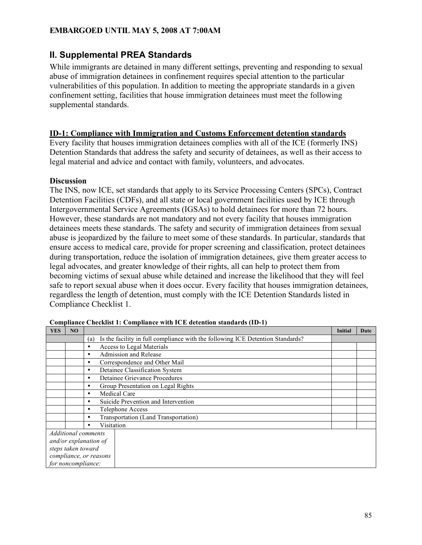# **II. Supplemental PREA Standards**

While immigrants are detained in many different settings, preventing and responding to sexual abuse of immigration detainees in confinement requires special attention to the particular vulnerabilities of this population. In addition to meeting the appropriate standards in a given confinement setting, facilities that house immigration detainees must meet the following supplemental standards.

#### **ID-1: Compliance with Immigration and Customs Enforcement detention standards**

Every facility that houses immigration detainees complies with all of the ICE (formerly INS) Detention Standards that address the safety and security of detainees, as well as their access to legal material and advice and contact with family, volunteers, and advocates.

#### **Discussion**

The INS, now ICE, set standards that apply to its Service Processing Centers (SPCs), Contract Detention Facilities (CDFs), and all state or local government facilities used by ICE through Intergovernmental Service Agreements (IGSAs) to hold detainees for more than 72 hours. However, these standards are not mandatory and not every facility that houses immigration detainees meets these standards. The safety and security of immigration detainees from sexual abuse is jeopardized by the failure to meet some of these standards. In particular, standards that ensure access to medical care, provide for proper screening and classification, protect detainees during transportation, reduce the isolation of immigration detainees, give them greater access to legal advocates, and greater knowledge of their rights, all can help to protect them from becoming victims of sexual abuse while detained and increase the likelihood that they will feel safe to report sexual abuse when it does occur. Every facility that houses immigration detainees, regardless the length of detention, must comply with the ICE Detention Standards listed in Compliance Checklist 1.

| <b>YES</b>            | NO                 |                                                                                       | Initial | Date |
|-----------------------|--------------------|---------------------------------------------------------------------------------------|---------|------|
|                       |                    | Is the facility in full compliance with the following ICE Detention Standards?<br>(a) |         |      |
|                       |                    | Access to Legal Materials                                                             |         |      |
|                       |                    | Admission and Release<br>٠                                                            |         |      |
|                       |                    | Correspondence and Other Mail<br>٠                                                    |         |      |
|                       |                    | Detainee Classification System<br>٠                                                   |         |      |
|                       |                    | Detainee Grievance Procedures<br>٠                                                    |         |      |
|                       |                    | Group Presentation on Legal Rights                                                    |         |      |
|                       |                    | <b>Medical Care</b>                                                                   |         |      |
|                       |                    | Suicide Prevention and Intervention                                                   |         |      |
|                       |                    | Telephone Access                                                                      |         |      |
|                       |                    | Transportation (Land Transportation)<br>٠                                             |         |      |
|                       |                    | Visitation                                                                            |         |      |
|                       |                    | Additional comments                                                                   |         |      |
| and/or explanation of |                    |                                                                                       |         |      |
| steps taken toward    |                    |                                                                                       |         |      |
|                       |                    | compliance, or reasons                                                                |         |      |
|                       | for noncompliance: |                                                                                       |         |      |

**Compliance Checklist 1: Compliance with ICE detention standards (ID-1)**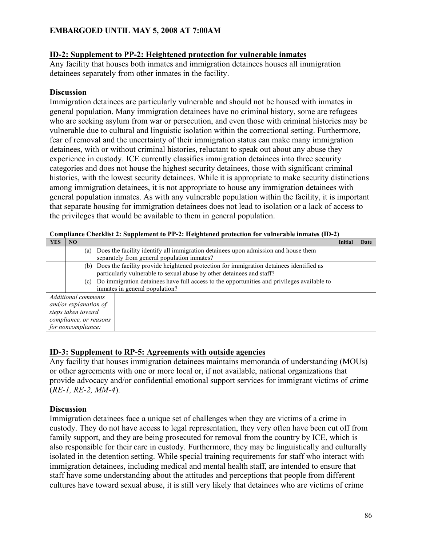#### **ID-2: Supplement to PP-2: Heightened protection for vulnerable inmates**

Any facility that houses both inmates and immigration detainees houses all immigration detainees separately from other inmates in the facility.

#### **Discussion**

Immigration detainees are particularly vulnerable and should not be housed with inmates in general population. Many immigration detainees have no criminal history, some are refugees who are seeking asylum from war or persecution, and even those with criminal histories may be vulnerable due to cultural and linguistic isolation within the correctional setting. Furthermore, fear of removal and the uncertainty of their immigration status can make many immigration detainees, with or without criminal histories, reluctant to speak out about any abuse they experience in custody. ICE currently classifies immigration detainees into three security categories and does not house the highest security detainees, those with significant criminal histories, with the lowest security detainees. While it is appropriate to make security distinctions among immigration detainees, it is not appropriate to house any immigration detainees with general population inmates. As with any vulnerable population within the facility, it is important that separate housing for immigration detainees does not lead to isolation or a lack of access to the privileges that would be available to them in general population.

|                        |                | <u>Cheening at Swippiechene eo i i al iielgileeneu profeeddii ior aminezhole ining</u>            |         |      |
|------------------------|----------------|---------------------------------------------------------------------------------------------------|---------|------|
| <b>YES</b>             | N <sub>O</sub> |                                                                                                   | Initial | Date |
|                        |                | Does the facility identify all immigration detainees upon admission and house them<br>(a)         |         |      |
|                        |                | separately from general population inmates?                                                       |         |      |
|                        |                | (b) Does the facility provide heightened protection for immigration detainees identified as       |         |      |
|                        |                | particularly vulnerable to sexual abuse by other detainees and staff?                             |         |      |
|                        |                | Do immigration detainees have full access to the opportunities and privileges available to<br>(c) |         |      |
|                        |                | inmates in general population?                                                                    |         |      |
|                        |                | Additional comments                                                                               |         |      |
|                        |                | and/or explanation of                                                                             |         |      |
| steps taken toward     |                |                                                                                                   |         |      |
| compliance, or reasons |                |                                                                                                   |         |      |
|                        |                | for noncompliance:                                                                                |         |      |

**Compliance Checklist 2: Supplement to PP-2: Heightened protection for vulnerable inmates (ID-2)**

#### **ID-3: Supplement to RP-5: Agreements with outside agencies**

Any facility that houses immigration detainees maintains memoranda of understanding (MOUs) or other agreements with one or more local or, if not available, national organizations that provide advocacy and/or confidential emotional support services for immigrant victims of crime (*RE-1, RE-2, MM-4*).

#### **Discussion**

Immigration detainees face a unique set of challenges when they are victims of a crime in custody. They do not have access to legal representation, they very often have been cut off from family support, and they are being prosecuted for removal from the country by ICE, which is also responsible for their care in custody. Furthermore, they may be linguistically and culturally isolated in the detention setting. While special training requirements for staff who interact with immigration detainees, including medical and mental health staff, are intended to ensure that staff have some understanding about the attitudes and perceptions that people from different cultures have toward sexual abuse, it is still very likely that detainees who are victims of crime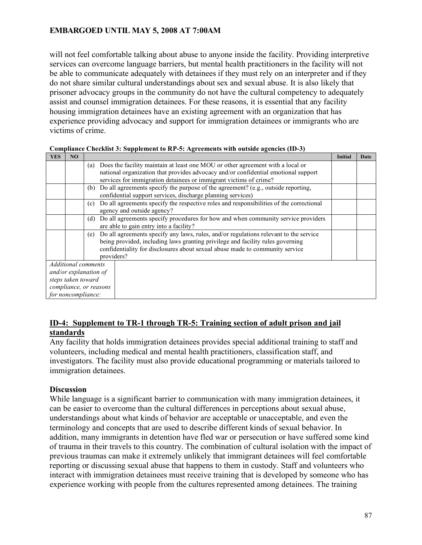will not feel comfortable talking about abuse to anyone inside the facility. Providing interpretive services can overcome language barriers, but mental health practitioners in the facility will not be able to communicate adequately with detainees if they must rely on an interpreter and if they do not share similar cultural understandings about sex and sexual abuse. It is also likely that prisoner advocacy groups in the community do not have the cultural competency to adequately assist and counsel immigration detainees. For these reasons, it is essential that any facility housing immigration detainees have an existing agreement with an organization that has experience providing advocacy and support for immigration detainees or immigrants who are victims of crime.

| <b>YES</b> | NO                     |     |                                                                                         | <b>Initial</b> | Date |
|------------|------------------------|-----|-----------------------------------------------------------------------------------------|----------------|------|
|            |                        | (a) | Does the facility maintain at least one MOU or other agreement with a local or          |                |      |
|            |                        |     | national organization that provides advocacy and/or confidential emotional support      |                |      |
|            |                        |     | services for immigration detainees or immigrant victims of crime?                       |                |      |
|            |                        | (b) | Do all agreements specify the purpose of the agreement? (e.g., outside reporting,       |                |      |
|            |                        |     | confidential support services, discharge planning services)                             |                |      |
|            |                        | (c) | Do all agreements specify the respective roles and responsibilities of the correctional |                |      |
|            |                        |     | agency and outside agency?                                                              |                |      |
|            |                        | (d) | Do all agreements specify procedures for how and when community service providers       |                |      |
|            |                        |     | are able to gain entry into a facility?                                                 |                |      |
|            |                        | (e) | Do all agreements specify any laws, rules, and/or regulations relevant to the service   |                |      |
|            |                        |     | being provided, including laws granting privilege and facility rules governing          |                |      |
|            |                        |     | confidentiality for disclosures about sexual abuse made to community service            |                |      |
|            |                        |     | providers?                                                                              |                |      |
|            | Additional comments    |     |                                                                                         |                |      |
|            | and/or explanation of  |     |                                                                                         |                |      |
|            | steps taken toward     |     |                                                                                         |                |      |
|            | compliance, or reasons |     |                                                                                         |                |      |
|            | for noncompliance:     |     |                                                                                         |                |      |

**Compliance Checklist 3: Supplement to RP-5: Agreements with outside agencies (ID-3)**

## **ID-4: Supplement to TR-1 through TR-5: Training section of adult prison and jail standards**

Any facility that holds immigration detainees provides special additional training to staff and volunteers, including medical and mental health practitioners, classification staff, and investigators. The facility must also provide educational programming or materials tailored to immigration detainees.

#### **Discussion**

While language is a significant barrier to communication with many immigration detainees, it can be easier to overcome than the cultural differences in perceptions about sexual abuse, understandings about what kinds of behavior are acceptable or unacceptable, and even the terminology and concepts that are used to describe different kinds of sexual behavior. In addition, many immigrants in detention have fled war or persecution or have suffered some kind of trauma in their travels to this country. The combination of cultural isolation with the impact of previous traumas can make it extremely unlikely that immigrant detainees will feel comfortable reporting or discussing sexual abuse that happens to them in custody. Staff and volunteers who interact with immigration detainees must receive training that is developed by someone who has experience working with people from the cultures represented among detainees. The training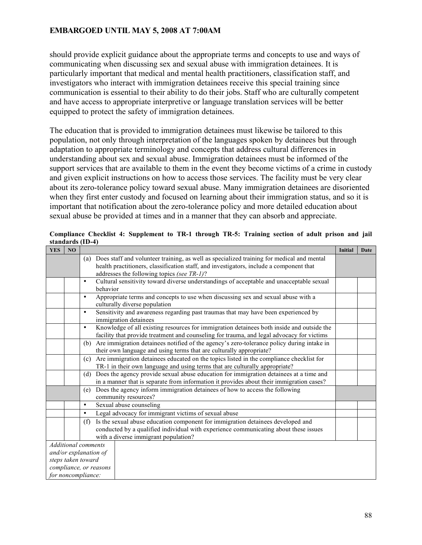should provide explicit guidance about the appropriate terms and concepts to use and ways of communicating when discussing sex and sexual abuse with immigration detainees. It is particularly important that medical and mental health practitioners, classification staff, and investigators who interact with immigration detainees receive this special training since communication is essential to their ability to do their jobs. Staff who are culturally competent and have access to appropriate interpretive or language translation services will be better equipped to protect the safety of immigration detainees.

The education that is provided to immigration detainees must likewise be tailored to this population, not only through interpretation of the languages spoken by detainees but through adaptation to appropriate terminology and concepts that address cultural differences in understanding about sex and sexual abuse. Immigration detainees must be informed of the support services that are available to them in the event they become victims of a crime in custody and given explicit instructions on how to access those services. The facility must be very clear about its zero-tolerance policy toward sexual abuse. Many immigration detainees are disoriented when they first enter custody and focused on learning about their immigration status, and so it is important that notification about the zero-tolerance policy and more detailed education about sexual abuse be provided at times and in a manner that they can absorb and appreciate.

| <b>YES</b>             | N <sub>O</sub>             |           |                                                                                                      | Initial | Date |
|------------------------|----------------------------|-----------|------------------------------------------------------------------------------------------------------|---------|------|
|                        |                            |           | (a) Does staff and volunteer training, as well as specialized training for medical and mental        |         |      |
|                        |                            |           | health practitioners, classification staff, and investigators, include a component that              |         |      |
|                        |                            |           | addresses the following topics (see TR-1)?                                                           |         |      |
|                        |                            | $\bullet$ | Cultural sensitivity toward diverse understandings of acceptable and unacceptable sexual<br>behavior |         |      |
|                        |                            | $\bullet$ | Appropriate terms and concepts to use when discussing sex and sexual abuse with a                    |         |      |
|                        |                            |           | culturally diverse population                                                                        |         |      |
|                        |                            | $\bullet$ | Sensitivity and awareness regarding past traumas that may have been experienced by                   |         |      |
|                        |                            |           | immigration detainees                                                                                |         |      |
|                        |                            | $\bullet$ | Knowledge of all existing resources for immigration detainees both inside and outside the            |         |      |
|                        |                            |           | facility that provide treatment and counseling for trauma, and legal advocacy for victims            |         |      |
|                        |                            | (b)       | Are immigration detainees notified of the agency's zero-tolerance policy during intake in            |         |      |
|                        |                            |           | their own language and using terms that are culturally appropriate?                                  |         |      |
|                        |                            | (c)       | Are immigration detainees educated on the topics listed in the compliance checklist for              |         |      |
|                        |                            |           | TR-1 in their own language and using terms that are culturally appropriate?                          |         |      |
|                        |                            | (d)       | Does the agency provide sexual abuse education for immigration detainees at a time and               |         |      |
|                        |                            |           | in a manner that is separate from information it provides about their immigration cases?             |         |      |
|                        |                            | (e)       | Does the agency inform immigration detainees of how to access the following                          |         |      |
|                        |                            |           | community resources?                                                                                 |         |      |
|                        |                            | $\bullet$ | Sexual abuse counseling                                                                              |         |      |
|                        |                            | $\bullet$ | Legal advocacy for immigrant victims of sexual abuse                                                 |         |      |
|                        |                            | (f)       | Is the sexual abuse education component for immigration detainees developed and                      |         |      |
|                        |                            |           | conducted by a qualified individual with experience communicating about these issues                 |         |      |
|                        |                            |           | with a diverse immigrant population?                                                                 |         |      |
|                        | <b>Additional comments</b> |           |                                                                                                      |         |      |
|                        |                            |           | and/or explanation of                                                                                |         |      |
|                        | steps taken toward         |           |                                                                                                      |         |      |
| compliance, or reasons |                            |           |                                                                                                      |         |      |
|                        | for noncompliance:         |           |                                                                                                      |         |      |

**Compliance Checklist 4: Supplement to TR-1 through TR-5: Training section of adult prison and jail standards (ID-4)**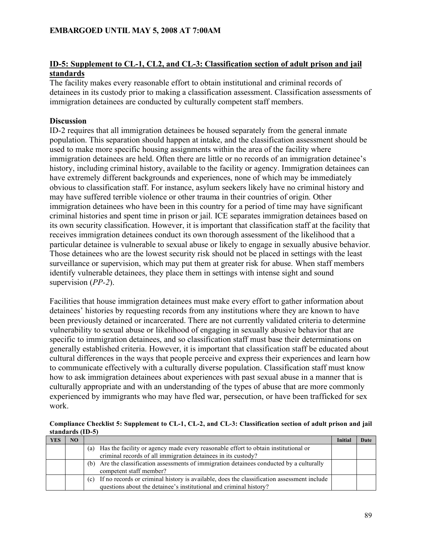## **ID-5: Supplement to CL-1, CL2, and CL-3: Classification section of adult prison and jail standards**

The facility makes every reasonable effort to obtain institutional and criminal records of detainees in its custody prior to making a classification assessment. Classification assessments of immigration detainees are conducted by culturally competent staff members.

## **Discussion**

ID-2 requires that all immigration detainees be housed separately from the general inmate population. This separation should happen at intake, and the classification assessment should be used to make more specific housing assignments within the area of the facility where immigration detainees are held. Often there are little or no records of an immigration detainee's history, including criminal history, available to the facility or agency. Immigration detainees can have extremely different backgrounds and experiences, none of which may be immediately obvious to classification staff. For instance, asylum seekers likely have no criminal history and may have suffered terrible violence or other trauma in their countries of origin. Other immigration detainees who have been in this country for a period of time may have significant criminal histories and spent time in prison or jail. ICE separates immigration detainees based on its own security classification. However, it is important that classification staff at the facility that receives immigration detainees conduct its own thorough assessment of the likelihood that a particular detainee is vulnerable to sexual abuse or likely to engage in sexually abusive behavior. Those detainees who are the lowest security risk should not be placed in settings with the least surveillance or supervision, which may put them at greater risk for abuse. When staff members identify vulnerable detainees, they place them in settings with intense sight and sound supervision (*PP-2*).

Facilities that house immigration detainees must make every effort to gather information about detainees' histories by requesting records from any institutions where they are known to have been previously detained or incarcerated. There are not currently validated criteria to determine vulnerability to sexual abuse or likelihood of engaging in sexually abusive behavior that are specific to immigration detainees, and so classification staff must base their determinations on generally established criteria. However, it is important that classification staff be educated about cultural differences in the ways that people perceive and express their experiences and learn how to communicate effectively with a culturally diverse population. Classification staff must know how to ask immigration detainees about experiences with past sexual abuse in a manner that is culturally appropriate and with an understanding of the types of abuse that are more commonly experienced by immigrants who may have fled war, persecution, or have been trafficked for sex work.

**Compliance Checklist 5: Supplement to CL-1, CL-2, and CL-3: Classification section of adult prison and jail standards (ID-5)**

| YES | NO. |                                                                                                   | Initial | Date |
|-----|-----|---------------------------------------------------------------------------------------------------|---------|------|
|     |     | Has the facility or agency made every reasonable effort to obtain institutional or<br>(a)         |         |      |
|     |     | criminal records of all immigration detainees in its custody?                                     |         |      |
|     |     | Are the classification assessments of immigration detainees conducted by a culturally<br>(b)      |         |      |
|     |     | competent staff member?                                                                           |         |      |
|     |     | If no records or criminal history is available, does the classification assessment include<br>(c) |         |      |
|     |     | questions about the detainee's institutional and criminal history?                                |         |      |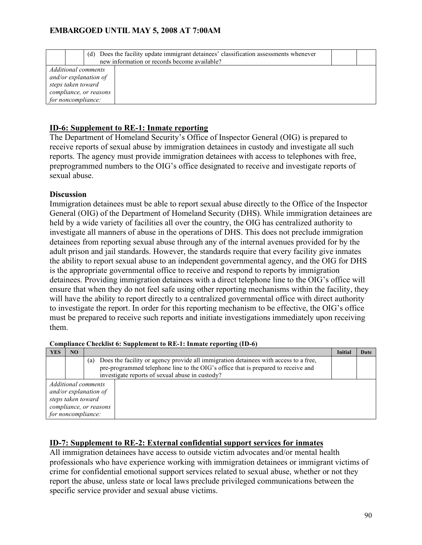|                                                                                                                    | (d) | Does the facility update immigrant detainees' classification assessments whenever<br>new information or records become available? |  |
|--------------------------------------------------------------------------------------------------------------------|-----|-----------------------------------------------------------------------------------------------------------------------------------|--|
| Additional comments<br>and/or explanation of<br>steps taken toward<br>compliance, or reasons<br>for noncompliance: |     |                                                                                                                                   |  |

## **ID-6: Supplement to RE-1: Inmate reporting**

The Department of Homeland Security's Office of Inspector General (OIG) is prepared to receive reports of sexual abuse by immigration detainees in custody and investigate all such reports. The agency must provide immigration detainees with access to telephones with free, preprogrammed numbers to the OIG's office designated to receive and investigate reports of sexual abuse.

#### **Discussion**

Immigration detainees must be able to report sexual abuse directly to the Office of the Inspector General (OIG) of the Department of Homeland Security (DHS). While immigration detainees are held by a wide variety of facilities all over the country, the OIG has centralized authority to investigate all manners of abuse in the operations of DHS. This does not preclude immigration detainees from reporting sexual abuse through any of the internal avenues provided for by the adult prison and jail standards. However, the standards require that every facility give inmates the ability to report sexual abuse to an independent governmental agency, and the OIG for DHS is the appropriate governmental office to receive and respond to reports by immigration detainees. Providing immigration detainees with a direct telephone line to the OIG's office will ensure that when they do not feel safe using other reporting mechanisms within the facility, they will have the ability to report directly to a centralized governmental office with direct authority to investigate the report. In order for this reporting mechanism to be effective, the OIG's office must be prepared to receive such reports and initiate investigations immediately upon receiving them.

**Compliance Checklist 6: Supplement to RE-1: Inmate reporting (ID-6)**

| YES                   | NO.                |                                                                                             | Initial | Date |  |  |
|-----------------------|--------------------|---------------------------------------------------------------------------------------------|---------|------|--|--|
|                       |                    | Does the facility or agency provide all immigration detainees with access to a free,<br>(a) |         |      |  |  |
|                       |                    | pre-programmed telephone line to the OIG's office that is prepared to receive and           |         |      |  |  |
|                       |                    | investigate reports of sexual abuse in custody?                                             |         |      |  |  |
| Additional comments   |                    |                                                                                             |         |      |  |  |
| and/or explanation of |                    |                                                                                             |         |      |  |  |
| steps taken toward    |                    |                                                                                             |         |      |  |  |
|                       |                    | compliance, or reasons                                                                      |         |      |  |  |
|                       | for noncompliance: |                                                                                             |         |      |  |  |

#### **ID-7: Supplement to RE-2: External confidential support services for inmates**

All immigration detainees have access to outside victim advocates and/or mental health professionals who have experience working with immigration detainees or immigrant victims of crime for confidential emotional support services related to sexual abuse, whether or not they report the abuse, unless state or local laws preclude privileged communications between the specific service provider and sexual abuse victims.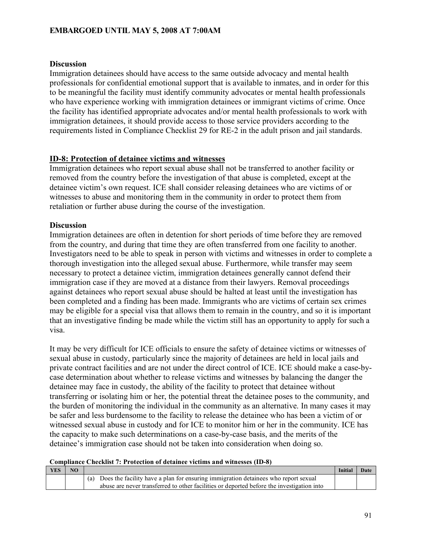#### **Discussion**

Immigration detainees should have access to the same outside advocacy and mental health professionals for confidential emotional support that is available to inmates, and in order for this to be meaningful the facility must identify community advocates or mental health professionals who have experience working with immigration detainees or immigrant victims of crime. Once the facility has identified appropriate advocates and/or mental health professionals to work with immigration detainees, it should provide access to those service providers according to the requirements listed in Compliance Checklist 29 for RE-2 in the adult prison and jail standards.

#### **ID-8: Protection of detainee victims and witnesses**

Immigration detainees who report sexual abuse shall not be transferred to another facility or removed from the country before the investigation of that abuse is completed, except at the detainee victim's own request. ICE shall consider releasing detainees who are victims of or witnesses to abuse and monitoring them in the community in order to protect them from retaliation or further abuse during the course of the investigation.

#### **Discussion**

Immigration detainees are often in detention for short periods of time before they are removed from the country, and during that time they are often transferred from one facility to another. Investigators need to be able to speak in person with victims and witnesses in order to complete a thorough investigation into the alleged sexual abuse. Furthermore, while transfer may seem necessary to protect a detainee victim, immigration detainees generally cannot defend their immigration case if they are moved at a distance from their lawyers. Removal proceedings against detainees who report sexual abuse should be halted at least until the investigation has been completed and a finding has been made. Immigrants who are victims of certain sex crimes may be eligible for a special visa that allows them to remain in the country, and so it is important that an investigative finding be made while the victim still has an opportunity to apply for such a visa.

It may be very difficult for ICE officials to ensure the safety of detainee victims or witnesses of sexual abuse in custody, particularly since the majority of detainees are held in local jails and private contract facilities and are not under the direct control of ICE. ICE should make a case-bycase determination about whether to release victims and witnesses by balancing the danger the detainee may face in custody, the ability of the facility to protect that detainee without transferring or isolating him or her, the potential threat the detainee poses to the community, and the burden of monitoring the individual in the community as an alternative. In many cases it may be safer and less burdensome to the facility to release the detainee who has been a victim of or witnessed sexual abuse in custody and for ICE to monitor him or her in the community. ICE has the capacity to make such determinations on a case-by-case basis, and the merits of the detainee's immigration case should not be taken into consideration when doing so.

#### **Compliance Checklist 7: Protection of detainee victims and witnesses (ID-8)**

| YES |                                                                                           | <b>Initia</b> | Dat |
|-----|-------------------------------------------------------------------------------------------|---------------|-----|
|     | Does the facility have a plan for ensuring immigration detainees who report sexual        |               |     |
|     | abuse are never transferred to other facilities or deported before the investigation into |               |     |